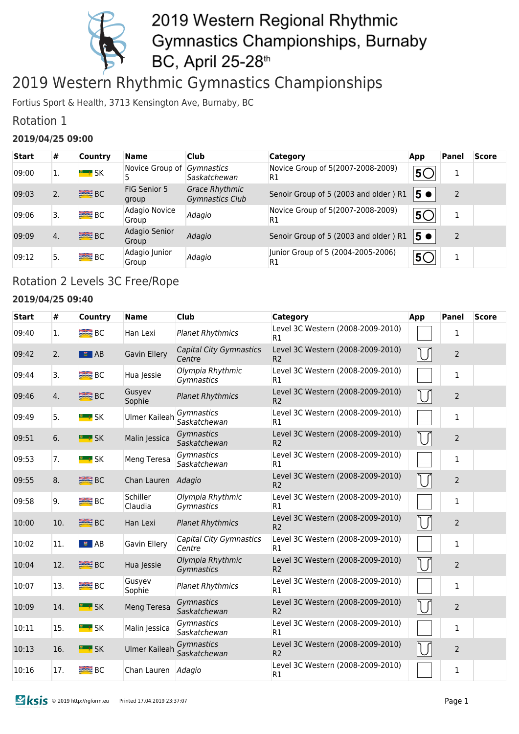

### 2019 Western Rhythmic Gymnastics Championships

Fortius Sport & Health, 3713 Kensington Ave, Burnaby, BC

### Rotation 1

#### **2019/04/25 09:00**

| <b>Start</b> | #  | <b>Country</b> | <b>Name</b>                | <b>Club</b>                                     | <b>Category</b>                                      | App | <b>Panel</b> | <b>Score</b> |
|--------------|----|----------------|----------------------------|-------------------------------------------------|------------------------------------------------------|-----|--------------|--------------|
| 09:00        | Ι. | <b>E</b> * SK  | Novice Group of Gymnastics | Saskatchewan                                    | Novice Group of 5(2007-2008-2009)<br>R1              | 5C  | Ŧ.           |              |
| 09:03        | 2. | <b>BEB</b> BC  | FIG Senior 5<br>group      | <b>Grace Rhythmic</b><br><b>Gymnastics Club</b> | Senoir Group of 5 (2003 and older) R1                | 5 ● |              |              |
| 09:06        | 3. | <b>BRE</b> BC  | Adagio Novice<br>Group     | Adagio                                          | Novice Group of 5(2007-2008-2009)<br>R1              | 5C  | 1            |              |
| 09:09        | 4. | <b>SEE</b> BC  | Adagio Senior<br>Group     | Adagio                                          | Senoir Group of 5 (2003 and older) R1                | 5●  | 2            |              |
| 09:12        | 5. | <b>BRE</b> BC  | Adagio Junior<br>Group     | Adagio                                          | Junior Group of 5 (2004-2005-2006)<br>R <sub>1</sub> | 5C  | Ŧ.           |              |

### Rotation 2 Levels 3C Free/Rope

#### **2019/04/25 09:40**

| <b>Start</b> | #   | Country             | <b>Name</b>          | <b>Club</b>                              | <b>Category</b>                                     | App | <b>Panel</b>   | <b>Score</b> |
|--------------|-----|---------------------|----------------------|------------------------------------------|-----------------------------------------------------|-----|----------------|--------------|
| 09:40        | 1.  | B <sub>C</sub>      | Han Lexi             | <b>Planet Rhythmics</b>                  | Level 3C Western (2008-2009-2010)<br>R1             |     | 1              |              |
| 09:42        | 2.  | $\bullet$ AB        | Gavin Ellery         | <b>Capital City Gymnastics</b><br>Centre | Level 3C Western (2008-2009-2010)<br>R <sub>2</sub> |     | $\overline{2}$ |              |
| 09:44        | 3.  | $B^{\text{max}}$ BC | Hua Jessie           | Olympia Rhythmic<br>Gymnastics           | Level 3C Western (2008-2009-2010)<br>R1             |     | 1              |              |
| 09:46        | 4.  | <b>BIG</b> BC       | Gusyev<br>Sophie     | <b>Planet Rhythmics</b>                  | Level 3C Western (2008-2009-2010)<br>R <sub>2</sub> |     | $\overline{2}$ |              |
| 09:49        | 5.  | <b>E</b> & SK       | <b>Ulmer Kaileah</b> | Gymnastics<br>Saskatchewan               | Level 3C Western (2008-2009-2010)<br>R1             |     | $\mathbf{1}$   |              |
| 09:51        | 6.  | <b>E</b> * SK       | Malin Jessica        | Gymnastics<br>Saskatchewan               | Level 3C Western (2008-2009-2010)<br>R <sub>2</sub> | IJ  | $\overline{2}$ |              |
| 09:53        | 7.  | <b>Example SK</b>   | Meng Teresa          | Gymnastics<br>Saskatchewan               | Level 3C Western (2008-2009-2010)<br>R1             |     | $\mathbf{1}$   |              |
| 09:55        | 8.  | <b>SEE</b> BC       | Chan Lauren          | Adagio                                   | Level 3C Western (2008-2009-2010)<br>R <sub>2</sub> |     | $\overline{2}$ |              |
| 09:58        | 9.  | B <sub>C</sub>      | Schiller<br>Claudia  | Olympia Rhythmic<br>Gymnastics           | Level 3C Western (2008-2009-2010)<br>R1             |     | 1              |              |
| 10:00        | 10. | <b>SEE BC</b>       | Han Lexi             | <b>Planet Rhythmics</b>                  | Level 3C Western (2008-2009-2010)<br>R <sub>2</sub> |     | $\overline{2}$ |              |
| 10:02        | 11. | ■ AB                | Gavin Ellery         | Capital City Gymnastics<br>Centre        | Level 3C Western (2008-2009-2010)<br>R1             |     | 1              |              |
| 10:04        | 12. | <b>SEE BC</b>       | Hua Jessie           | Olympia Rhythmic<br>Gymnastics           | Level 3C Western (2008-2009-2010)<br>R <sub>2</sub> | NΓ  | $\overline{2}$ |              |
| 10:07        | 13. | <b>BIG</b> BC       | Gusyev<br>Sophie     | <b>Planet Rhythmics</b>                  | Level 3C Western (2008-2009-2010)<br>R1             |     | $\mathbf{1}$   |              |
| 10:09        | 14. | <b>E</b> & SK       | Meng Teresa          | Gymnastics<br>Saskatchewan               | Level 3C Western (2008-2009-2010)<br>R <sub>2</sub> |     | $\overline{2}$ |              |
| 10:11        | 15. | <u> " ;</u> SK      | Malin Jessica        | Gymnastics<br>Saskatchewan               | Level 3C Western (2008-2009-2010)<br>R1             |     | 1              |              |
| 10:13        | 16. | <b>E</b> SK         | <b>Ulmer Kaileah</b> | Gymnastics<br>Saskatchewan               | Level 3C Western (2008-2009-2010)<br>R <sub>2</sub> |     | $\overline{2}$ |              |
| 10:16        | 17. | $R = BC$            | Chan Lauren Adagio   |                                          | Level 3C Western (2008-2009-2010)<br>R1             |     | 1              |              |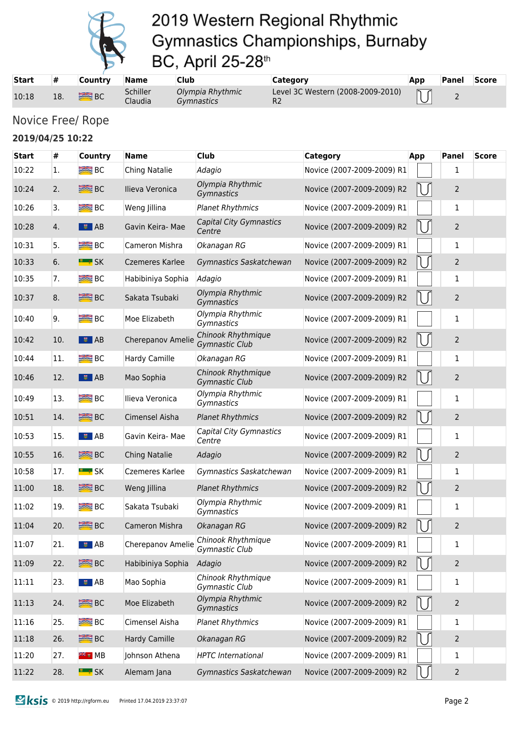

| <b>Start</b> | #   | <b>Country</b> | <b>Name</b>         | <b>Club</b>                           | Category                          | App | Panel      | <b>Score</b> |
|--------------|-----|----------------|---------------------|---------------------------------------|-----------------------------------|-----|------------|--------------|
| 10:18        | 18. | <b>SEE BC</b>  | Schiller<br>Claudia | Olympia Rhythmic<br><i>Gymnastics</i> | Level 3C Western (2008-2009-2010) |     | $\epsilon$ |              |

### Novice Free/ Rope

#### **2019/04/25 10:22**

| <b>Start</b> | #   | <b>Country</b>          | <b>Name</b>            | Club                                     | <b>Category</b>            | App | <b>Panel</b>   | <b>Score</b> |
|--------------|-----|-------------------------|------------------------|------------------------------------------|----------------------------|-----|----------------|--------------|
| 10:22        | 1.  | $R = BC$                | Ching Natalie          | Adagio                                   | Novice (2007-2009-2009) R1 |     | 1              |              |
| 10:24        | 2.  | <b>SEE BC</b>           | Ilieva Veronica        | Olympia Rhythmic<br>Gymnastics           | Novice (2007-2009-2009) R2 |     | $\overline{2}$ |              |
| 10:26        | 3.  | $R = BC$                | Weng Jillina           | <b>Planet Rhythmics</b>                  | Novice (2007-2009-2009) R1 |     | 1              |              |
| 10:28        | 4.  | $\overline{\bullet}$ AB | Gavin Keira- Mae       | <b>Capital City Gymnastics</b><br>Centre | Novice (2007-2009-2009) R2 |     | $\overline{2}$ |              |
| 10:31        | 5.  | BC <sub>3</sub>         | Cameron Mishra         | Okanagan RG                              | Novice (2007-2009-2009) R1 |     | 1              |              |
| 10:33        | 6.  | <b>E</b> * SK           | <b>Czemeres Karlee</b> | Gymnastics Saskatchewan                  | Novice (2007-2009-2009) R2 |     | $\overline{2}$ |              |
| 10:35        | 7.  | $R = BC$                | Habibiniya Sophia      | Adagio                                   | Novice (2007-2009-2009) R1 |     | $\mathbf{1}$   |              |
| 10:37        | 8.  | <b>SEE BC</b>           | Sakata Tsubaki         | Olympia Rhythmic<br>Gymnastics           | Novice (2007-2009-2009) R2 |     | $\overline{2}$ |              |
| 10:40        | 9.  | $R = BC$                | Moe Elizabeth          | Olympia Rhythmic<br>Gymnastics           | Novice (2007-2009-2009) R1 |     | 1              |              |
| 10:42        | 10. | $\frac{1}{2}$ AB        | Cherepanov Amelie      | Chinook Rhythmique<br>Gymnastic Club     | Novice (2007-2009-2009) R2 |     | $\overline{2}$ |              |
| 10:44        | 11. | $R = BC$                | Hardy Camille          | Okanagan RG                              | Novice (2007-2009-2009) R1 |     | 1              |              |
| 10:46        | 12. | $\frac{1}{2}$ AB        | Mao Sophia             | Chinook Rhythmique<br>Gymnastic Club     | Novice (2007-2009-2009) R2 |     | $\overline{2}$ |              |
| 10:49        | 13. | $R = BC$                | Ilieva Veronica        | Olympia Rhythmic<br>Gymnastics           | Novice (2007-2009-2009) R1 |     | 1              |              |
| 10:51        | 14. | <b>SEE</b> BC           | Cimensel Aisha         | <b>Planet Rhythmics</b>                  | Novice (2007-2009-2009) R2 |     | $\overline{2}$ |              |
| 10:53        | 15. | $\frac{1}{2}$ AB        | Gavin Keira- Mae       | Capital City Gymnastics<br>Centre        | Novice (2007-2009-2009) R1 |     | 1              |              |
| 10:55        | 16. | <b>SEE</b> BC           | Ching Natalie          | Adagio                                   | Novice (2007-2009-2009) R2 |     | 2              |              |
| 10:58        | 17. | <b>E</b> * SK           | Czemeres Karlee        | Gymnastics Saskatchewan                  | Novice (2007-2009-2009) R1 |     | 1              |              |
| 11:00        | 18. | <b>SEE</b> BC           | Weng Jillina           | <b>Planet Rhythmics</b>                  | Novice (2007-2009-2009) R2 |     | $\overline{2}$ |              |
| 11:02        | 19. | $R = BC$                | Sakata Tsubaki         | Olympia Rhythmic<br>Gymnastics           | Novice (2007-2009-2009) R1 |     | $\mathbf{1}$   |              |
| 11:04        | 20. | <b>SEE</b> BC           | Cameron Mishra         | Okanagan RG                              | Novice (2007-2009-2009) R2 |     | $\overline{2}$ |              |
| 11:07        | 21. | ■■ AB                   | Cherepanov Amelie      | Chinook Rhythmique<br>Gymnastic Club     | Novice (2007-2009-2009) R1 |     | 1              |              |
| 11:09        | 22. | <b>SEE</b> BC           | Habibiniya Sophia      | Adagio                                   | Novice (2007-2009-2009) R2 |     | $\overline{2}$ |              |
| 11:11        | 23. | $\bullet$ AB            | Mao Sophia             | Chinook Rhythmique<br>Gymnastic Club     | Novice (2007-2009-2009) R1 |     | 1              |              |
| 11:13        | 24. | <b>SEE</b> BC           | Moe Elizabeth          | Olympia Rhythmic<br>Gymnastics           | Novice (2007-2009-2009) R2 |     | 2              |              |
| 11:16        | 25. | <b>BIE</b> BC           | Cimensel Aisha         | <b>Planet Rhythmics</b>                  | Novice (2007-2009-2009) R1 |     | 1              |              |
| 11:18        | 26. | <b>SEE</b> BC           | Hardy Camille          | Okanagan RG                              | Novice (2007-2009-2009) R2 |     | $\overline{2}$ |              |
| 11:20        | 27. | <sup>≋</sup> ≋ MB       | Johnson Athena         | <b>HPTC</b> International                | Novice (2007-2009-2009) R1 |     | 1              |              |
| 11:22        | 28. | <b>E</b> : SK           | Alemam Jana            | Gymnastics Saskatchewan                  | Novice (2007-2009-2009) R2 |     | $\overline{2}$ |              |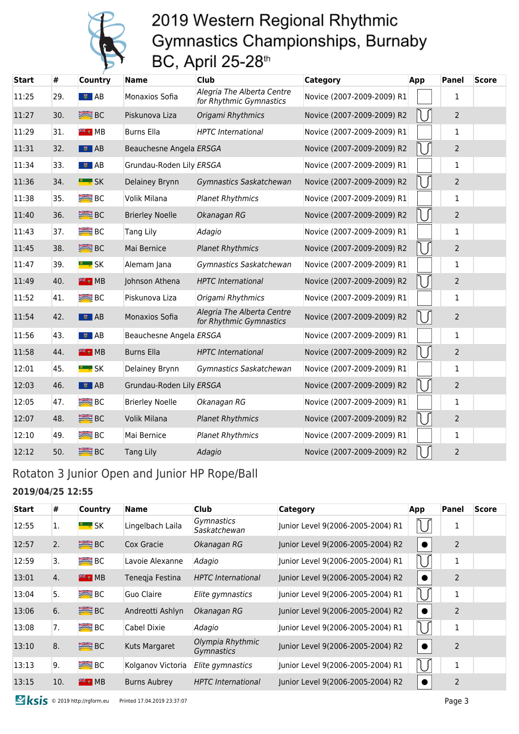

| <b>Start</b> | #   | <b>Country</b>    | <b>Name</b>              | <b>Club</b>                                           | Category                   | App | <b>Panel</b>   | <b>Score</b> |
|--------------|-----|-------------------|--------------------------|-------------------------------------------------------|----------------------------|-----|----------------|--------------|
| 11:25        | 29. | ■■ AB             | Monaxios Sofia           | Alegria The Alberta Centre<br>for Rhythmic Gymnastics | Novice (2007-2009-2009) R1 |     | 1              |              |
| 11:27        | 30. | <b>SEE</b> BC     | Piskunova Liza           | Origami Rhythmics                                     | Novice (2007-2009-2009) R2 |     | $\overline{2}$ |              |
| 11:29        | 31. | <del>※ ■</del> MB | <b>Burns Ella</b>        | <b>HPTC</b> International                             | Novice (2007-2009-2009) R1 |     | 1              |              |
| 11:31        | 32. | $\frac{1}{2}$ AB  | Beauchesne Angela ERSGA  |                                                       | Novice (2007-2009-2009) R2 |     | $\overline{2}$ |              |
| 11:34        | 33. | $\frac{1}{2}$ AB  | Grundau-Roden Lily ERSGA |                                                       | Novice (2007-2009-2009) R1 |     | $\mathbf{1}$   |              |
| 11:36        | 34. | <b>E</b> * SK     | Delainey Brynn           | Gymnastics Saskatchewan                               | Novice (2007-2009-2009) R2 |     | $\overline{2}$ |              |
| 11:38        | 35. | $R = BC$          | Volik Milana             | <b>Planet Rhythmics</b>                               | Novice (2007-2009-2009) R1 |     | 1              |              |
| 11:40        | 36. | <b>SEE</b> BC     | <b>Brierley Noelle</b>   | Okanagan RG                                           | Novice (2007-2009-2009) R2 |     | $\overline{2}$ |              |
| 11:43        | 37. | $R = BC$          | <b>Tang Lily</b>         | Adagio                                                | Novice (2007-2009-2009) R1 |     | 1              |              |
| 11:45        | 38. | <b>SEE</b> BC     | Mai Bernice              | <b>Planet Rhythmics</b>                               | Novice (2007-2009-2009) R2 |     | $\overline{2}$ |              |
| 11:47        | 39. | <b>E</b> * SK     | Alemam Jana              | Gymnastics Saskatchewan                               | Novice (2007-2009-2009) R1 |     | 1              |              |
| 11:49        | 40. | <sup>業者</sup> ™B  | Johnson Athena           | <b>HPTC</b> International                             | Novice (2007-2009-2009) R2 |     | $\overline{2}$ |              |
| 11:52        | 41. | $R = BC$          | Piskunova Liza           | Origami Rhythmics                                     | Novice (2007-2009-2009) R1 |     | 1              |              |
| 11:54        | 42. | $\bullet$ AB      | Monaxios Sofia           | Alegria The Alberta Centre<br>for Rhythmic Gymnastics | Novice (2007-2009-2009) R2 |     | $\overline{2}$ |              |
| 11:56        | 43. | ■■ AB             | Beauchesne Angela ERSGA  |                                                       | Novice (2007-2009-2009) R1 |     | $\mathbf{1}$   |              |
| 11:58        | 44. | <b>FREE</b> MB    | <b>Burns Ella</b>        | <b>HPTC</b> International                             | Novice (2007-2009-2009) R2 |     | $\overline{2}$ |              |
| 12:01        | 45. | <u>" ∗</u> SK     | Delainey Brynn           | Gymnastics Saskatchewan                               | Novice (2007-2009-2009) R1 |     | 1              |              |
| 12:03        | 46. | $\frac{1}{2}$ AB  | Grundau-Roden Lily ERSGA |                                                       | Novice (2007-2009-2009) R2 |     | $\overline{2}$ |              |
| 12:05        | 47. | $R = BC$          | <b>Brierley Noelle</b>   | Okanagan RG                                           | Novice (2007-2009-2009) R1 |     | $\mathbf{1}$   |              |
| 12:07        | 48. | <b>SEE</b> BC     | Volik Milana             | <b>Planet Rhythmics</b>                               | Novice (2007-2009-2009) R2 |     | $\overline{2}$ |              |
| 12:10        | 49. | $R = BC$          | Mai Bernice              | <b>Planet Rhythmics</b>                               | Novice (2007-2009-2009) R1 |     | $\mathbf{1}$   |              |
| 12:12        | 50. | <b>SEE</b> BC     | <b>Tang Lily</b>         | Adagio                                                | Novice (2007-2009-2009) R2 |     | $\overline{2}$ |              |

### Rotaton 3 Junior Open and Junior HP Rope/Ball

#### **2019/04/25 12:55**

| <b>Start</b> | #   | Country             | Name                | <b>Club</b>                       | <b>Category</b>                   | App | Panel          | <b>Score</b> |
|--------------|-----|---------------------|---------------------|-----------------------------------|-----------------------------------|-----|----------------|--------------|
| 12:55        | 1.  | $\blacksquare$ SK   | Lingelbach Laila    | <i>Gymnastics</i><br>Saskatchewan | Junior Level 9(2006-2005-2004) R1 |     | 1              |              |
| 12:57        | 2.  | <b>SEE</b> BC       | Cox Gracie          | Okanagan RG                       | Junior Level 9(2006-2005-2004) R2 |     | $\overline{2}$ |              |
| 12:59        | 3.  | BC                  | Lavoie Alexanne     | Adagio                            | Junior Level 9(2006-2005-2004) R1 |     | 1              |              |
| 13:01        | 4.  | $\frac{2\pi}{3}$ MB | Tenegja Festina     | <b>HPTC</b> International         | Junior Level 9(2006-2005-2004) R2 |     | 2              |              |
| 13:04        | 5.  | <b>BEB</b> BC       | Guo Claire          | Elite gymnastics                  | Junior Level 9(2006-2005-2004) R1 |     | 1              |              |
| 13:06        | 6.  | <b>ERE</b> BC       | Andreotti Ashlyn    | Okanagan RG                       | Junior Level 9(2006-2005-2004) R2 |     | $\overline{2}$ |              |
| 13:08        | 7.  | $B^{\text{max}}$    | Cabel Dixie         | Adagio                            | Junior Level 9(2006-2005-2004) R1 |     | 1              |              |
| 13:10        | 8.  | $R = BC$            | Kuts Margaret       | Olympia Rhythmic<br>Gymnastics    | Junior Level 9(2006-2005-2004) R2 |     | $\overline{2}$ |              |
| 13:13        | 9.  | $B2$ BC             | Kolganov Victoria   | Elite gymnastics                  | Junior Level 9(2006-2005-2004) R1 |     | 1              |              |
| 13:15        | 10. | $**$ MB             | <b>Burns Aubrey</b> | <b>HPTC</b> International         | Junior Level 9(2006-2005-2004) R2 |     | 2              |              |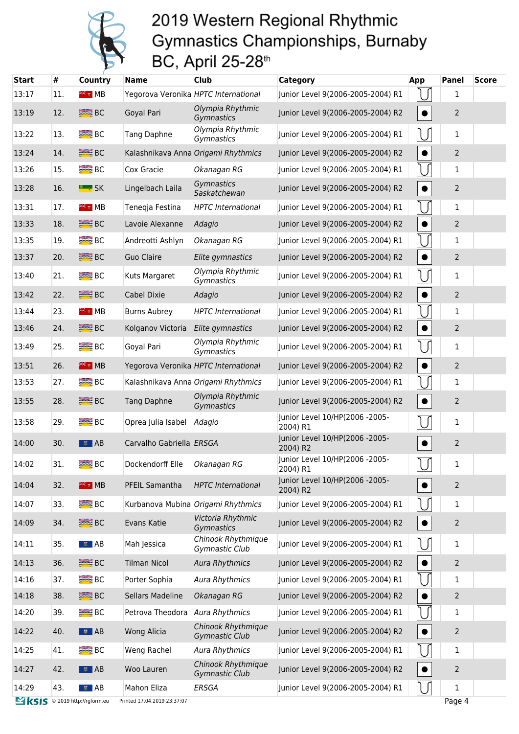

| <b>Start</b>                 | #   | Country             | <b>Name</b>                          | Club                                        | <b>Category</b>                            | App       | <b>Panel</b>   | <b>Score</b> |
|------------------------------|-----|---------------------|--------------------------------------|---------------------------------------------|--------------------------------------------|-----------|----------------|--------------|
| 13:17                        | 11. | <sup>₩∉</sup> ∎ MB  | Yegorova Veronika HPTC International |                                             | Junior Level 9(2006-2005-2004) R1          |           | 1              |              |
| 13:19                        | 12. | <b>SEE</b> BC       | Goyal Pari                           | Olympia Rhythmic<br>Gymnastics              | Junior Level 9(2006-2005-2004) R2          | $\bullet$ | $\overline{2}$ |              |
| 13:22                        | 13. | B <sub>C</sub>      | <b>Tang Daphne</b>                   | Olympia Rhythmic<br>Gymnastics              | Junior Level 9(2006-2005-2004) R1          | IJ        | $\mathbf{1}$   |              |
| 13:24                        | 14. | <b>SEE</b> BC       |                                      | Kalashnikava Anna Origami Rhythmics         | Junior Level 9(2006-2005-2004) R2          | $\bullet$ | $\overline{2}$ |              |
| 13:26                        | 15. | <b>BIG</b> BC       | Cox Gracie                           | Okanagan RG                                 | Junior Level 9(2006-2005-2004) R1          |           | $\mathbf 1$    |              |
| 13:28                        | 16. | <b>E</b> SK         | Lingelbach Laila                     | Gymnastics<br>Saskatchewan                  | Junior Level 9(2006-2005-2004) R2          | $\bullet$ | $\overline{2}$ |              |
| 13:31                        | 17. | <sup>₩∉</sup> ⊪ MB  | Teneqja Festina                      | <b>HPTC</b> International                   | Junior Level 9(2006-2005-2004) R1          |           | $\mathbf{1}$   |              |
| 13:33                        | 18. | <b>BEE</b> BC       | Lavoie Alexanne                      | Adagio                                      | Junior Level 9(2006-2005-2004) R2          |           | $\overline{2}$ |              |
| 13:35                        | 19. | B <sub>C</sub>      | Andreotti Ashlyn                     | Okanagan RG                                 | Junior Level 9(2006-2005-2004) R1          |           | 1              |              |
| 13:37                        | 20. | <b>SEE BC</b>       | <b>Guo Claire</b>                    | Elite gymnastics                            | Junior Level 9(2006-2005-2004) R2          | $\bullet$ | $\overline{2}$ |              |
| 13:40                        | 21. | <b>BIG</b> BC       | Kuts Margaret                        | Olympia Rhythmic<br>Gymnastics              | Junior Level 9(2006-2005-2004) R1          | U         | $\mathbf{1}$   |              |
| 13:42                        | 22. | <b>SEE BC</b>       | Cabel Dixie                          | Adagio                                      | Junior Level 9(2006-2005-2004) R2          | $\bullet$ | $\overline{2}$ |              |
| 13:44                        | 23. | <sup>₩</sup> ₹ ₩ MB | <b>Burns Aubrey</b>                  | <b>HPTC</b> International                   | Junior Level 9(2006-2005-2004) R1          |           | $\mathbf{1}$   |              |
| 13:46                        | 24. | <b>SEE</b> BC       | Kolganov Victoria                    | Elite gymnastics                            | Junior Level 9(2006-2005-2004) R2          | $\bullet$ | $\overline{2}$ |              |
| 13:49                        | 25. | <b>BIG</b> BC       | Goyal Pari                           | Olympia Rhythmic<br>Gymnastics              | Junior Level 9(2006-2005-2004) R1          |           | 1              |              |
| 13:51                        | 26. | <sup>業者</sup> ™B    | Yegorova Veronika HPTC International |                                             | Junior Level 9(2006-2005-2004) R2          | $\bullet$ | $\overline{2}$ |              |
| 13:53                        | 27. | B <sub>C</sub>      |                                      | Kalashnikava Anna Origami Rhythmics         | Junior Level 9(2006-2005-2004) R1          |           | 1              |              |
| 13:55                        | 28. | <b>SEE</b> BC       | <b>Tang Daphne</b>                   | Olympia Rhythmic<br>Gymnastics              | Junior Level 9(2006-2005-2004) R2          | $\bullet$ | $\overline{2}$ |              |
| 13:58                        | 29. | $R = BC$            | Oprea Julia Isabel                   | Adagio                                      | Junior Level 10/HP(2006 -2005-<br>2004) R1 |           | $\mathbf{1}$   |              |
| 14:00                        | 30. | $\bullet$ AB        | Carvalho Gabriella ERSGA             |                                             | Junior Level 10/HP(2006 -2005-<br>2004) R2 | $\bullet$ | $\overline{2}$ |              |
| 14:02                        | 31. | <b>BIG</b> BC       | Dockendorff Elle                     | Okanagan RG                                 | Junior Level 10/HP(2006 -2005-<br>2004) R1 | $\bigcup$ | $\mathbf 1$    |              |
| 14:04                        | 32. | <sup>米</sup> MB     | PFEIL Samantha                       | <b>HPTC</b> International                   | Junior Level 10/HP(2006 -2005-<br>2004) R2 | $\bullet$ | $\overline{2}$ |              |
| 14:07                        | 33. | <b>BIG</b> BC       |                                      | Kurbanova Mubina Origami Rhythmics          | Junior Level 9(2006-2005-2004) R1          |           | $\mathbf 1$    |              |
| 14:09                        | 34. | <b>SEE</b> BC       | Evans Katie                          | Victoria Rhythmic<br>Gymnastics             | Junior Level 9(2006-2005-2004) R2          | $\bullet$ | $\overline{2}$ |              |
| 14:11                        | 35. | ■■ AB               | Mah Jessica                          | Chinook Rhythmique<br>Gymnastic Club        | Junior Level 9(2006-2005-2004) R1          | $\bigcup$ | $\mathbf{1}$   |              |
| 14:13                        | 36. | <b>SEE</b> BC       | <b>Tilman Nicol</b>                  | <b>Aura Rhythmics</b>                       | Junior Level 9(2006-2005-2004) R2          | $\bullet$ | $\overline{2}$ |              |
| 14:16                        | 37. | <b>BEE</b> BC       | Porter Sophia                        | <b>Aura Rhythmics</b>                       | Junior Level 9(2006-2005-2004) R1          |           | 1              |              |
| 14:18                        | 38. | <b>SEE</b> BC       | Sellars Madeline                     | Okanagan RG                                 | Junior Level 9(2006-2005-2004) R2          |           | $\overline{2}$ |              |
| 14:20                        | 39. | $R = BC$            | Petrova Theodora                     | Aura Rhythmics                              | Junior Level 9(2006-2005-2004) R1          |           | 1              |              |
| 14:22                        | 40. | $\frac{1}{2}$ AB    | Wong Alicia                          | Chinook Rhythmique<br>Gymnastic Club        | Junior Level 9(2006-2005-2004) R2          | $\bullet$ | $\overline{2}$ |              |
| 14:25                        | 41. | B <sub>C</sub>      | Weng Rachel                          | <b>Aura Rhythmics</b>                       | Junior Level 9(2006-2005-2004) R1          |           | 1              |              |
| 14:27                        | 42. | $\frac{1}{2}$ AB    | Woo Lauren                           | Chinook Rhythmique<br><b>Gymnastic Club</b> | Junior Level 9(2006-2005-2004) R2          |           | $\overline{2}$ |              |
| 14:29                        | 43. | ■■ AB               | Mahon Eliza                          | ERSGA                                       | Junior Level 9(2006-2005-2004) R1          | U         | $\mathbf{1}$   |              |
| KSIS © 2019 http://rgform.eu |     |                     | Printed 17.04.2019 23:37:07          |                                             |                                            |           | Page 4         |              |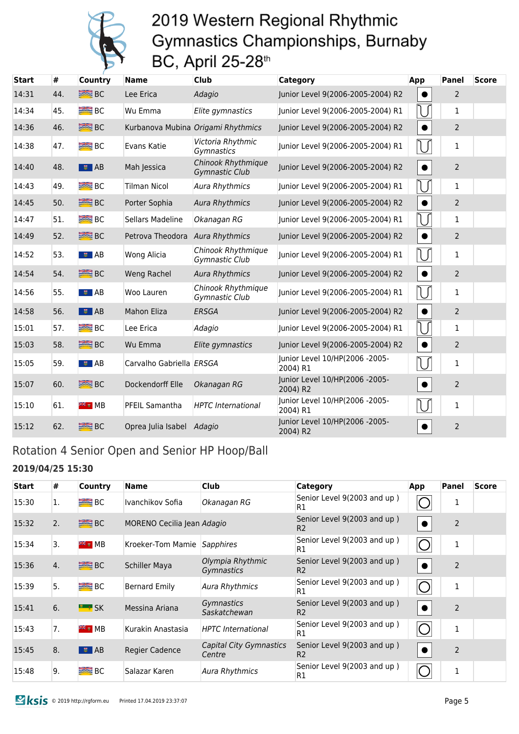

| <b>Start</b> | $\#$ | <b>Country</b>   | <b>Name</b>               | <b>Club</b>                                 | Category                                   | App       | Panel          | <b>Score</b> |
|--------------|------|------------------|---------------------------|---------------------------------------------|--------------------------------------------|-----------|----------------|--------------|
| 14:31        | 44.  | <b>SEE BC</b>    | Lee Erica                 | Adagio                                      | Junior Level 9(2006-2005-2004) R2          |           | $\overline{2}$ |              |
| 14:34        | 45.  | B <sub>C</sub>   | Wu Emma                   | Elite gymnastics                            | Junior Level 9(2006-2005-2004) R1          |           | 1              |              |
| 14:36        | 46.  | <b>SEE</b> BC    |                           | Kurbanova Mubina Origami Rhythmics          | Junior Level 9(2006-2005-2004) R2          | $\bullet$ | $\overline{2}$ |              |
| 14:38        | 47.  | <b>BEE</b> BC    | Evans Katie               | Victoria Rhythmic<br>Gymnastics             | Junior Level 9(2006-2005-2004) R1          | U         | 1              |              |
| 14:40        | 48.  | $\frac{1}{2}$ AB | Mah Jessica               | Chinook Rhythmique<br><b>Gymnastic Club</b> | Junior Level 9(2006-2005-2004) R2          | $\bullet$ | $\overline{2}$ |              |
| 14:43        | 49.  | <b>BE</b> BC     | <b>Tilman Nicol</b>       | Aura Rhythmics                              | Junior Level 9(2006-2005-2004) R1          |           | 1              |              |
| 14:45        | 50.  | $R = BC$         | Porter Sophia             | <b>Aura Rhythmics</b>                       | Junior Level 9(2006-2005-2004) R2          |           | $\overline{2}$ |              |
| 14:47        | 51.  | B <sub>C</sub>   | Sellars Madeline          | Okanagan RG                                 | Junior Level 9(2006-2005-2004) R1          |           | 1              |              |
| 14:49        | 52.  | <b>SEE</b> BC    | Petrova Theodora          | <b>Aura Rhythmics</b>                       | Junior Level 9(2006-2005-2004) R2          | $\bullet$ | $\overline{2}$ |              |
| 14:52        | 53.  | ■■ AB            | Wong Alicia               | Chinook Rhythmique<br>Gymnastic Club        | Junior Level 9(2006-2005-2004) R1          |           | 1              |              |
| 14:54        | 54.  | <b>SEE</b> BC    | Weng Rachel               | <b>Aura Rhythmics</b>                       | Junior Level 9(2006-2005-2004) R2          | $\bullet$ | $\overline{2}$ |              |
| 14:56        | 55.  | ■■ AB            | Woo Lauren                | Chinook Rhythmique<br><b>Gymnastic Club</b> | Junior Level 9(2006-2005-2004) R1          | U         | $\mathbf{1}$   |              |
| 14:58        | 56.  | $\frac{1}{2}$ AB | <b>Mahon Eliza</b>        | <b>ERSGA</b>                                | Junior Level 9(2006-2005-2004) R2          |           | $\overline{2}$ |              |
| 15:01        | 57.  | B <sub>C</sub>   | Lee Erica                 | Adagio                                      | Junior Level 9(2006-2005-2004) R1          |           | 1              |              |
| 15:03        | 58.  | <b>SEE</b> BC    | Wu Emma                   | Elite gymnastics                            | Junior Level 9(2006-2005-2004) R2          | $\bullet$ | $\overline{2}$ |              |
| 15:05        | 59.  | ■■ AB            | Carvalho Gabriella ERSGA  |                                             | Junior Level 10/HP(2006 -2005-<br>2004) R1 |           | $\mathbf{1}$   |              |
| 15:07        | 60.  | <b>SEE</b> BC    | Dockendorff Elle          | Okanagan RG                                 | Junior Level 10/HP(2006 -2005-<br>2004) R2 | $\bullet$ | $\overline{2}$ |              |
| 15:10        | 61.  | <b>FREE</b> MB   | PFEIL Samantha            | <b>HPTC</b> International                   | Junior Level 10/HP(2006 -2005-<br>2004) R1 |           | 1              |              |
| 15:12        | 62.  | $B^{\text{max}}$ | Oprea Julia Isabel Adagio |                                             | Junior Level 10/HP(2006 -2005-<br>2004) R2 | $\bullet$ | $\overline{2}$ |              |

### Rotation 4 Senior Open and Senior HP Hoop/Ball

#### **2019/04/25 15:30**

| <b>Start</b> | #  | <b>Country</b>      | <b>Name</b>                | <b>Club</b>                       | Category                                      | App            | Panel          | <b>Score</b> |
|--------------|----|---------------------|----------------------------|-----------------------------------|-----------------------------------------------|----------------|----------------|--------------|
| 15:30        | 1. | $R = BC$            | Ivanchikov Sofia           | Okanagan RG                       | Senior Level 9(2003 and up)<br>R1             |                |                |              |
| 15:32        | 2. | <b>SEE</b> BC       | MORENO Cecilia Jean Adagio |                                   | Senior Level 9(2003 and up)<br>R <sub>2</sub> | $\bullet$      | $\overline{2}$ |              |
| 15:34        | 3. | <b>FE &amp; MB</b>  | Kroeker-Tom Mamie          | Sapphires                         | Senior Level 9(2003 and up)<br>R1             | C              | 1              |              |
| 15:36        | 4. | <b>BE</b> BC        | <b>Schiller Maya</b>       | Olympia Rhythmic<br>Gymnastics    | Senior Level 9(2003 and up)<br>R <sub>2</sub> |                | 2              |              |
| 15:39        | 5. | B <sub>C</sub>      | <b>Bernard Emily</b>       | <b>Aura Rhythmics</b>             | Senior Level 9(2003 and up)<br>R1             | C              | 1              |              |
| 15:41        | 6. | $\frac{1}{2}$ SK    | Messina Ariana             | Gymnastics<br>Saskatchewan        | Senior Level 9(2003 and up)<br>R <sub>2</sub> | $\bullet$      | 2              |              |
| 15:43        | 7. | <b>FREE</b> MB      | Kurakin Anastasia          | <b>HPTC</b> International         | Senior Level 9(2003 and up)<br>R1             | $\overline{C}$ | 1              |              |
| 15:45        | 8. | $\overline{5}$ $AB$ | <b>Regier Cadence</b>      | Capital City Gymnastics<br>Centre | Senior Level 9(2003 and up)<br>R <sub>2</sub> |                | $\overline{2}$ |              |
| 15:48        | 9. | B <sub>C</sub>      | Salazar Karen              | <b>Aura Rhythmics</b>             | Senior Level 9(2003 and up)<br>R1             | $\subset$      | 1              |              |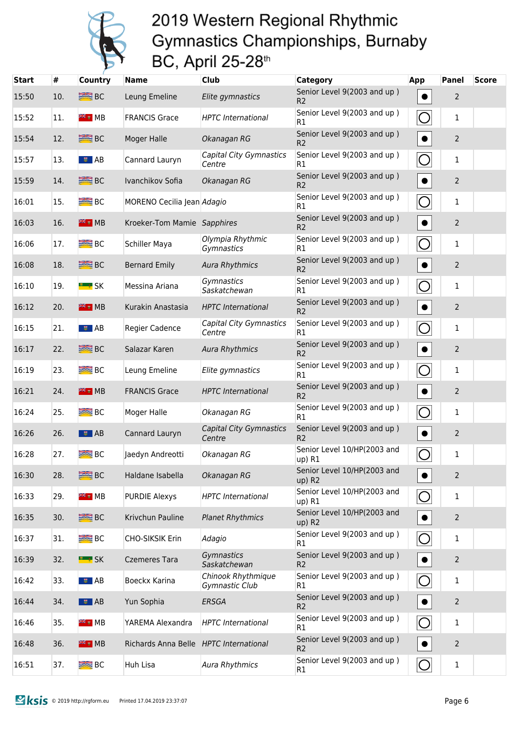

| <b>Start</b> | #   | <b>Country</b>                     | <b>Name</b>                            | <b>Club</b>                              | <b>Category</b>                               | App                   | <b>Panel</b>   | <b>Score</b> |
|--------------|-----|------------------------------------|----------------------------------------|------------------------------------------|-----------------------------------------------|-----------------------|----------------|--------------|
| 15:50        | 10. | <b>BE</b> BC                       | Leung Emeline                          | Elite gymnastics                         | Senior Level 9(2003 and up)<br>R <sub>2</sub> |                       | $\overline{2}$ |              |
| 15:52        | 11. |                                    | <b>FRANCIS Grace</b>                   | <b>HPTC</b> International                | Senior Level 9(2003 and up)<br>R1             | $\bigcirc$            | 1              |              |
| 15:54        | 12. | <b>SEE</b> BC                      | <b>Moger Halle</b>                     | Okanagan RG                              | Senior Level 9(2003 and up)<br>R <sub>2</sub> | $\bullet$             | $\overline{2}$ |              |
| 15:57        | 13. | $\blacksquare$ $\blacksquare$ $AB$ | Cannard Lauryn                         | Capital City Gymnastics<br>Centre        | Senior Level 9(2003 and up)<br>R1             | $\overline{O}$        | 1              |              |
| 15:59        | 14. | <b>SEE</b> BC                      | Ivanchikov Sofia                       | Okanagan RG                              | Senior Level 9(2003 and up)<br>R <sub>2</sub> | $\bullet$             | $\overline{2}$ |              |
| 16:01        | 15. | <b>BEE</b> BC                      | MORENO Cecilia Jean Adagio             |                                          | Senior Level 9(2003 and up)<br>R1             | $\bigcirc$            | 1              |              |
| 16:03        | 16. | <sup>米</sup> MB                    | Kroeker-Tom Mamie Sapphires            |                                          | Senior Level 9(2003 and up)<br>R <sub>2</sub> | $\bullet$             | $\overline{2}$ |              |
| 16:06        | 17. | $R = BC$                           | Schiller Maya                          | Olympia Rhythmic<br>Gymnastics           | Senior Level 9(2003 and up)<br>R1             | O                     | 1              |              |
| 16:08        | 18. | <b>SEE BC</b>                      | <b>Bernard Emily</b>                   | <b>Aura Rhythmics</b>                    | Senior Level 9(2003 and up)<br>R <sub>2</sub> | $\bullet$             | $\overline{2}$ |              |
| 16:10        | 19. | <u> " ;</u> SK                     | Messina Ariana                         | Gymnastics<br>Saskatchewan               | Senior Level 9(2003 and up)<br>R1             | $\bigcirc$            | 1              |              |
| 16:12        | 20. | <b>FIE</b> # MB                    | Kurakin Anastasia                      | <b>HPTC</b> International                | Senior Level 9(2003 and up)<br>R <sub>2</sub> | $\bullet$             | $\overline{2}$ |              |
| 16:15        | 21. | $\frac{1}{2}$ AB                   | Regier Cadence                         | Capital City Gymnastics<br>Centre        | Senior Level 9(2003 and up)<br>R1             | $\bigcirc$            | 1              |              |
| 16:17        | 22. | <b>SEE</b> BC                      | Salazar Karen                          | <b>Aura Rhythmics</b>                    | Senior Level 9(2003 and up)<br>R <sub>2</sub> | $\bullet$             | $\overline{2}$ |              |
| 16:19        | 23. | $B^{\text{max}}$                   | Leung Emeline                          | Elite gymnastics                         | Senior Level 9(2003 and up)<br>R1             | $\bigcirc$            | 1              |              |
| 16:21        | 24. | <sup>米</sup> MB                    | <b>FRANCIS Grace</b>                   | <b>HPTC</b> International                | Senior Level 9(2003 and up)<br>R <sub>2</sub> | $\bullet$             | $\overline{2}$ |              |
| 16:24        | 25. | $B^{\text{max}}$                   | Moger Halle                            | Okanagan RG                              | Senior Level 9(2003 and up)<br>R1             | $\bigcirc$            | 1              |              |
| 16:26        | 26. | ■■ AB                              | Cannard Lauryn                         | <b>Capital City Gymnastics</b><br>Centre | Senior Level 9(2003 and up)<br>R <sub>2</sub> | $\bullet$             | $\overline{2}$ |              |
| 16:28        | 27. | <b>BIG</b> BC                      | Jaedyn Andreotti                       | Okanagan RG                              | Senior Level 10/HP(2003 and<br>up) R1         | $\bigcirc$            | 1              |              |
| 16:30        | 28. | <b>SEE</b> BC                      | Haldane Isabella                       | Okanagan RG                              | Senior Level 10/HP(2003 and<br>$up)$ R2       |                       | $\overline{2}$ |              |
| 16:33        | 29. | <sup>₩</sup> ₹ ₩ MB                | <b>PURDIE Alexys</b>                   | <b>HPTC</b> International                | Senior Level 10/HP(2003 and<br>$up)$ R1       | $\overline{O}$        | $\mathbf{1}$   |              |
| 16:35        | 30. | <b>SEE</b> BC                      | Krivchun Pauline                       | <b>Planet Rhythmics</b>                  | Senior Level 10/HP(2003 and<br>up) R2         | $\bullet$             | $\overline{2}$ |              |
| 16:37        | 31. | $B^{\text{max}}$                   | CHO-SIKSIK Erin                        | Adagio                                   | Senior Level 9(2003 and up)<br>R1             | $\overline{O}$        | $\mathbf{1}$   |              |
| 16:39        | 32. | <b>ELLE</b> SK                     | <b>Czemeres Tara</b>                   | Gymnastics<br>Saskatchewan               | Senior Level 9(2003 and up)<br>R <sub>2</sub> | $\bullet$             | $\overline{2}$ |              |
| 16:42        | 33. | $\overline{\bullet}$ AB            | Boeckx Karina                          | Chinook Rhythmique<br>Gymnastic Club     | Senior Level 9(2003 and up)<br>R1             | $\overline{\bigcirc}$ | $\mathbf{1}$   |              |
| 16:44        | 34. | <b>■</b> AB                        | Yun Sophia                             | ERSGA                                    | Senior Level 9(2003 and up)<br>R <sub>2</sub> | $\bullet$             | $\overline{2}$ |              |
| 16:46        | 35. | <sup>≽⊯</sup> ⊮B                   | YAREMA Alexandra                       | <b>HPTC</b> International                | Senior Level 9(2003 and up)<br>R1             | $\overline{O}$        | $\mathbf{1}$   |              |
| 16:48        | 36. | <b>FIE</b> # MB                    | Richards Anna Belle HPTC International |                                          | Senior Level 9(2003 and up)<br>R <sub>2</sub> | $\bullet$             | $\overline{2}$ |              |
| 16:51        | 37. | $R = BC$                           | Huh Lisa                               | <b>Aura Rhythmics</b>                    | Senior Level 9(2003 and up)<br>R1             | $\bigcirc$            | $\mathbf{1}$   |              |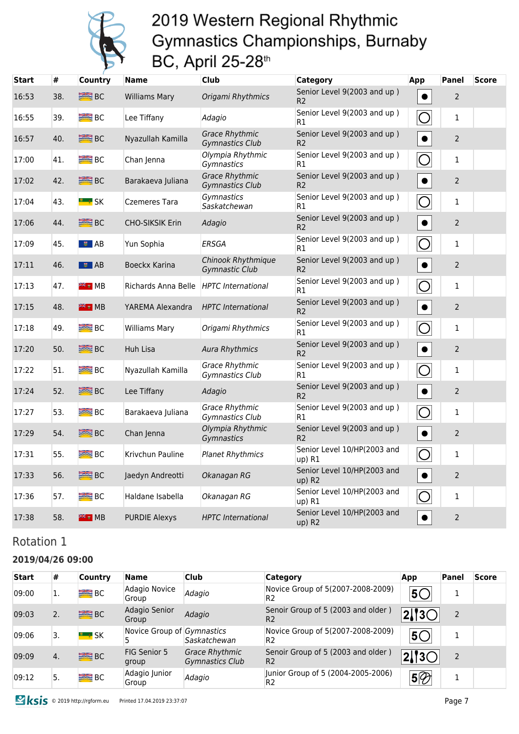

| Start | #   | <b>Country</b>      | <b>Name</b>            | <b>Club</b>                                        | Category                                      | App            | Panel          | <b>Score</b> |
|-------|-----|---------------------|------------------------|----------------------------------------------------|-----------------------------------------------|----------------|----------------|--------------|
| 16:53 | 38. | <b>BEE</b> BC       | <b>Williams Mary</b>   | Origami Rhythmics                                  | Senior Level 9(2003 and up)<br>R <sub>2</sub> | $\bullet$      | $\overline{2}$ |              |
| 16:55 | 39. | <b>SEE</b> BC       | Lee Tiffany            | Adagio                                             | Senior Level 9(2003 and up)<br>R1             | $\bigcirc$     | 1              |              |
| 16:57 | 40. | $\equiv$ BC         | Nyazullah Kamilla      | <b>Grace Rhythmic</b><br>Gymnastics Club           | Senior Level 9(2003 and up)<br>R <sub>2</sub> | $\bullet$      | $\overline{2}$ |              |
| 17:00 | 41. | <b>BIER</b> BC      | Chan Jenna             | Olympia Rhythmic<br>Gymnastics                     | Senior Level 9(2003 and up)<br>R1             | $\overline{O}$ | $\mathbf{1}$   |              |
| 17:02 | 42. | $\equiv$ BC         | Barakaeva Juliana      | <b>Grace Rhythmic</b><br><b>Gymnastics Club</b>    | Senior Level 9(2003 and up)<br>R <sub>2</sub> | $\bullet$      | $\overline{2}$ |              |
| 17:04 | 43. | <b>LE # SK</b>      | Czemeres Tara          | Gymnastics<br>Saskatchewan                         | Senior Level 9(2003 and up)<br>R1             | $\bigcirc$     | 1              |              |
| 17:06 | 44. | <b>SEE BC</b>       | <b>CHO-SIKSIK Erin</b> | Adagio                                             | Senior Level 9(2003 and up)<br>R <sub>2</sub> | $\bullet$      | $\overline{2}$ |              |
| 17:09 | 45. | $\bullet$ AB        | Yun Sophia             | <b>ERSGA</b>                                       | Senior Level 9(2003 and up)<br>R1             | $\overline{O}$ | $\mathbf{1}$   |              |
| 17:11 | 46. | । ≢ AB              | Boeckx Karina          | <b>Chinook Rhythmique</b><br><b>Gymnastic Club</b> | Senior Level 9(2003 and up)<br>R <sub>2</sub> | $\bullet$      | $\overline{2}$ |              |
| 17:13 | 47. | <sup>≋⊯</sup> ⊮ MB  | Richards Anna Belle    | <b>HPTC</b> International                          | Senior Level 9(2003 and up)<br>R1             | $\bigcirc$     | $\mathbf{1}$   |              |
| 17:15 | 48. | <sup>₩</sup> .      | YAREMA Alexandra       | <b>HPTC</b> International                          | Senior Level 9(2003 and up)<br>R <sub>2</sub> | $\bullet$      | $\overline{2}$ |              |
| 17:18 | 49. | B <sub>C</sub>      | <b>Williams Mary</b>   | Origami Rhythmics                                  | Senior Level 9(2003 and up)<br>R1             | $\overline{O}$ | $\mathbf{1}$   |              |
| 17:20 | 50. | <b>SEE BC</b>       | Huh Lisa               | <b>Aura Rhythmics</b>                              | Senior Level 9(2003 and up)<br>R <sub>2</sub> | $\bullet$      | $\overline{2}$ |              |
| 17:22 | 51. | $B^{\text{max}}$ BC | Nyazullah Kamilla      | <b>Grace Rhythmic</b><br>Gymnastics Club           | Senior Level 9(2003 and up)<br>R1             | $\bigcirc$     | $\mathbf{1}$   |              |
| 17:24 | 52. | B <sub>C</sub>      | Lee Tiffany            | Adagio                                             | Senior Level 9(2003 and up)<br>R <sub>2</sub> | $\bullet$      | $\overline{2}$ |              |
| 17:27 | 53. | BC                  | Barakaeva Juliana      | <b>Grace Rhythmic</b><br>Gymnastics Club           | Senior Level 9(2003 and up)<br>R1             | $\overline{O}$ | $\mathbf{1}$   |              |
| 17:29 | 54. | <b>SEE BC</b>       | Chan Jenna             | Olympia Rhythmic<br>Gymnastics                     | Senior Level 9(2003 and up)<br>R <sub>2</sub> | $\bullet$      | $\mathbf 2$    |              |
| 17:31 | 55. | $B^{\text{max}}$ BC | Krivchun Pauline       | <b>Planet Rhythmics</b>                            | Senior Level 10/HP(2003 and<br>up) R1         | $\bigcirc$     | $\mathbf{1}$   |              |
| 17:33 | 56. | <b>SEE BC</b>       | Jaedyn Andreotti       | Okanagan RG                                        | Senior Level 10/HP(2003 and<br>up) R2         | $\bullet$      | $\overline{2}$ |              |
| 17:36 | 57. | <b>BEE</b> BC       | Haldane Isabella       | Okanagan RG                                        | Senior Level 10/HP(2003 and<br>up) R1         | $\bigcirc$     | $\mathbf{1}$   |              |
| 17:38 | 58. | <sup>≽⊯</sup> ∎ MB  | <b>PURDIE Alexys</b>   | <b>HPTC</b> International                          | Senior Level 10/HP(2003 and<br>up) R2         | $\bullet$      | $\overline{2}$ |              |

### Rotation 1

#### **2019/04/26 09:00**

| <b>Start</b> | #  | <b>Country</b>   | <b>Name</b>                | <b>Club</b>                                     | <b>Category</b>                                      | App              | <b>Panel</b> | <b>Score</b> |
|--------------|----|------------------|----------------------------|-------------------------------------------------|------------------------------------------------------|------------------|--------------|--------------|
| 09:00        |    | <b>BE</b> BC     | Adagio Novice<br>Group     | Adagio                                          | Novice Group of 5(2007-2008-2009)<br>R <sub>2</sub>  | $5^{\circ}$      |              |              |
| 09:03        | 2. | <b>SEE BC</b>    | Adagio Senior<br>Group     | Adagio                                          | Senoir Group of 5 (2003 and older)<br>R <sub>2</sub> | $\sqrt{2}/3$     |              |              |
| 09:06        | 3. | $\frac{1}{2}$ SK | Novice Group of Gymnastics | Saskatchewan                                    | Novice Group of 5(2007-2008-2009)<br>R <sub>2</sub>  | 50               |              |              |
| 09:09        | 4. | <b>SEE BC</b>    | FIG Senior 5<br>group      | <b>Grace Rhythmic</b><br><b>Gymnastics Club</b> | Senoir Group of 5 (2003 and older)<br>R <sub>2</sub> | $\sqrt{2}/3$     |              |              |
| 09:12        | 5. | <b>BRE</b> BC    | Adagio Junior<br>Group     | Adagio                                          | Junior Group of 5 (2004-2005-2006)<br>R2             | $\overline{5\%}$ |              |              |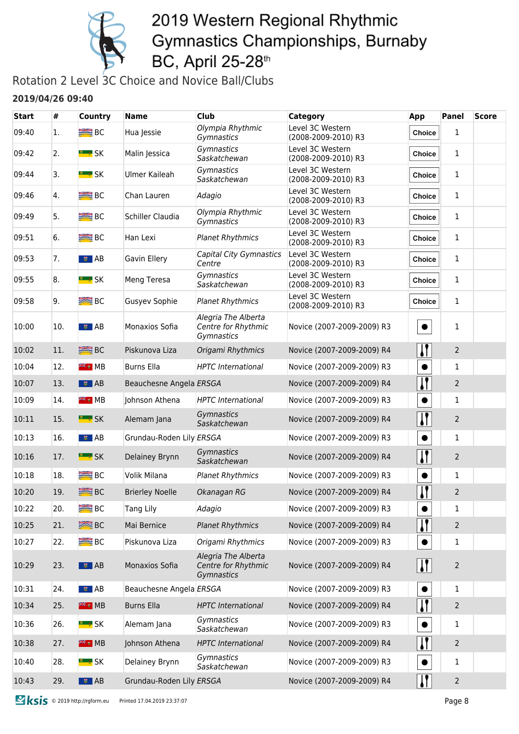

### Rotation 2 Level 3C Choice and Novice Ball/Clubs

#### **2019/04/26 09:40**

| <b>Start</b> | #   | <b>Country</b>   | <b>Name</b>              | Club                                                     | Category                                | App           | <b>Panel</b>   | <b>Score</b> |
|--------------|-----|------------------|--------------------------|----------------------------------------------------------|-----------------------------------------|---------------|----------------|--------------|
| 09:40        | 1.  | B <sub>C</sub>   | Hua Jessie               | Olympia Rhythmic<br>Gymnastics                           | Level 3C Western<br>(2008-2009-2010) R3 | Choice        | 1              |              |
| 09:42        | 2.  | <b>E</b> * SK    | Malin Jessica            | Gymnastics<br>Saskatchewan                               | Level 3C Western<br>(2008-2009-2010) R3 | <b>Choice</b> | 1              |              |
| 09:44        | 3.  |                  | Ulmer Kaileah            | Gymnastics<br>Saskatchewan                               | Level 3C Western<br>(2008-2009-2010) R3 | Choice        | 1              |              |
| 09:46        | 4.  | B <sub>C</sub>   | Chan Lauren              | Adagio                                                   | Level 3C Western<br>(2008-2009-2010) R3 | <b>Choice</b> | 1              |              |
| 09:49        | 5.  | B <sub>C</sub>   | Schiller Claudia         | Olympia Rhythmic<br>Gymnastics                           | Level 3C Western<br>(2008-2009-2010) R3 | <b>Choice</b> | 1              |              |
| 09:51        | 6.  | $R = BC$         | Han Lexi                 | <b>Planet Rhythmics</b>                                  | Level 3C Western<br>(2008-2009-2010) R3 | Choice        | $\mathbf{1}$   |              |
| 09:53        | 7.  | ■■ AB            | Gavin Ellery             | Capital City Gymnastics<br>Centre                        | Level 3C Western<br>(2008-2009-2010) R3 | Choice        | 1              |              |
| 09:55        | 8.  | <u>" ∗</u> SK    | Meng Teresa              | Gymnastics<br>Saskatchewan                               | Level 3C Western<br>(2008-2009-2010) R3 | Choice        | 1              |              |
| 09:58        | 9.  | <b>ERE</b> BC    | <b>Gusyev Sophie</b>     | <b>Planet Rhythmics</b>                                  | Level 3C Western<br>(2008-2009-2010) R3 | Choice        | $\mathbf{1}$   |              |
| 10:00        | 10. | $\frac{1}{2}$ AB | Monaxios Sofia           | Alegria The Alberta<br>Centre for Rhythmic<br>Gymnastics | Novice (2007-2009-2009) R3              | $\bullet$     | 1              |              |
| 10:02        | 11. | <b>BEE</b> BC    | Piskunova Liza           | Origami Rhythmics                                        | Novice (2007-2009-2009) R4              | $\mathbf{I}$  | $\overline{2}$ |              |
| 10:04        | 12. | <b>FREE</b> MB   | <b>Burns Ella</b>        | <b>HPTC</b> International                                | Novice (2007-2009-2009) R3              |               | $\mathbf{1}$   |              |
| 10:07        | 13. | $\frac{1}{2}$ AB | Beauchesne Angela ERSGA  |                                                          | Novice (2007-2009-2009) R4              | $\mathbf{I}$  | $\overline{2}$ |              |
| 10:09        | 14. | <b>FREE</b> MB   | Johnson Athena           | <b>HPTC</b> International                                | Novice (2007-2009-2009) R3              | $\bullet$     | $\mathbf{1}$   |              |
| 10:11        | 15. | <b>E</b> SK      | Alemam Jana              | Gymnastics<br>Saskatchewan                               | Novice (2007-2009-2009) R4              | $\mathbf{I}$  | $\overline{2}$ |              |
| 10:13        | 16. | F SIAB           | Grundau-Roden Lily ERSGA |                                                          | Novice (2007-2009-2009) R3              |               | $\mathbf{1}$   |              |
| 10:16        | 17. | <b>E</b> * SK    | Delainey Brynn           | Gymnastics<br>Saskatchewan                               | Novice (2007-2009-2009) R4              | $\mathbf{I}$  | $\overline{2}$ |              |
| 10:18        | 18. | $R = BC$         | Volik Milana             | <b>Planet Rhythmics</b>                                  | Novice (2007-2009-2009) R3              |               | 1              |              |
| 10:20        | 19. | <b>SEE</b> BC    | <b>Brierley Noelle</b>   | Okanagan RG                                              | Novice (2007-2009-2009) R4              | $\bf{l}$      | $\overline{2}$ |              |
| 10:22        | 20. | $R = BC$         | Tang Lily                | Adagio                                                   | Novice (2007-2009-2009) R3              | ●             | 1              |              |
| 10:25        | 21. | <b>SEE</b> BC    | Mai Bernice              | <b>Planet Rhythmics</b>                                  | Novice (2007-2009-2009) R4              |               | $\overline{2}$ |              |
| 10:27        | 22. | <b>BE</b> BC     | Piskunova Liza           | Origami Rhythmics                                        | Novice (2007-2009-2009) R3              |               | $\mathbf{1}$   |              |
| 10:29        | 23. | $\frac{1}{2}$ AB | Monaxios Sofia           | Alegria The Alberta<br>Centre for Rhythmic<br>Gymnastics | Novice (2007-2009-2009) R4              | $\mathbf{H}$  | $\overline{2}$ |              |
| 10:31        | 24. | ■■ AB            | Beauchesne Angela ERSGA  |                                                          | Novice (2007-2009-2009) R3              |               | $\mathbf{1}$   |              |
| 10:34        | 25. | $**$ MB          | <b>Burns Ella</b>        | <b>HPTC</b> International                                | Novice (2007-2009-2009) R4              |               | $\overline{2}$ |              |
| 10:36        | 26. | <u>" ∗</u> SK    | Alemam Jana              | Gymnastics<br>Saskatchewan                               | Novice (2007-2009-2009) R3              |               | 1              |              |
| 10:38        | 27. | <sup>≥</sup> MB  | Johnson Athena           | <b>HPTC</b> International                                | Novice (2007-2009-2009) R4              | $\mathbf{I}$  | $\overline{2}$ |              |
| 10:40        | 28. | <b>E</b> * SK    | Delainey Brynn           | Gymnastics<br>Saskatchewan                               | Novice (2007-2009-2009) R3              |               | $\mathbf{1}$   |              |
| 10:43        | 29. | $\frac{1}{2}$ AB | Grundau-Roden Lily ERSGA |                                                          | Novice (2007-2009-2009) R4              |               | $\overline{2}$ |              |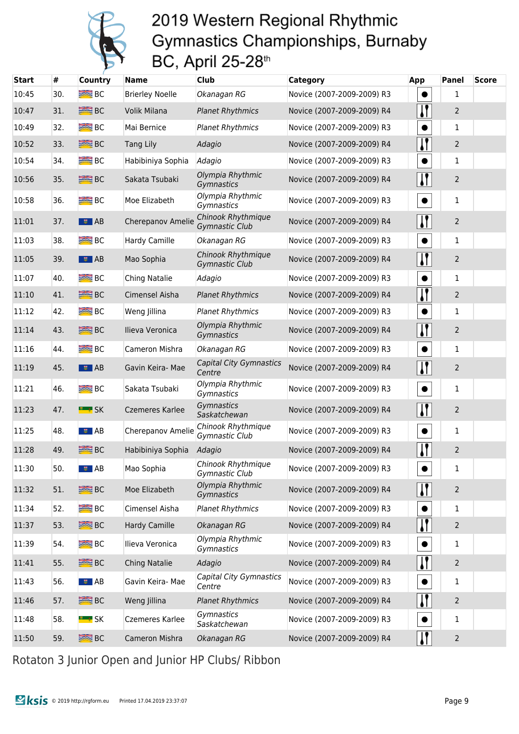

| <b>Start</b> | #   | <b>Country</b>      | <b>Name</b>            | Club                                     | Category                   | App                   | Panel          | <b>Score</b> |
|--------------|-----|---------------------|------------------------|------------------------------------------|----------------------------|-----------------------|----------------|--------------|
| 10:45        | 30. | $B^{\text{max}}$ BC | <b>Brierley Noelle</b> | Okanagan RG                              | Novice (2007-2009-2009) R3 |                       | 1              |              |
| 10:47        | 31. | <b>ERE</b> BC       | Volik Milana           | <b>Planet Rhythmics</b>                  | Novice (2007-2009-2009) R4 | $\mathbf{I}$          | $\overline{c}$ |              |
| 10:49        | 32. | <b>BEE</b> BC       | Mai Bernice            | <b>Planet Rhythmics</b>                  | Novice (2007-2009-2009) R3 |                       | $\mathbf{1}$   |              |
| 10:52        | 33. | <b>ERE</b> BC       | <b>Tang Lily</b>       | Adagio                                   | Novice (2007-2009-2009) R4 | $\mathbf{l}$          | 2              |              |
| 10:54        | 34. | $B^{\text{max}}$    | Habibiniya Sophia      | Adagio                                   | Novice (2007-2009-2009) R3 |                       | 1              |              |
| 10:56        | 35. | <b>SEE BC</b>       | Sakata Tsubaki         | Olympia Rhythmic<br>Gymnastics           | Novice (2007-2009-2009) R4 | $\mathbf{I}$          | 2              |              |
| 10:58        | 36. | <b>BEE</b> BC       | Moe Elizabeth          | Olympia Rhythmic<br>Gymnastics           | Novice (2007-2009-2009) R3 |                       | $\mathbf{1}$   |              |
| 11:01        | 37. | $\frac{1}{2}$ AB    | Cherepanov Amelie      | Chinook Rhythmique<br>Gymnastic Club     | Novice (2007-2009-2009) R4 | $\mathbf{I}$          | 2              |              |
| 11:03        | 38. | <b>ERE</b> BC       | Hardy Camille          | Okanagan RG                              | Novice (2007-2009-2009) R3 | $\bullet$             | $\mathbf{1}$   |              |
| 11:05        | 39. | $\frac{1}{2}$ AB    | Mao Sophia             | Chinook Rhythmique<br>Gymnastic Club     | Novice (2007-2009-2009) R4 | $\mathbf{I}$          | $\overline{c}$ |              |
| 11:07        | 40. | $R = BC$            | Ching Natalie          | Adagio                                   | Novice (2007-2009-2009) R3 |                       | 1              |              |
| 11:10        | 41. | <b>BRE</b> BC       | Cimensel Aisha         | <b>Planet Rhythmics</b>                  | Novice (2007-2009-2009) R4 | 11                    | 2              |              |
| 11:12        | 42. | $R = BC$            | Weng Jillina           | <b>Planet Rhythmics</b>                  | Novice (2007-2009-2009) R3 |                       | 1              |              |
| 11:14        | 43. | <b>ERE</b> BC       | Ilieva Veronica        | Olympia Rhythmic<br>Gymnastics           | Novice (2007-2009-2009) R4 | $\mathbf{I}$          | $\overline{c}$ |              |
| 11:16        | 44. | $B^{\text{max}}$ BC | Cameron Mishra         | Okanagan RG                              | Novice (2007-2009-2009) R3 |                       | 1              |              |
| 11:19        | 45. | $\frac{1}{2}$ AB    | Gavin Keira- Mae       | <b>Capital City Gymnastics</b><br>Centre | Novice (2007-2009-2009) R4 | $\mathbf{l}$          | 2              |              |
| 11:21        | 46. | $B^{\text{max}}$ BC | Sakata Tsubaki         | Olympia Rhythmic<br>Gymnastics           | Novice (2007-2009-2009) R3 | $\bullet$             | 1              |              |
| 11:23        | 47. | <b>E</b> # SK       | Czemeres Karlee        | Gymnastics<br>Saskatchewan               | Novice (2007-2009-2009) R4 | $\mathbf{I}$          | $\overline{c}$ |              |
| 11:25        | 48. | ■ ■ AB              | Cherepanov Amelie      | Chinook Rhythmique<br>Gymnastic Club     | Novice (2007-2009-2009) R3 | $\bullet$             | 1              |              |
| 11:28        | 49. | <b>SEE</b> BC       | Habibiniya Sophia      | Adagio                                   | Novice (2007-2009-2009) R4 | $\mathbf{\mathsf{N}}$ | $\overline{c}$ |              |
| 11:30        | 50. | $\frac{1}{2}$ AB    | Mao Sophia             | Chinook Rhythmique<br>Gymnastic Club     | Novice (2007-2009-2009) R3 |                       | 1              |              |
| 11:32        | 51. | <b>SEE BC</b>       | Moe Elizabeth          | Olympia Rhythmic<br>Gymnastics           | Novice (2007-2009-2009) R4 | $\mathbf{l}$          | 2              |              |
| 11:34        | 52. | $B^{\text{max}}$ BC | Cimensel Aisha         | <b>Planet Rhythmics</b>                  | Novice (2007-2009-2009) R3 |                       | 1              |              |
| 11:37        | 53. | <b>SEE</b> BC       | Hardy Camille          | Okanagan RG                              | Novice (2007-2009-2009) R4 | $\mathbf{I}$          | $\overline{c}$ |              |
| 11:39        | 54. | $B^{\text{max}}$    | Ilieva Veronica        | Olympia Rhythmic<br>Gymnastics           | Novice (2007-2009-2009) R3 | $\bullet$             | 1              |              |
| 11:41        | 55. | <b>SEE</b> BC       | Ching Natalie          | Adagio                                   | Novice (2007-2009-2009) R4 | $\mathbf{l}$          | 2              |              |
| 11:43        | 56. | $\frac{1}{2}$ AB    | Gavin Keira- Mae       | Capital City Gymnastics<br>Centre        | Novice (2007-2009-2009) R3 |                       | $\mathbf 1$    |              |
| 11:46        | 57. | <b>SEE</b> BC       | Weng Jillina           | <b>Planet Rhythmics</b>                  | Novice (2007-2009-2009) R4 | $\mathbf{I}$          | 2              |              |
| 11:48        | 58. | <b>E</b> * SK       | Czemeres Karlee        | Gymnastics<br>Saskatchewan               | Novice (2007-2009-2009) R3 | $\bullet$             | 1              |              |
| 11:50        | 59. | <b>SEE</b> BC       | Cameron Mishra         | Okanagan RG                              | Novice (2007-2009-2009) R4 | $\mathbf{I}$          | $\overline{c}$ |              |

Rotaton 3 Junior Open and Junior HP Clubs/ Ribbon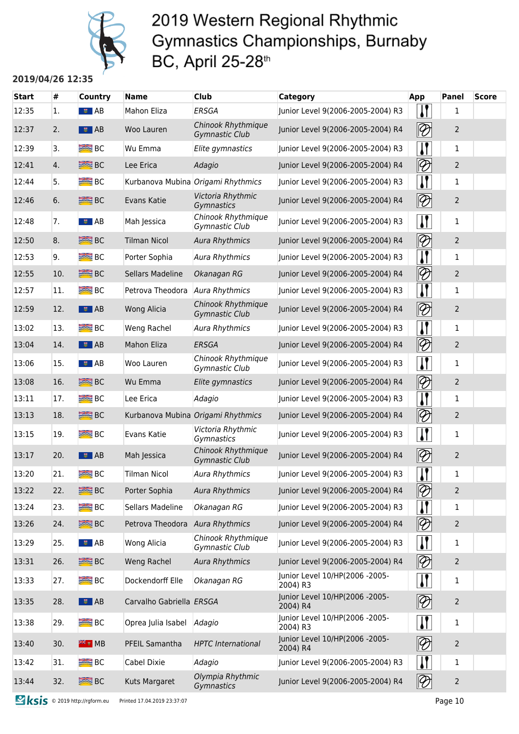

#### **2019/04/26 12:35**

| <b>Start</b> | #   | <b>Country</b>          | <b>Name</b>              | <b>Club</b>                                 | <b>Category</b>                            | App                                 | <b>Panel</b>   | <b>Score</b> |
|--------------|-----|-------------------------|--------------------------|---------------------------------------------|--------------------------------------------|-------------------------------------|----------------|--------------|
| 12:35        | 1.  | $\sqrt{2}$ AB           | Mahon Eliza              | <b>ERSGA</b>                                | Junior Level 9(2006-2005-2004) R3          | $\mathbf{\mathcal{U}}$              | 1              |              |
| 12:37        | 2.  | $\overline{\bullet}$ AB | Woo Lauren               | Chinook Rhythmique<br><b>Gymnastic Club</b> | Junior Level 9(2006-2005-2004) R4          | $\lvert\!\lvert\mathcal{D}\rvert$   | $\overline{2}$ |              |
| 12:39        | 3.  | <b>BEE</b> BC           | Wu Emma                  | Elite gymnastics                            | Junior Level 9(2006-2005-2004) R3          | $\mathbf{\mathcal{U}}$              | 1              |              |
| 12:41        | 4.  | <b>SEE</b> BC           | Lee Erica                | Adagio                                      | Junior Level 9(2006-2005-2004) R4          | $\otimes$                           | $\overline{2}$ |              |
| 12:44        | 5.  | $B^{\text{max}}$ BC     |                          | Kurbanova Mubina Origami Rhythmics          | Junior Level 9(2006-2005-2004) R3          | $\mathbf{I}$                        | 1              |              |
| 12:46        | 6.  | <b>SEE BC</b>           | Evans Katie              | Victoria Rhythmic<br>Gymnastics             | Junior Level 9(2006-2005-2004) R4          | $\lvert\!\lvert\mathcal{D}\rvert$   | $\overline{2}$ |              |
| 12:48        | 7.  | ■■ AB                   | Mah Jessica              | Chinook Rhythmique<br>Gymnastic Club        | Junior Level 9(2006-2005-2004) R3          | $\mathbf{I}$                        | 1              |              |
| 12:50        | 8.  | <b>SEE</b> BC           | <b>Tilman Nicol</b>      | <b>Aura Rhythmics</b>                       | Junior Level 9(2006-2005-2004) R4          | $\lvert\!\lvert\mathcal{D}\rvert$   | $\overline{2}$ |              |
| 12:53        | 9.  | B <sub>C</sub>          | Porter Sophia            | <b>Aura Rhythmics</b>                       | Junior Level 9(2006-2005-2004) R3          | $\boldsymbol{\mathsf{I}}$           | 1              |              |
| 12:55        | 10. | <b>BRE</b> BC           | <b>Sellars Madeline</b>  | Okanagan RG                                 | Junior Level 9(2006-2005-2004) R4          | $\lvert\!\!\lvert\mathcal{D}\rvert$ | $\overline{2}$ |              |
| 12:57        | 11. | $R = BC$                | Petrova Theodora         | <b>Aura Rhythmics</b>                       | Junior Level 9(2006-2005-2004) R3          | $\mathbf{I}$                        | 1              |              |
| 12:59        | 12. | $\frac{1}{2}$ AB        | <b>Wong Alicia</b>       | Chinook Rhythmique<br><b>Gymnastic Club</b> | Junior Level 9(2006-2005-2004) R4          | $ \mathcal{D} $                     | $\overline{2}$ |              |
| 13:02        | 13. | <b>BRE</b> BC           | Weng Rachel              | <b>Aura Rhythmics</b>                       | Junior Level 9(2006-2005-2004) R3          | $\mathbf{l}$                        | 1              |              |
| 13:04        | 14. | $\overline{5}$ $AB$     | <b>Mahon Eliza</b>       | <b>ERSGA</b>                                | Junior Level 9(2006-2005-2004) R4          | $\lvert\!\lvert\mathcal{D}\rvert$   | $\overline{2}$ |              |
| 13:06        | 15. | ■■ AB                   | Woo Lauren               | Chinook Rhythmique<br>Gymnastic Club        | Junior Level 9(2006-2005-2004) R3          | $\mathbf{I}$                        | 1              |              |
| 13:08        | 16. | <b>SEE BC</b>           | Wu Emma                  | Elite gymnastics                            | Junior Level 9(2006-2005-2004) R4          | $\lvert\!\!\lvert\mathcal{D}\rvert$ | $\overline{2}$ |              |
| 13:11        | 17. | <b>ERE</b> BC           | Lee Erica                | Adagio                                      | Junior Level 9(2006-2005-2004) R3          | $\mathbf{I}$                        | 1              |              |
| 13:13        | 18. | <b>SEE</b> BC           |                          | Kurbanova Mubina Origami Rhythmics          | Junior Level 9(2006-2005-2004) R4          | $\lvert\!\lvert\mathcal{D}\rvert$   | $\overline{2}$ |              |
| 13:15        | 19. | $R = BC$                | Evans Katie              | Victoria Rhythmic<br>Gymnastics             | Junior Level 9(2006-2005-2004) R3          | $\mathbf{I}$                        | 1              |              |
| 13:17        | 20. | $\overline{\bullet}$ AB | Mah Jessica              | Chinook Rhythmique<br><b>Gymnastic Club</b> | Junior Level 9(2006-2005-2004) R4          | $\lvert\!\lvert\mathcal{D}\rvert$   | $\overline{2}$ |              |
| 13:20        | 21. | $R = BC$                | <b>Tilman Nicol</b>      | <b>Aura Rhythmics</b>                       | Junior Level 9(2006-2005-2004) R3          | 11                                  | 1              |              |
| 13:22        | 22. | <b>SEE</b> BC           | Porter Sophia            | <b>Aura Rhythmics</b>                       | Junior Level 9(2006-2005-2004) R4          | $\otimes$                           | $\overline{2}$ |              |
| 13:24        | 23. | $B^{\text{max}}$        | Sellars Madeline         | Okanagan RG                                 | Junior Level 9(2006-2005-2004) R3          |                                     | 1              |              |
| 13:26        | 24. | <b>SEE</b> BC           | Petrova Theodora         | <b>Aura Rhythmics</b>                       | Junior Level 9(2006-2005-2004) R4          | $ \mathcal{D} $                     | 2              |              |
| 13:29        | 25. | $\frac{1}{2}$ AB        | <b>Wong Alicia</b>       | Chinook Rhythmique<br>Gymnastic Club        | Junior Level 9(2006-2005-2004) R3          | $\mathbf{H}$                        | 1              |              |
| 13:31        | 26. | <b>SEE BC</b>           | Weng Rachel              | <b>Aura Rhythmics</b>                       | Junior Level 9(2006-2005-2004) R4          | $ \mathcal{D} $                     | $\overline{2}$ |              |
| 13:33        | 27. | $R = BC$                | Dockendorff Elle         | Okanagan RG                                 | Junior Level 10/HP(2006 -2005-<br>2004) R3 | $\mathbf{H}$                        | 1              |              |
| 13:35        | 28. | $\bullet$ AB            | Carvalho Gabriella ERSGA |                                             | Junior Level 10/HP(2006 -2005-<br>2004) R4 | $\lvert\!\lvert\mathcal{D}\rvert$   | $\overline{2}$ |              |
| 13:38        | 29. | <b>BIE</b> BC           | Oprea Julia Isabel       | Adagio                                      | Junior Level 10/HP(2006 -2005-<br>2004) R3 | $\mathbf{I}$                        | 1              |              |
| 13:40        | 30. | <b>米 H</b> MB           | PFEIL Samantha           | <b>HPTC</b> International                   | Junior Level 10/HP(2006 -2005-<br>2004) R4 | $\lvert\!\lvert\mathcal{D}\rvert$   | $\overline{2}$ |              |
| 13:42        | 31. | $B^{\text{max}}$        | Cabel Dixie              | Adagio                                      | Junior Level 9(2006-2005-2004) R3          |                                     | 1              |              |
| 13:44        | 32. | <b>SEE</b> BC           | Kuts Margaret            | Olympia Rhythmic<br>Gymnastics              | Junior Level 9(2006-2005-2004) R4          | $\lvert\!\lvert\mathcal{D}\rvert$   | $\overline{2}$ |              |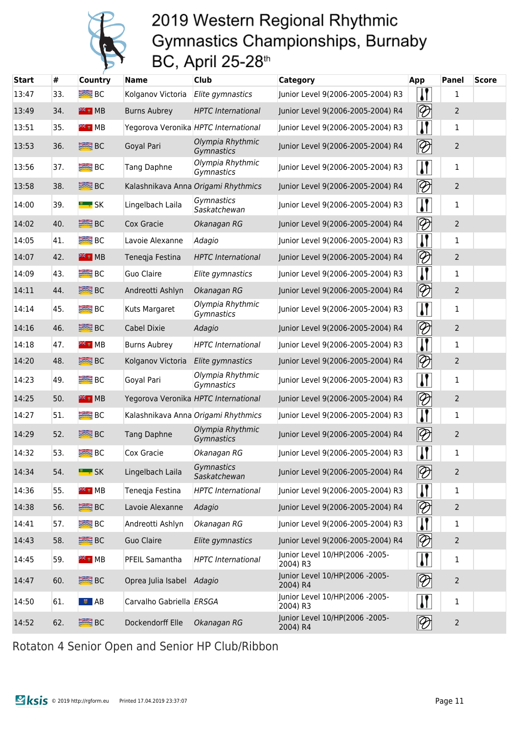

| <b>Start</b> | #   | <b>Country</b>      | <b>Name</b>              | <b>Club</b>                          | Category                                   | <b>App</b>                             | Panel          | <b>Score</b> |
|--------------|-----|---------------------|--------------------------|--------------------------------------|--------------------------------------------|----------------------------------------|----------------|--------------|
| 13:47        | 33. | $R = BC$            | Kolganov Victoria        | Elite gymnastics                     | Junior Level 9(2006-2005-2004) R3          |                                        | 1              |              |
| 13:49        | 34. | <b>FREE</b> MB      | <b>Burns Aubrey</b>      | <b>HPTC</b> International            | Junior Level 9(2006-2005-2004) R4          | $\lvert\!\lvert\mathcal{D}\rvert$      | $\overline{2}$ |              |
| 13:51        | 35. | <sup>a</sup> i MB   |                          | Yegorova Veronika HPTC International | Junior Level 9(2006-2005-2004) R3          |                                        | 1              |              |
| 13:53        | 36. | <b>SEE BC</b>       | Goyal Pari               | Olympia Rhythmic<br>Gymnastics       | Junior Level 9(2006-2005-2004) R4          | $\lvert\!\lvert\mathcal{D}\rvert$      | $\overline{2}$ |              |
| 13:56        | 37. | <b>BE</b> BC        | Tang Daphne              | Olympia Rhythmic<br>Gymnastics       | Junior Level 9(2006-2005-2004) R3          | $\mathbf{\mathsf{N}}$                  | $\mathbf 1$    |              |
| 13:58        | 38. | <b>ERE</b> BC       |                          | Kalashnikava Anna Origami Rhythmics  | Junior Level 9(2006-2005-2004) R4          | $\lvert\!\lvert\mathcal{D}\rvert$      | $\overline{2}$ |              |
| 14:00        | 39. | <b>E</b> * SK       | Lingelbach Laila         | Gymnastics<br>Saskatchewan           | Junior Level 9(2006-2005-2004) R3          | $\mathbf{I}$                           | 1              |              |
| 14:02        | 40. | <b>SEE</b> BC       | Cox Gracie               | Okanagan RG                          | Junior Level 9(2006-2005-2004) R4          | $\lvert\!\lvert\mathcal{D}\rvert$      | $\overline{2}$ |              |
| 14:05        | 41. | <b>BEE</b> BC       | Lavoie Alexanne          | Adagio                               | Junior Level 9(2006-2005-2004) R3          |                                        | $\mathbf 1$    |              |
| 14:07        | 42. | <del>第</del> MB     | Tenegja Festina          | <b>HPTC</b> International            | Junior Level 9(2006-2005-2004) R4          | $\lvert\!\lvert\mathcal{D}\rvert$      | $\overline{2}$ |              |
| 14:09        | 43. | $R = BC$            | Guo Claire               | Elite gymnastics                     | Junior Level 9(2006-2005-2004) R3          |                                        | 1              |              |
| 14:11        | 44. | <b>SEE</b> BC       | Andreotti Ashlyn         | Okanagan RG                          | Junior Level 9(2006-2005-2004) R4          | $\lvert\!\lvert\mathcal{D}\rvert$      | $\overline{2}$ |              |
| 14:14        | 45. | $R = BC$            | Kuts Margaret            | Olympia Rhythmic<br>Gymnastics       | Junior Level 9(2006-2005-2004) R3          | $\mathbf{I}$                           | 1              |              |
| 14:16        | 46. | <b>SEE BC</b>       | Cabel Dixie              | Adagio                               | Junior Level 9(2006-2005-2004) R4          | $\lvert\!\lvert\mathcal{D}\rvert$      | $\overline{2}$ |              |
| 14:18        | 47. | <sup>a</sup> i MB   | <b>Burns Aubrey</b>      | <b>HPTC</b> International            | Junior Level 9(2006-2005-2004) R3          | $\mathbf{l}$ (                         | 1              |              |
| 14:20        | 48. | <b>SEE</b> BC       | Kolganov Victoria        | Elite gymnastics                     | Junior Level 9(2006-2005-2004) R4          | $ \mathcal{D} $                        | $\overline{2}$ |              |
| 14:23        | 49. | $R = BC$            | Goyal Pari               | Olympia Rhythmic<br>Gymnastics       | Junior Level 9(2006-2005-2004) R3          | $\mathbf{I}$                           | 1              |              |
| 14:25        | 50. | <b>FIE</b> HB       |                          | Yegorova Veronika HPTC International | Junior Level 9(2006-2005-2004) R4          | $\lvert\!\lvert\mathcal{D}\rvert$      | $\overline{2}$ |              |
| 14:27        | 51. | B <sub>C</sub>      |                          | Kalashnikava Anna Origami Rhythmics  | Junior Level 9(2006-2005-2004) R3          | IJ                                     | 1              |              |
| 14:29        | 52. | <b>SEE</b> BC       | <b>Tang Daphne</b>       | Olympia Rhythmic<br>Gymnastics       | Junior Level 9(2006-2005-2004) R4          | $\lvert\!\lvert\mathcal{D}\rvert$      | $\overline{2}$ |              |
| 14:32        | 53. | <b>ERE</b> BC       | Cox Gracie               | Okanagan RG                          | Junior Level 9(2006-2005-2004) R3          |                                        | $\mathbf{1}$   |              |
| 14:34        | 54. | <b>E</b> * SK       | Lingelbach Laila         | Gymnastics<br>Saskatchewan           | Junior Level 9(2006-2005-2004) R4          | $\lbrack\!\lbrack\mathcal{D}\!\rbrack$ | $\overline{2}$ |              |
| 14:36        | 55. | <sup>₩</sup> ₹ ₩ MB | Teneqja Festina          | <b>HPTC</b> International            | Junior Level 9(2006-2005-2004) R3          | $\mathbf{l}$                           | $\mathbf{1}$   |              |
| 14:38        | 56. | <b>SEE BC</b>       | Lavoie Alexanne          | Adagio                               | Junior Level 9(2006-2005-2004) R4          | $\lvert\!\lvert\mathcal{D}\rvert$      | $\overline{2}$ |              |
| 14:41        | 57. | $B^{\text{max}}$ BC | Andreotti Ashlyn         | Okanagan RG                          | Junior Level 9(2006-2005-2004) R3          |                                        | $\mathbf{1}$   |              |
| 14:43        | 58. | <b>SEE</b> BC       | <b>Guo Claire</b>        | Elite gymnastics                     | Junior Level 9(2006-2005-2004) R4          | $\lvert\!\lvert\mathcal{D}\rvert$      | $\overline{2}$ |              |
| 14:45        | 59. | <b>FREE</b> MB      | PFEIL Samantha           | <b>HPTC</b> International            | Junior Level 10/HP(2006 -2005-<br>2004) R3 | $\mathbf{I}$                           | $\mathbf{1}$   |              |
| 14:47        | 60. | <b>SEE</b> BC       | Oprea Julia Isabel       | Adagio                               | Junior Level 10/HP(2006 -2005-<br>2004) R4 | $\lvert\!\lvert\mathcal{D}\rvert$      | $\overline{2}$ |              |
| 14:50        | 61. | $\frac{1}{2}$ AB    | Carvalho Gabriella ERSGA |                                      | Junior Level 10/HP(2006 -2005-<br>2004) R3 | $\mathbf{I}$                           | $\mathbf{1}$   |              |
| 14:52        | 62. | <b>SEE</b> BC       | Dockendorff Elle         | Okanagan RG                          | Junior Level 10/HP(2006 -2005-<br>2004) R4 | $\lvert\!\lvert\mathcal{D}\rvert$      | $\overline{2}$ |              |

Rotaton 4 Senior Open and Senior HP Club/Ribbon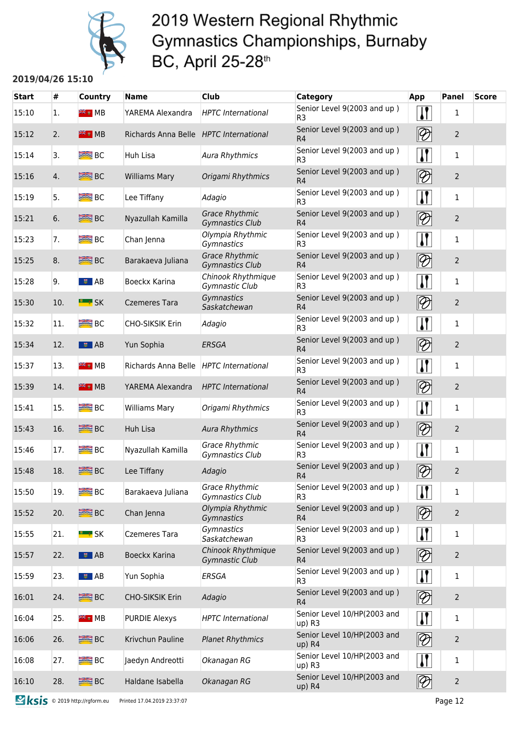

#### **2019/04/26 15:10**

| <b>Start</b> | #   | Country             | Name                                   | Club                                            | <b>Category</b>                               | App                      | <b>Panel</b>   | <b>Score</b> |
|--------------|-----|---------------------|----------------------------------------|-------------------------------------------------|-----------------------------------------------|--------------------------|----------------|--------------|
| 15:10        | 1.  | <sup>≽⊯</sup> ⊮ MB  | YAREMA Alexandra                       | <b>HPTC</b> International                       | Senior Level 9(2003 and up)<br>R <sub>3</sub> | $\mathbf{I}$             | 1              |              |
| 15:12        | 2.  | <b>FIE</b> MB       | Richards Anna Belle HPTC International |                                                 | Senior Level 9(2003 and up)<br>R <sub>4</sub> | $ \mathcal{D} $          | $\overline{2}$ |              |
| 15:14        | 3.  | <b>BEE</b> BC       | <b>Huh Lisa</b>                        | Aura Rhythmics                                  | Senior Level 9(2003 and up)<br>R <sub>3</sub> | $\mathbf{I}$             | 1              |              |
| 15:16        | 4.  | <b>SEE</b> BC       | <b>Williams Mary</b>                   | Origami Rhythmics                               | Senior Level 9(2003 and up)<br>R <sub>4</sub> | $\overline{\mathscr{D}}$ | $\overline{2}$ |              |
| 15:19        | 5.  | <b>BEE</b> BC       | Lee Tiffany                            | Adagio                                          | Senior Level 9(2003 and up)<br>R <sub>3</sub> |                          | 1              |              |
| 15:21        | 6.  | <b>SEE</b> BC       | Nyazullah Kamilla                      | <b>Grace Rhythmic</b><br><b>Gymnastics Club</b> | Senior Level 9(2003 and up)<br>R <sub>4</sub> | $\overline{\mathscr{D}}$ | $\overline{2}$ |              |
| 15:23        | 7.  | $R = BC$            | Chan Jenna                             | Olympia Rhythmic<br>Gymnastics                  | Senior Level 9(2003 and up)<br>R <sub>3</sub> |                          | 1              |              |
| 15:25        | 8.  | <b>BRE</b> BC       | Barakaeva Juliana                      | <b>Grace Rhythmic</b><br><b>Gymnastics Club</b> | Senior Level 9(2003 and up)<br>R4             | $\overline{\mathscr{D}}$ | $\overline{2}$ |              |
| 15:28        | 9.  | ■■ AB               | Boeckx Karina                          | Chinook Rhythmique<br>Gymnastic Club            | Senior Level 9(2003 and up)<br>R <sub>3</sub> |                          | $\mathbf{1}$   |              |
| 15:30        | 10. | <b>EL # SK</b>      | <b>Czemeres Tara</b>                   | Gymnastics<br>Saskatchewan                      | Senior Level 9(2003 and up)<br>R <sub>4</sub> | $ \mathcal{D} $          | $\overline{2}$ |              |
| 15:32        | 11. | $R = BC$            | <b>CHO-SIKSIK Erin</b>                 | Adagio                                          | Senior Level 9(2003 and up)<br>R <sub>3</sub> | $\mathbf{I}$             | $\mathbf{1}$   |              |
| 15:34        | 12. | $\frac{1}{2}$ AB    | Yun Sophia                             | ERSGA                                           | Senior Level 9(2003 and up)<br>R <sub>4</sub> | $ \mathcal{D} $          | $\overline{2}$ |              |
| 15:37        | 13. | <b>FREE</b> MB      | Richards Anna Belle                    | <b>HPTC</b> International                       | Senior Level 9(2003 and up)<br>R <sub>3</sub> | $\mathbf{I}$             | 1              |              |
| 15:39        | 14. | $H = M$             | YAREMA Alexandra                       | <b>HPTC</b> International                       | Senior Level 9(2003 and up)<br>R4             | $\boxed{\mathcal{D}}$    | $\overline{2}$ |              |
| 15:41        | 15. | $R = BC$            | <b>Williams Mary</b>                   | Origami Rhythmics                               | Senior Level 9(2003 and up)<br>R <sub>3</sub> | $\mathbf{I}$             | $\mathbf{1}$   |              |
| 15:43        | 16. | <b>SEE</b> BC       | Huh Lisa                               | <b>Aura Rhythmics</b>                           | Senior Level 9(2003 and up)<br>R4             | $ \mathcal{D} $          | $\overline{2}$ |              |
| 15:46        | 17. | $R = BC$            | Nyazullah Kamilla                      | <b>Grace Rhythmic</b><br>Gymnastics Club        | Senior Level 9(2003 and up)<br>R <sub>3</sub> | $\mathbf{I}$             | 1              |              |
| 15:48        | 18. | <b>SEE</b> BC       | Lee Tiffany                            | Adagio                                          | Senior Level 9(2003 and up)<br>R <sub>4</sub> | $\overline{\mathscr{D}}$ | $\overline{2}$ |              |
| 15:50        | 19. | B <sub>C</sub>      | Barakaeva Juliana                      | <b>Grace Rhythmic</b><br>Gymnastics Club        | Senior Level 9(2003 and up)<br>R <sub>3</sub> | $\mathbf{\mathsf{N}}$    | 1              |              |
| 15:52        | 20. | <b>BE</b> BC        | Chan Jenna                             | Olympia Rhythmic<br>Gymnastics                  | Senior Level 9(2003 and up)<br>R4             | $ \mathcal{D} $          | $\overline{2}$ |              |
| 15:55        | 21. | <b>E</b> * SK       | <b>Czemeres Tara</b>                   | Gymnastics<br>Saskatchewan                      | Senior Level 9(2003 and up)<br>R <sub>3</sub> | $\mathbf{H}$             | 1              |              |
| 15:57        | 22. | $\frac{1}{2}$ AB    | Boeckx Karina                          | Chinook Rhythmique<br>Gymnastic Club            | Senior Level 9(2003 and up)<br>R <sub>4</sub> | $\boxed{\mathcal{D}}$    | $\overline{2}$ |              |
| 15:59        | 23. | $\sqrt{5}$ AB       | Yun Sophia                             | <b>ERSGA</b>                                    | Senior Level 9(2003 and up)<br>R <sub>3</sub> | $\sqrt{ }$               | $\mathbf{1}$   |              |
| 16:01        | 24. | <b>SEE</b> BC       | CHO-SIKSIK Erin                        | Adagio                                          | Senior Level 9(2003 and up)<br>R4             | $\boxed{\mathscr{D}}$    | $\overline{2}$ |              |
| 16:04        | 25. | <sup>a</sup> i MB   | <b>PURDIE Alexys</b>                   | <b>HPTC</b> International                       | Senior Level 10/HP(2003 and<br>$up)$ R3       | $\mathbf{I}$             | 1              |              |
| 16:06        | 26. | <b>SEE</b> BC       | Krivchun Pauline                       | <b>Planet Rhythmics</b>                         | Senior Level 10/HP(2003 and<br>up) R4         | $ \mathcal{D} $          | $\overline{2}$ |              |
| 16:08        | 27. | $B^{\text{max}}$ BC | Jaedyn Andreotti                       | Okanagan RG                                     | Senior Level 10/HP(2003 and<br>up) R3         | $\mathbf{I}$             | 1              |              |
| 16:10        | 28. | <b>SEE BC</b>       | Haldane Isabella                       | Okanagan RG                                     | Senior Level 10/HP(2003 and<br>up) R4         | $ \mathcal{D} $          | $\overline{2}$ |              |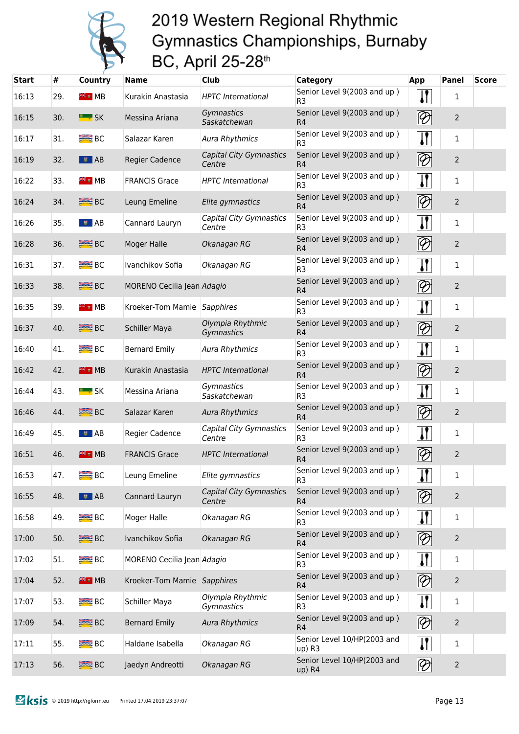

| <b>Start</b> | #   | <b>Country</b>          | <b>Name</b>                 | Club                                     | Category                                      | App                               | <b>Panel</b>   | <b>Score</b> |
|--------------|-----|-------------------------|-----------------------------|------------------------------------------|-----------------------------------------------|-----------------------------------|----------------|--------------|
| 16:13        | 29. | <b>FREE</b> MB          | Kurakin Anastasia           | <b>HPTC</b> International                | Senior Level 9(2003 and up)<br>R <sub>3</sub> |                                   | 1              |              |
| 16:15        | 30. | <b>E</b> SK             | Messina Ariana              | Gymnastics<br>Saskatchewan               | Senior Level 9(2003 and up)<br>R <sub>4</sub> | $ \mathcal{D} $                   | $\overline{2}$ |              |
| 16:17        | 31. | <b>BE</b> BC            | Salazar Karen               | <b>Aura Rhythmics</b>                    | Senior Level 9(2003 and up)<br>R <sub>3</sub> | $\mathbf{I}$                      | 1              |              |
| 16:19        | 32. | $\overline{\bullet}$ AB | <b>Regier Cadence</b>       | <b>Capital City Gymnastics</b><br>Centre | Senior Level 9(2003 and up)<br>R <sub>4</sub> | $ \mathcal{D} $                   | $\overline{2}$ |              |
| 16:22        | 33. | <b>FREE</b> MB          | <b>FRANCIS Grace</b>        | <b>HPTC</b> International                | Senior Level 9(2003 and up)<br>R <sub>3</sub> | $\mathbf{I}$                      | 1              |              |
| 16:24        | 34. | <b>ERE</b> BC           | Leung Emeline               | Elite gymnastics                         | Senior Level 9(2003 and up)<br>R <sub>4</sub> | $\overline{\mathscr{D}}$          | $\overline{2}$ |              |
| 16:26        | 35. | ■■ AB                   | Cannard Lauryn              | Capital City Gymnastics<br>Centre        | Senior Level 9(2003 and up)<br>R <sub>3</sub> | $\mathbf{I}$                      | 1              |              |
| 16:28        | 36. | <b>SEE</b> BC           | Moger Halle                 | Okanagan RG                              | Senior Level 9(2003 and up)<br>R <sub>4</sub> | $ \mathcal{D} $                   | $\overline{2}$ |              |
| 16:31        | 37. | $\equiv$ BC             | Ivanchikov Sofia            | Okanagan RG                              | Senior Level 9(2003 and up)<br>R <sub>3</sub> | $\mathbf{I}$                      | 1              |              |
| 16:33        | 38. | <b>BE</b> BC            | MORENO Cecilia Jean Adagio  |                                          | Senior Level 9(2003 and up)<br>R4             | $\lvert\!\lvert\mathcal{D}\rvert$ | $\overline{2}$ |              |
| 16:35        | 39. | <sup>₩€</sup> ₩ MB      | Kroeker-Tom Mamie Sapphires |                                          | Senior Level 9(2003 and up)<br>R <sub>3</sub> |                                   | 1              |              |
| 16:37        | 40. | <b>SEE</b> BC           | Schiller Maya               | Olympia Rhythmic<br>Gymnastics           | Senior Level 9(2003 and up)<br>R4             | $ \mathcal{D} $                   | $\overline{2}$ |              |
| 16:40        | 41. | <b>BC</b> BC            | <b>Bernard Emily</b>        | Aura Rhythmics                           | Senior Level 9(2003 and up)<br>R <sub>3</sub> |                                   | 1              |              |
| 16:42        | 42. | <b>FREE</b> MB          | Kurakin Anastasia           | <b>HPTC</b> International                | Senior Level 9(2003 and up)<br>R <sub>4</sub> | $ \mathcal{D} $                   | $\overline{2}$ |              |
| 16:44        | 43. | <u> "</u> sk            | Messina Ariana              | Gymnastics<br>Saskatchewan               | Senior Level 9(2003 and up)<br>R <sub>3</sub> |                                   | 1              |              |
| 16:46        | 44. | <b>SEE BC</b>           | Salazar Karen               | <b>Aura Rhythmics</b>                    | Senior Level 9(2003 and up)<br>R <sub>4</sub> | $ \mathcal{D} $                   | $\overline{2}$ |              |
| 16:49        | 45. | ■■ AB                   | Regier Cadence              | Capital City Gymnastics<br>Centre        | Senior Level 9(2003 and up)<br>R <sub>3</sub> |                                   | 1              |              |
| 16:51        | 46. | $# 4$ MB                | <b>FRANCIS Grace</b>        | <b>HPTC</b> International                | Senior Level 9(2003 and up)<br>R4             | $\mathscr{D}$                     | $\overline{2}$ |              |
| 16:53        | 47. | $R = BC$                | Leung Emeline               | Elite gymnastics                         | Senior Level 9(2003 and up)<br>R <sub>3</sub> | $\mathbf{I}$                      | $\mathbf{1}$   |              |
| 16:55        | 48. | <b>■</b> AB             | Cannard Lauryn              | <b>Capital City Gymnastics</b><br>Centre | Senior Level 9(2003 and up)<br>R <sub>4</sub> | $\lvert\!\lvert\mathcal{D}\rvert$ | $\overline{2}$ |              |
| 16:58        | 49. | <b>ERE</b> BC           | Moger Halle                 | Okanagan RG                              | Senior Level 9(2003 and up)<br>R <sub>3</sub> | $\mathbf{H}$                      | $\mathbf{1}$   |              |
| 17:00        | 50. | <b>SEE</b> BC           | Ivanchikov Sofia            | Okanagan RG                              | Senior Level 9(2003 and up)<br>R <sub>4</sub> | $\lvert\!\lvert\mathcal{D}\rvert$ | $\overline{2}$ |              |
| 17:02        | 51. | $R = BC$                | MORENO Cecilia Jean Adagio  |                                          | Senior Level 9(2003 and up)<br>R <sub>3</sub> | $\mathbf{I}$                      | $\mathbf{1}$   |              |
| 17:04        | 52. | <b>FIEE</b> MB          | Kroeker-Tom Mamie Sapphires |                                          | Senior Level 9(2003 and up)<br>R4             | $\boxed{\mathcal{D}}$             | $\overline{2}$ |              |
| 17:07        | 53. | <b>ERE</b> BC           | Schiller Maya               | Olympia Rhythmic<br>Gymnastics           | Senior Level 9(2003 and up)<br>R <sub>3</sub> | $\mathbf{I}$                      | $\mathbf{1}$   |              |
| 17:09        | 54. | <b>SEE</b> BC           | <b>Bernard Emily</b>        | <b>Aura Rhythmics</b>                    | Senior Level 9(2003 and up)<br>R4             | $\boxed{\mathcal{D}}$             | $\overline{2}$ |              |
| 17:11        | 55. | <b>ERE</b> BC           | Haldane Isabella            | Okanagan RG                              | Senior Level 10/HP(2003 and<br>up) R3         | $\mathbf{I}$                      | $\mathbf{1}$   |              |
| 17:13        | 56. | <b>SEE</b> BC           | Jaedyn Andreotti            | Okanagan RG                              | Senior Level 10/HP(2003 and<br>up) R4         | $\lvert\!\lvert\mathcal{D}\rvert$ | $\overline{2}$ |              |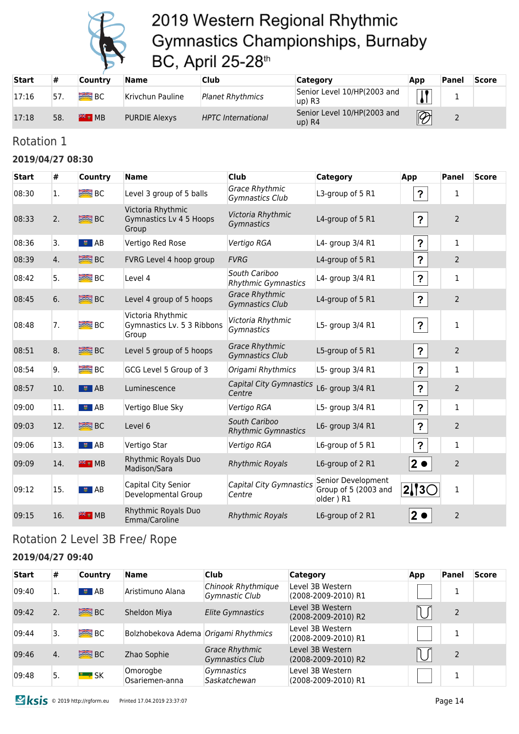

| <b>Start</b> | #   | Countrv        | Name                 | Club                      | Category                                | App                      | 'Panel   | <b>Score</b> |
|--------------|-----|----------------|----------------------|---------------------------|-----------------------------------------|--------------------------|----------|--------------|
| 17:16        | 57  | B <sub>C</sub> | Krivchun Pauline     | <b>Planet Rhythmics</b>   | Senior Level 10/HP(2003 and<br>$up)$ R3 |                          | <u>.</u> |              |
| 17:18        | 58. | $#H$ MB        | <b>PURDIE Alexys</b> | <b>HPTC</b> International | Senior Level 10/HP(2003 and<br>$up)$ R4 | $\overline{\mathscr{D}}$ |          |              |

#### Rotation 1

#### **2019/04/27 08:30**

| <b>Start</b> | #   | <b>Country</b>    | <b>Name</b>                                              | <b>Club</b>                                     | <b>Category</b>                                         | App                        | <b>Panel</b>   | <b>Score</b> |
|--------------|-----|-------------------|----------------------------------------------------------|-------------------------------------------------|---------------------------------------------------------|----------------------------|----------------|--------------|
| 08:30        | 1.  | <b>BRE</b> BC     | Level 3 group of 5 balls                                 | Grace Rhythmic<br>Gymnastics Club               | L3-group of 5 R1                                        | $\boldsymbol{\mathsf{?}}$  | 1              |              |
| 08:33        | 2.  | <b>BE</b> BC      | Victoria Rhythmic<br>Gymnastics Lv 4 5 Hoops<br>Group    | Victoria Rhythmic<br>Gymnastics                 | L4-group of 5 R1                                        | $\boldsymbol{?}$           | $\overline{2}$ |              |
| 08:36        | 3.  | । <del>इ</del> AB | Vertigo Red Rose                                         | Vertigo RGA                                     | L4- group 3/4 R1                                        | $\boldsymbol{\mathcal{P}}$ | $\mathbf{1}$   |              |
| 08:39        | 4.  | <b>SEE BC</b>     | FVRG Level 4 hoop group                                  | <b>FVRG</b>                                     | L4-group of 5 R1                                        | $\boldsymbol{P}$           | $\overline{2}$ |              |
| 08:42        | 5.  | <b>BRE</b> BC     | Level 4                                                  | South Cariboo<br><b>Rhythmic Gymnastics</b>     | L4- group 3/4 R1                                        | $\boldsymbol{?}$           | $\mathbf{1}$   |              |
| 08:45        | 6.  | <b>SEE BC</b>     | Level 4 group of 5 hoops                                 | <b>Grace Rhythmic</b><br><b>Gymnastics Club</b> | L4-group of 5 R1                                        | $\boldsymbol{\mathsf{P}}$  | $\overline{2}$ |              |
| 08:48        | 7.  | <b>BE</b> BC      | Victoria Rhythmic<br>Gymnastics Lv. 5 3 Ribbons<br>Group | Victoria Rhythmic<br>Gymnastics                 | L5- group 3/4 R1                                        | $\boldsymbol{\mathsf{?}}$  | $\mathbf{1}$   |              |
| 08:51        | 8.  | <b>SEE BC</b>     | Level 5 group of 5 hoops                                 | <b>Grace Rhythmic</b><br><b>Gymnastics Club</b> | L5-group of 5 R1                                        | $\boldsymbol{\mathcal{P}}$ | $\overline{2}$ |              |
| 08:54        | 9.  | B <sub>C</sub>    | GCG Level 5 Group of 3                                   | Origami Rhythmics                               | L5- group 3/4 R1                                        | $\boldsymbol{\mathcal{P}}$ | $\mathbf{1}$   |              |
| 08:57        | 10. | $\bullet$ AB      | Luminescence                                             | Capital City Gymnastics<br>Centre               | L6- group 3/4 R1                                        | $\boldsymbol{\mathcal{P}}$ | $\overline{2}$ |              |
| 09:00        | 11. | । <sup>≢</sup> AB | Vertigo Blue Sky                                         | Vertigo RGA                                     | L5- group 3/4 R1                                        | $\boldsymbol{\mathcal{P}}$ | $\mathbf{1}$   |              |
| 09:03        | 12. | <b>BRE</b> BC     | Level 6                                                  | South Cariboo<br><b>Rhythmic Gymnastics</b>     | L6- group 3/4 R1                                        | $\boldsymbol{?}$           | $\overline{2}$ |              |
| 09:06        | 13. | $\frac{1}{2}$ AB  | Vertigo Star                                             | Vertigo RGA                                     | L6-group of 5 R1                                        | $\boldsymbol{\mathsf{P}}$  | 1              |              |
| 09:09        | 14. | <b>米 ₩</b> MB     | Rhythmic Royals Duo<br>Madison/Sara                      | <b>Rhythmic Royals</b>                          | L6-group of 2 R1                                        | $2 \bullet$                | $\overline{2}$ |              |
| 09:12        | 15. | $\bullet$ AB      | Capital City Senior<br>Developmental Group               | Capital City Gymnastics<br>Centre               | Senior Development<br>Group of 5 (2003 and<br>older) R1 | $2$   3 $\subset$          | $\mathbf{1}$   |              |
| 09:15        | 16. | $# 3$ MB          | Rhythmic Royals Duo<br>Emma/Caroline                     | <b>Rhythmic Royals</b>                          | L6-group of 2 R1                                        | $2\bullet$                 | $\overline{2}$ |              |

### Rotation 2 Level 3B Free/ Rope

#### **2019/04/27 09:40**

| <b>Start</b> | #  | <b>Country</b>      | <b>Name</b>                          | <b>Club</b>                              | <b>Category</b>                         | <b>App</b> | Panel | <b>Score</b> |
|--------------|----|---------------------|--------------------------------------|------------------------------------------|-----------------------------------------|------------|-------|--------------|
| 09:40        | ı. | $\bullet$ AB        | Aristimuno Alana                     | Chinook Rhythmique<br>Gymnastic Club     | Level 3B Western<br>(2008-2009-2010) R1 |            |       |              |
| 09:42        | 2. | BC                  | Sheldon Miya                         | <b>Elite Gymnastics</b>                  | Level 3B Western<br>(2008-2009-2010) R2 |            |       |              |
| 09:44        | 3. | $B^{\text{max}}$ BC | Bolzhobekova Adema Origami Rhythmics |                                          | Level 3B Western<br>(2008-2009-2010) R1 |            |       |              |
| 09:46        | 4. | $rac{1}{2}$ BC      | Zhao Sophie                          | <b>Grace Rhythmic</b><br>Gymnastics Club | Level 3B Western<br>(2008-2009-2010) R2 |            |       |              |
| 09:48        | 5. | $\rightarrow$ SK    | Omorogbe<br>Osariemen-anna           | <i>Gymnastics</i><br>Saskatchewan        | Level 3B Western<br>(2008-2009-2010) R1 |            |       |              |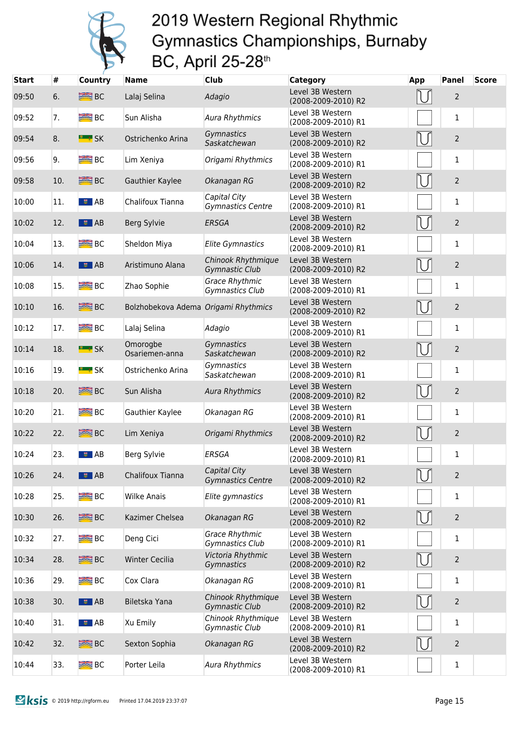

| <b>Start</b> | #   | <b>Country</b>   | <b>Name</b>                          | <b>Club</b>                                 | Category                                | <b>App</b>       | <b>Panel</b>   | Score |
|--------------|-----|------------------|--------------------------------------|---------------------------------------------|-----------------------------------------|------------------|----------------|-------|
| 09:50        | 6.  | <b>SEE</b> BC    | Lalaj Selina                         | Adagio                                      | Level 3B Western<br>(2008-2009-2010) R2 |                  | $\overline{2}$ |       |
| 09:52        | 7.  | B <sub>C</sub>   | Sun Alisha                           | <b>Aura Rhythmics</b>                       | Level 3B Western<br>(2008-2009-2010) R1 |                  | $\mathbf{1}$   |       |
| 09:54        | 8.  | <b>E</b> * SK    | Ostrichenko Arina                    | Gymnastics<br>Saskatchewan                  | Level 3B Western<br>(2008-2009-2010) R2 | U                | $\overline{2}$ |       |
| 09:56        | 9.  | $R = BC$         | Lim Xeniya                           | Origami Rhythmics                           | Level 3B Western<br>(2008-2009-2010) R1 |                  | $\mathbf{1}$   |       |
| 09:58        | 10. | <b>SEE</b> BC    | Gauthier Kaylee                      | Okanagan RG                                 | Level 3B Western<br>(2008-2009-2010) R2 | IU               | $\overline{2}$ |       |
| 10:00        | 11. | $\frac{1}{2}$ AB | Chalifoux Tianna                     | Capital City<br><b>Gymnastics Centre</b>    | Level 3B Western<br>(2008-2009-2010) R1 |                  | $\mathbf{1}$   |       |
| 10:02        | 12. | $\frac{1}{2}$ AB | Berg Sylvie                          | <b>ERSGA</b>                                | Level 3B Western<br>(2008-2009-2010) R2 | IJ               | $\overline{2}$ |       |
| 10:04        | 13. | <b>BIG</b> BC    | Sheldon Miya                         | <b>Elite Gymnastics</b>                     | Level 3B Western<br>(2008-2009-2010) R1 |                  | $\mathbf{1}$   |       |
| 10:06        | 14. | $\frac{1}{2}$ AB | Aristimuno Alana                     | Chinook Rhythmique<br><b>Gymnastic Club</b> | Level 3B Western<br>(2008-2009-2010) R2 | N                | $\overline{2}$ |       |
| 10:08        | 15. | B <sub>C</sub>   | Zhao Sophie                          | <b>Grace Rhythmic</b><br>Gymnastics Club    | Level 3B Western<br>(2008-2009-2010) R1 |                  | $\mathbf{1}$   |       |
| 10:10        | 16. | <b>SEE BC</b>    | Bolzhobekova Adema Origami Rhythmics |                                             | Level 3B Western<br>(2008-2009-2010) R2 | $\left  \right $ | $\mathbf 2$    |       |
| 10:12        | 17. | B <sub>C</sub>   | Lalaj Selina                         | Adagio                                      | Level 3B Western<br>(2008-2009-2010) R1 |                  | $\mathbf{1}$   |       |
| 10:14        | 18. | <b>E</b> SK      | Omorogbe<br>Osariemen-anna           | Gymnastics<br>Saskatchewan                  | Level 3B Western<br>(2008-2009-2010) R2 | NΙ               | $\mathbf 2$    |       |
| 10:16        | 19. | <b>EL # SK</b>   | Ostrichenko Arina                    | Gymnastics<br>Saskatchewan                  | Level 3B Western<br>(2008-2009-2010) R1 |                  | $\mathbf{1}$   |       |
| 10:18        | 20. | <b>SEE BC</b>    | Sun Alisha                           | <b>Aura Rhythmics</b>                       | Level 3B Western<br>(2008-2009-2010) R2 |                  | $\overline{2}$ |       |
| 10:20        | 21. | <b>SEE</b> BC    | Gauthier Kaylee                      | Okanagan RG                                 | Level 3B Western<br>(2008-2009-2010) R1 |                  | $\mathbf{1}$   |       |
| 10:22        | 22. | <b>SEE</b> BC    | Lim Xeniya                           | Origami Rhythmics                           | Level 3B Western<br>(2008-2009-2010) R2 |                  | $\overline{2}$ |       |
| 10:24        | 23. | $\frac{1}{2}$ AB | Berg Sylvie                          | ERSGA                                       | Level 3B Western<br>(2008-2009-2010) R1 |                  | $\mathbf 1$    |       |
| 10:26        | 24. | $\frac{1}{2}$ AB | Chalifoux Tianna                     | Capital City<br><b>Gymnastics Centre</b>    | Level 3B Western<br>(2008-2009-2010) R2 |                  | $\overline{2}$ |       |
| 10:28        | 25. | <b>BEE</b> BC    | <b>Wilke Anais</b>                   | Elite gymnastics                            | Level 3B Western<br>(2008-2009-2010) R1 |                  | 1              |       |
| 10:30        | 26. | <b>SEE</b> BC    | Kazimer Chelsea                      | Okanagan RG                                 | Level 3B Western<br>(2008-2009-2010) R2 |                  | $\overline{2}$ |       |
| 10:32        | 27. | <b>BEE</b> BC    | Deng Cici                            | <b>Grace Rhythmic</b><br>Gymnastics Club    | Level 3B Western<br>(2008-2009-2010) R1 |                  | 1              |       |
| 10:34        | 28. | <b>SEE BC</b>    | Winter Cecilia                       | Victoria Rhythmic<br>Gymnastics             | Level 3B Western<br>(2008-2009-2010) R2 |                  | $\overline{2}$ |       |
| 10:36        | 29. | $B^{\prime}$     | Cox Clara                            | Okanagan RG                                 | Level 3B Western<br>(2008-2009-2010) R1 |                  | 1              |       |
| 10:38        | 30. | $\frac{1}{2}$ AB | Biletska Yana                        | Chinook Rhythmique<br>Gymnastic Club        | Level 3B Western<br>(2008-2009-2010) R2 |                  | $\overline{2}$ |       |
| 10:40        | 31. | $\frac{1}{2}$ AB | Xu Emily                             | Chinook Rhythmique<br>Gymnastic Club        | Level 3B Western<br>(2008-2009-2010) R1 |                  | 1              |       |
| 10:42        | 32. | <b>SEE</b> BC    | Sexton Sophia                        | Okanagan RG                                 | Level 3B Western<br>(2008-2009-2010) R2 |                  | $\overline{2}$ |       |
| 10:44        | 33. | B <sub>C</sub>   | Porter Leila                         | Aura Rhythmics                              | Level 3B Western<br>(2008-2009-2010) R1 |                  | 1              |       |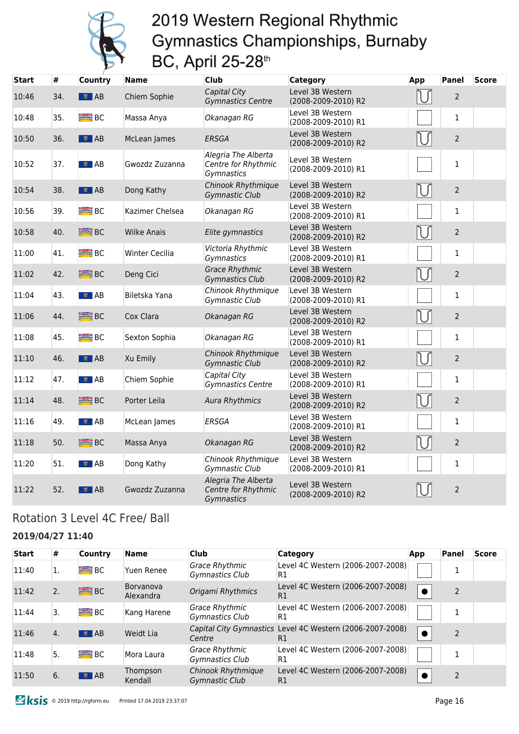

| <b>Start</b> | #   | <b>Country</b>          | <b>Name</b>        | <b>Club</b>                                              | Category                                | App | <b>Panel</b>   | <b>Score</b> |
|--------------|-----|-------------------------|--------------------|----------------------------------------------------------|-----------------------------------------|-----|----------------|--------------|
| 10:46        | 34. | $\frac{1}{2}$ AB        | Chiem Sophie       | Capital City<br><b>Gymnastics Centre</b>                 | Level 3B Western<br>(2008-2009-2010) R2 |     | $\overline{2}$ |              |
| 10:48        | 35. | BC                      | Massa Anya         | Okanagan RG                                              | Level 3B Western<br>(2008-2009-2010) R1 |     | $\mathbf 1$    |              |
| 10:50        | 36. | $\overline{5}$ AB       | McLean James       | <b>ERSGA</b>                                             | Level 3B Western<br>(2008-2009-2010) R2 | IJ  | $\overline{2}$ |              |
| 10:52        | 37. | ■■ AB                   | Gwozdz Zuzanna     | Alegria The Alberta<br>Centre for Rhythmic<br>Gymnastics | Level 3B Western<br>(2008-2009-2010) R1 |     | $\mathbf{1}$   |              |
| 10:54        | 38. | ■ AB                    | Dong Kathy         | Chinook Rhythmique<br><b>Gymnastic Club</b>              | Level 3B Western<br>(2008-2009-2010) R2 |     | $\overline{2}$ |              |
| 10:56        | 39. | <b>BEE</b> BC           | Kazimer Chelsea    | Okanagan RG                                              | Level 3B Western<br>(2008-2009-2010) R1 |     | $\mathbf{1}$   |              |
| 10:58        | 40. | <b>SEE BC</b>           | <b>Wilke Anais</b> | Elite gymnastics                                         | Level 3B Western<br>(2008-2009-2010) R2 | N   | $\overline{2}$ |              |
| 11:00        | 41. | <b>BEE</b> BC           | Winter Cecilia     | Victoria Rhythmic<br>Gymnastics                          | Level 3B Western<br>(2008-2009-2010) R1 |     | $\mathbf{1}$   |              |
| 11:02        | 42. | <b>SEE</b> BC           | Deng Cici          | <b>Grace Rhythmic</b><br><b>Gymnastics Club</b>          | Level 3B Western<br>(2008-2009-2010) R2 |     | $\overline{2}$ |              |
| 11:04        | 43. | ■■ AB                   | Biletska Yana      | Chinook Rhythmique<br><b>Gymnastic Club</b>              | Level 3B Western<br>(2008-2009-2010) R1 |     | 1              |              |
| 11:06        | 44. | <b>SEE BC</b>           | Cox Clara          | Okanagan RG                                              | Level 3B Western<br>(2008-2009-2010) R2 |     | $\overline{2}$ |              |
| 11:08        | 45. | B <sub>C</sub>          | Sexton Sophia      | Okanagan RG                                              | Level 3B Western<br>(2008-2009-2010) R1 |     | $\mathbf 1$    |              |
| 11:10        | 46. | ■ AB                    | Xu Emily           | Chinook Rhythmique<br><b>Gymnastic Club</b>              | Level 3B Western<br>(2008-2009-2010) R2 |     | $\overline{2}$ |              |
| 11:12        | 47. | $\frac{1}{2}$ AB        | Chiem Sophie       | Capital City<br>Gymnastics Centre                        | Level 3B Western<br>(2008-2009-2010) R1 |     | $\mathbf{1}$   |              |
| 11:14        | 48. | <b>SEE</b> BC           | Porter Leila       | <b>Aura Rhythmics</b>                                    | Level 3B Western<br>(2008-2009-2010) R2 |     | $\overline{2}$ |              |
| 11:16        | 49. | ■■ AB                   | McLean James       | <b>ERSGA</b>                                             | Level 3B Western<br>(2008-2009-2010) R1 |     | $\mathbf{1}$   |              |
| 11:18        | 50. | <b>SEE BC</b>           | Massa Anya         | Okanagan RG                                              | Level 3B Western<br>(2008-2009-2010) R2 | Πſ  | $\overline{2}$ |              |
| 11:20        | 51. | ■■ AB                   | Dong Kathy         | Chinook Rhythmique<br>Gymnastic Club                     | Level 3B Western<br>(2008-2009-2010) R1 |     | $\mathbf{1}$   |              |
| 11:22        | 52. | $\overline{\bullet}$ AB | Gwozdz Zuzanna     | Alegria The Alberta<br>Centre for Rhythmic<br>Gymnastics | Level 3B Western<br>(2008-2009-2010) R2 |     | $\overline{2}$ |              |

### Rotation 3 Level 4C Free/ Ball

#### **2019/04/27 11:40**

| <b>Start</b> | #  | <b>Country</b>          | Name                          | <b>Club</b>                          | <b>Category</b>                                                 | App       | Panel | <b>Score</b> |
|--------------|----|-------------------------|-------------------------------|--------------------------------------|-----------------------------------------------------------------|-----------|-------|--------------|
| 11:40        | ı. | <b>BEE</b> BC           | Yuen Renee                    | Grace Rhythmic<br>Gymnastics Club    | Level 4C Western (2006-2007-2008)<br>R1                         |           |       |              |
| 11:42        | 2. | <b>SEE</b> BC           | <b>Borvanova</b><br>Alexandra | Origami Rhythmics                    | Level 4C Western (2006-2007-2008)<br>R1                         |           |       |              |
| 11:44        | 3. | <b>BEE</b> BC           | Kang Harene                   | Grace Rhythmic<br>Gymnastics Club    | Level 4C Western (2006-2007-2008)<br>R1                         |           |       |              |
| 11:46        | 4. | $\overline{\bullet}$ AB | Weidt Lia                     | Centre                               | Capital City Gymnastics Level 4C Western (2006-2007-2008)<br>R1 | $\bullet$ |       |              |
| 11:48        | 5. | <b>BRE</b> BC           | Mora Laura                    | Grace Rhythmic<br>Gymnastics Club    | Level 4C Western (2006-2007-2008)<br>R1                         |           |       |              |
| 11:50        | 6. | $\bullet$ AB            | Thompson<br>Kendall           | Chinook Rhythmique<br>Gymnastic Club | Level 4C Western (2006-2007-2008)<br>R1                         |           | 2     |              |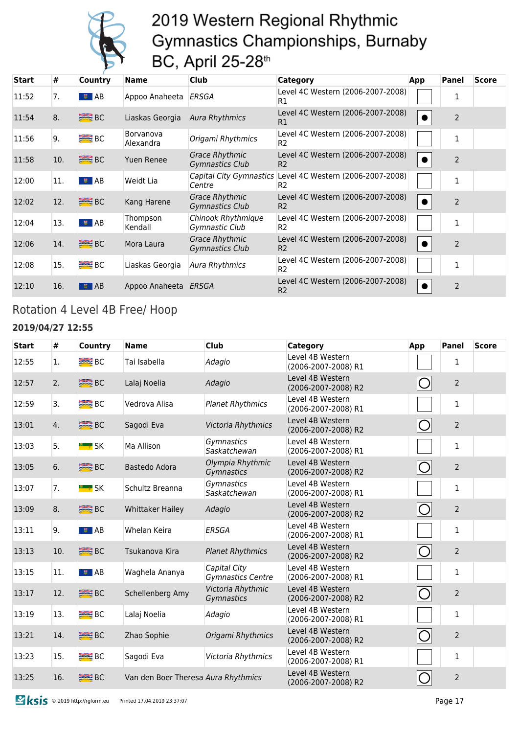

| <b>Start</b> | #   | <b>Country</b> | <b>Name</b>            | <b>Club</b>                                     | Category                                                                    | App | Panel          | <b>Score</b> |
|--------------|-----|----------------|------------------------|-------------------------------------------------|-----------------------------------------------------------------------------|-----|----------------|--------------|
| 11:52        | 7.  | $\bullet$ AB   | Appoo Anaheeta         | ERSGA                                           | Level 4C Western (2006-2007-2008)<br>R1                                     |     |                |              |
| 11:54        | 8.  | BC             | Liaskas Georgia        | Aura Rhythmics                                  | Level 4C Western (2006-2007-2008)<br>R1                                     |     | $\overline{2}$ |              |
| 11:56        | 9.  | BC             | Borvanova<br>Alexandra | Origami Rhythmics                               | Level 4C Western (2006-2007-2008)<br>R <sub>2</sub>                         |     | 1              |              |
| 11:58        | 10. | $\geq$ BC      | Yuen Renee             | <b>Grace Rhythmic</b><br><b>Gymnastics Club</b> | Level 4C Western (2006-2007-2008)<br>R <sub>2</sub>                         |     | $\overline{2}$ |              |
| 12:00        | 11. | $\bullet$ AB   | Weidt Lia              | Centre                                          | Capital City Gymnastics Level 4C Western (2006-2007-2008)<br>R <sub>2</sub> |     | 1              |              |
| 12:02        | 12. | $\equiv$ BC    | Kang Harene            | <b>Grace Rhythmic</b><br><b>Gymnastics Club</b> | Level 4C Western (2006-2007-2008)<br>R <sub>2</sub>                         |     | $\overline{2}$ |              |
| 12:04        | 13. | $\sqrt{2}$ AB  | Thompson<br>Kendall    | Chinook Rhythmique<br>Gymnastic Club            | Level 4C Western (2006-2007-2008)<br>R <sub>2</sub>                         |     | 1              |              |
| 12:06        | 14. | $\geq$ BC      | Mora Laura             | <b>Grace Rhythmic</b><br><b>Gymnastics Club</b> | Level 4C Western (2006-2007-2008)<br>R <sub>2</sub>                         |     | $\overline{2}$ |              |
| 12:08        | 15. | B <sub>C</sub> | Liaskas Georgia        | Aura Rhythmics                                  | Level 4C Western (2006-2007-2008)<br>R <sub>2</sub>                         |     | 1              |              |
| 12:10        | 16. | $\sqrt{2}$ AB  | Appoo Anaheeta         | ERSGA                                           | Level 4C Western (2006-2007-2008)<br>R <sub>2</sub>                         |     | 2              |              |

### Rotation 4 Level 4B Free/ Hoop

#### **2019/04/27 12:55**

| <b>Start</b> | #   | Country           | <b>Name</b>                         | <b>Club</b>                       | <b>Category</b>                         | App                 | <b>Panel</b>   | <b>Score</b> |
|--------------|-----|-------------------|-------------------------------------|-----------------------------------|-----------------------------------------|---------------------|----------------|--------------|
| 12:55        | 1.  | $\equiv$ BC       | Tai Isabella                        | Adagio                            | Level 4B Western<br>(2006-2007-2008) R1 |                     | 1              |              |
| 12:57        | 2.  | <b>SEE</b> BC     | Lalaj Noelia                        | Adagio                            | Level 4B Western<br>(2006-2007-2008) R2 |                     | $\overline{2}$ |              |
| 12:59        | 3.  | $R = BC$          | Vedrova Alisa                       | <b>Planet Rhythmics</b>           | Level 4B Western<br>(2006-2007-2008) R1 |                     | $\mathbf{1}$   |              |
| 13:01        | 4.  | <b>ERE</b> BC     | Sagodi Eva                          | Victoria Rhythmics                | Level 4B Western<br>(2006-2007-2008) R2 |                     | $\overline{2}$ |              |
| 13:03        | 5.  | <b>E</b> & SK     | Ma Allison                          | Gymnastics<br>Saskatchewan        | Level 4B Western<br>(2006-2007-2008) R1 |                     | $\mathbf{1}$   |              |
| 13:05        | 6.  | <b>ERE</b> BC     | Bastedo Adora                       | Olympia Rhythmic<br>Gymnastics    | Level 4B Western<br>(2006-2007-2008) R2 | $\circlearrowright$ | $\overline{2}$ |              |
| 13:07        | 7.  | <b>E</b> SK       | Schultz Breanna                     | Gymnastics<br>Saskatchewan        | Level 4B Western<br>(2006-2007-2008) R1 |                     | $\mathbf{1}$   |              |
| 13:09        | 8.  | <b>SEE BC</b>     | <b>Whittaker Hailey</b>             | Adagio                            | Level 4B Western<br>(2006-2007-2008) R2 |                     | $\overline{2}$ |              |
| 13:11        | 9.  | $\bullet$ AB      | Whelan Keira                        | <b>ERSGA</b>                      | Level 4B Western<br>(2006-2007-2008) R1 |                     | $\mathbf{1}$   |              |
| 13:13        | 10. | <b>SEE BC</b>     | Tsukanova Kira                      | <b>Planet Rhythmics</b>           | Level 4B Western<br>(2006-2007-2008) R2 | $\bigcirc$          | $\overline{2}$ |              |
| 13:15        | 11. | । <sup>≢</sup> AB | Waghela Ananya                      | Capital City<br>Gymnastics Centre | Level 4B Western<br>(2006-2007-2008) R1 |                     | $\mathbf{1}$   |              |
| 13:17        | 12. | <b>ERE</b> BC     | Schellenberg Amy                    | Victoria Rhythmic<br>Gymnastics   | Level 4B Western<br>(2006-2007-2008) R2 |                     | $\overline{2}$ |              |
| 13:19        | 13. | <b>BRE</b> BC     | Lalaj Noelia                        | Adagio                            | Level 4B Western<br>(2006-2007-2008) R1 |                     | $\mathbf{1}$   |              |
| 13:21        | 14. | <b>SEE BC</b>     | Zhao Sophie                         | Origami Rhythmics                 | Level 4B Western<br>(2006-2007-2008) R2 | $\bigcirc$          | $\overline{2}$ |              |
| 13:23        | 15. | <b>BEE</b> BC     | Sagodi Eva                          | Victoria Rhythmics                | Level 4B Western<br>(2006-2007-2008) R1 |                     | $\mathbf{1}$   |              |
| 13:25        | 16. | <b>SEE</b> BC     | Van den Boer Theresa Aura Rhythmics |                                   | Level 4B Western<br>(2006-2007-2008) R2 |                     | $\overline{2}$ |              |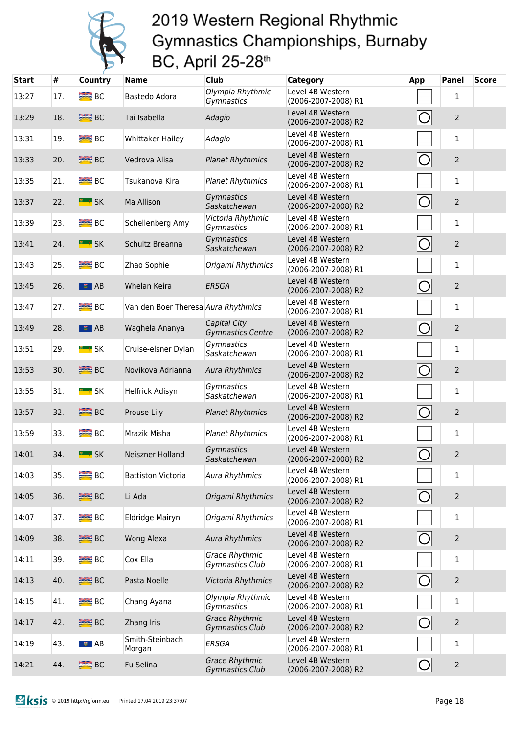

| <b>Start</b> | #   | Country             | <b>Name</b>                         | <b>Club</b>                                     | <b>Category</b>                         | <b>App</b>          | <b>Panel</b>   | <b>Score</b> |
|--------------|-----|---------------------|-------------------------------------|-------------------------------------------------|-----------------------------------------|---------------------|----------------|--------------|
| 13:27        | 17. | $B^{\text{max}}$ BC | Bastedo Adora                       | Olympia Rhythmic<br>Gymnastics                  | Level 4B Western<br>(2006-2007-2008) R1 |                     | 1              |              |
| 13:29        | 18. | <b>SEE BC</b>       | Tai Isabella                        | Adagio                                          | Level 4B Western<br>(2006-2007-2008) R2 |                     | $\overline{2}$ |              |
| 13:31        | 19. | BC <sub>3</sub>     | <b>Whittaker Hailey</b>             | Adagio                                          | Level 4B Western<br>(2006-2007-2008) R1 |                     | 1              |              |
| 13:33        | 20. | <b>SEE BC</b>       | Vedrova Alisa                       | <b>Planet Rhythmics</b>                         | Level 4B Western<br>(2006-2007-2008) R2 | $\bigcirc$          | $\overline{2}$ |              |
| 13:35        | 21. | <b>BEE</b> BC       | Tsukanova Kira                      | <b>Planet Rhythmics</b>                         | Level 4B Western<br>(2006-2007-2008) R1 |                     | $\mathbf{1}$   |              |
| 13:37        | 22. | <b>E</b> SK         | Ma Allison                          | Gymnastics<br>Saskatchewan                      | Level 4B Western<br>(2006-2007-2008) R2 | $\bigcirc$          | $\overline{2}$ |              |
| 13:39        | 23. | <b>BEE</b> BC       | Schellenberg Amy                    | Victoria Rhythmic<br>Gymnastics                 | Level 4B Western<br>(2006-2007-2008) R1 |                     | $\mathbf{1}$   |              |
| 13:41        | 24. | <b>E</b> SK         | Schultz Breanna                     | Gymnastics<br>Saskatchewan                      | Level 4B Western<br>(2006-2007-2008) R2 | $\bigcirc$          | $\overline{2}$ |              |
| 13:43        | 25. | B <sub>C</sub>      | Zhao Sophie                         | Origami Rhythmics                               | Level 4B Western<br>(2006-2007-2008) R1 |                     | 1              |              |
| 13:45        | 26. | $\frac{1}{2}$ AB    | <b>Whelan Keira</b>                 | <b>ERSGA</b>                                    | Level 4B Western<br>(2006-2007-2008) R2 | $\circ$             | $\overline{2}$ |              |
| 13:47        | 27. | $B^{\text{max}}$ BC | Van den Boer Theresa Aura Rhythmics |                                                 | Level 4B Western<br>(2006-2007-2008) R1 |                     | $\mathbf{1}$   |              |
| 13:49        | 28. | $\frac{1}{2}$ AB    | Waghela Ananya                      | Capital City<br><b>Gymnastics Centre</b>        | Level 4B Western<br>(2006-2007-2008) R2 |                     | $\overline{2}$ |              |
| 13:51        | 29. | <b>E</b> : SK       | Cruise-elsner Dylan                 | Gymnastics<br>Saskatchewan                      | Level 4B Western<br>(2006-2007-2008) R1 |                     | 1              |              |
| 13:53        | 30. | <b>SEE</b> BC       | Novikova Adrianna                   | <b>Aura Rhythmics</b>                           | Level 4B Western<br>(2006-2007-2008) R2 | O                   | $\overline{2}$ |              |
| 13:55        | 31. | <b>EL # SK</b>      | Helfrick Adisyn                     | Gymnastics<br>Saskatchewan                      | Level 4B Western<br>(2006-2007-2008) R1 |                     | $\mathbf{1}$   |              |
| 13:57        | 32. | <b>SEE BC</b>       | Prouse Lily                         | <b>Planet Rhythmics</b>                         | Level 4B Western<br>(2006-2007-2008) R2 |                     | $\overline{2}$ |              |
| 13:59        | 33. | B <sub>C</sub>      | Mrazik Misha                        | <b>Planet Rhythmics</b>                         | Level 4B Western<br>(2006-2007-2008) R1 |                     | $\mathbf{1}$   |              |
| 14:01        | 34. | <b>E</b> * SK       | Neiszner Holland                    | Gymnastics<br>Saskatchewan                      | Level 4B Western<br>(2006-2007-2008) R2 |                     | $\overline{2}$ |              |
| 14:03        | 35. | B <sub>C</sub>      | <b>Battiston Victoria</b>           | <b>Aura Rhythmics</b>                           | Level 4B Western<br>(2006-2007-2008) R1 |                     | $\mathbf{1}$   |              |
| 14:05        | 36. | <b>SEE</b> BC       | Li Ada                              | Origami Rhythmics                               | Level 4B Western<br>(2006-2007-2008) R2 | $ {\rm O} $         | $\mathbf 2$    |              |
| 14:07        | 37. | B <sub>C</sub>      | Eldridge Mairyn                     | Origami Rhythmics                               | Level 4B Western<br>(2006-2007-2008) R1 |                     | $\mathbf{1}$   |              |
| 14:09        | 38. | <b>SEE</b> BC       | Wong Alexa                          | <b>Aura Rhythmics</b>                           | Level 4B Western<br>(2006-2007-2008) R2 | $\circlearrowright$ | $\overline{2}$ |              |
| 14:11        | 39. | $B^{\text{max}}$    | Cox Ella                            | Grace Rhythmic<br>Gymnastics Club               | Level 4B Western<br>(2006-2007-2008) R1 |                     | $\mathbf{1}$   |              |
| 14:13        | 40. | <b>SEE</b> BC       | Pasta Noelle                        | Victoria Rhythmics                              | Level 4B Western<br>(2006-2007-2008) R2 | $\circlearrowright$ | $\overline{2}$ |              |
| 14:15        | 41. | $R = BC$            | Chang Ayana                         | Olympia Rhythmic<br>Gymnastics                  | Level 4B Western<br>(2006-2007-2008) R1 |                     | $\mathbf{1}$   |              |
| 14:17        | 42. | <b>ERE</b> BC       | Zhang Iris                          | <b>Grace Rhythmic</b><br><b>Gymnastics Club</b> | Level 4B Western<br>(2006-2007-2008) R2 | $\circlearrowright$ | $\overline{2}$ |              |
| 14:19        | 43. | $\bullet$ AB        | Smith-Steinbach<br>Morgan           | ERSGA                                           | Level 4B Western<br>(2006-2007-2008) R1 |                     | $\mathbf{1}$   |              |
| 14:21        | 44. | <b>SEE</b> BC       | Fu Selina                           | <b>Grace Rhythmic</b><br><b>Gymnastics Club</b> | Level 4B Western<br>(2006-2007-2008) R2 | $ \bigcirc$         | $\mathbf 2$    |              |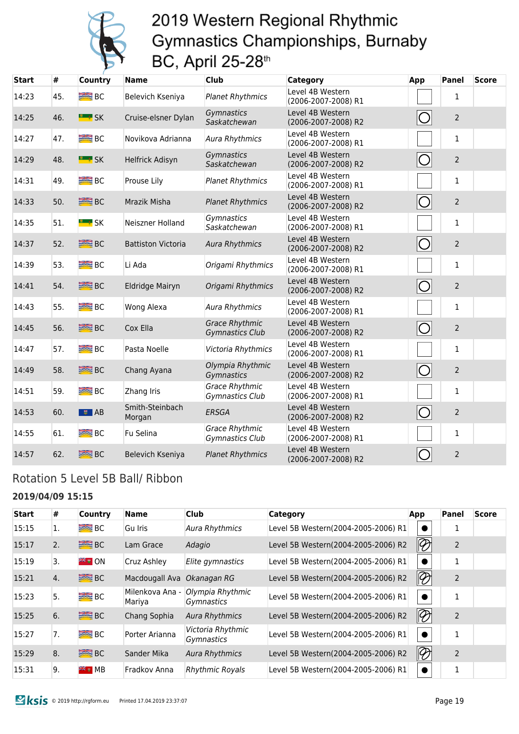

| <b>Start</b> | #   | <b>Country</b>      | <b>Name</b>               | Club                                            | <b>Category</b>                         | App        | Panel          | <b>Score</b> |
|--------------|-----|---------------------|---------------------------|-------------------------------------------------|-----------------------------------------|------------|----------------|--------------|
| 14:23        | 45. | B <sub>C</sub>      | Belevich Kseniya          | <b>Planet Rhythmics</b>                         | Level 4B Western<br>(2006-2007-2008) R1 |            | $\mathbf{1}$   |              |
| 14:25        | 46. | <b>E</b> * SK       | Cruise-elsner Dylan       | Gymnastics<br>Saskatchewan                      | Level 4B Western<br>(2006-2007-2008) R2 | $\bigcirc$ | $\overline{2}$ |              |
| 14:27        | 47. | <b>BC</b> BC        | Novikova Adrianna         | <b>Aura Rhythmics</b>                           | Level 4B Western<br>(2006-2007-2008) R1 |            | $\mathbf{1}$   |              |
| 14:29        | 48. | <b>E</b> SK         | Helfrick Adisyn           | Gymnastics<br>Saskatchewan                      | Level 4B Western<br>(2006-2007-2008) R2 |            | $\overline{2}$ |              |
| 14:31        | 49. | B <sub>C</sub>      | Prouse Lily               | <b>Planet Rhythmics</b>                         | Level 4B Western<br>(2006-2007-2008) R1 |            | $\mathbf{1}$   |              |
| 14:33        | 50. | <b>SEE BC</b>       | Mrazik Misha              | <b>Planet Rhythmics</b>                         | Level 4B Western<br>(2006-2007-2008) R2 | $\bigcirc$ | $\overline{2}$ |              |
| 14:35        | 51. | <b>E</b> * SK       | Neiszner Holland          | Gymnastics<br>Saskatchewan                      | Level 4B Western<br>(2006-2007-2008) R1 |            | $\mathbf{1}$   |              |
| 14:37        | 52. | <b>SEE BC</b>       | <b>Battiston Victoria</b> | <b>Aura Rhythmics</b>                           | Level 4B Western<br>(2006-2007-2008) R2 | $\bigcirc$ | $\overline{2}$ |              |
| 14:39        | 53. | <b>BRE</b> BC       | Li Ada                    | Origami Rhythmics                               | Level 4B Western<br>(2006-2007-2008) R1 |            | $\mathbf{1}$   |              |
| 14:41        | 54. | <b>SEE BC</b>       | Eldridge Mairyn           | Origami Rhythmics                               | Level 4B Western<br>(2006-2007-2008) R2 | $\bigcirc$ | $\overline{2}$ |              |
| 14:43        | 55. | <b>BEE</b> BC       | Wong Alexa                | Aura Rhythmics                                  | Level 4B Western<br>(2006-2007-2008) R1 |            | $\mathbf{1}$   |              |
| 14:45        | 56. | <b>SEE BC</b>       | Cox Ella                  | <b>Grace Rhythmic</b><br><b>Gymnastics Club</b> | Level 4B Western<br>(2006-2007-2008) R2 | $\bigcirc$ | $\overline{2}$ |              |
| 14:47        | 57. | <b>BE</b> BC        | Pasta Noelle              | Victoria Rhythmics                              | Level 4B Western<br>(2006-2007-2008) R1 |            | $\mathbf{1}$   |              |
| 14:49        | 58. | <b>SEE BC</b>       | Chang Ayana               | Olympia Rhythmic<br>Gymnastics                  | Level 4B Western<br>(2006-2007-2008) R2 | $\bigcirc$ | $\overline{2}$ |              |
| 14:51        | 59. | B <sub>C</sub>      | Zhang Iris                | <b>Grace Rhythmic</b><br>Gymnastics Club        | Level 4B Western<br>(2006-2007-2008) R1 |            | $\mathbf{1}$   |              |
| 14:53        | 60. | $\overline{B}$ $AB$ | Smith-Steinbach<br>Morgan | <b>ERSGA</b>                                    | Level 4B Western<br>(2006-2007-2008) R2 | $\bigcirc$ | $\overline{2}$ |              |
| 14:55        | 61. | B <sub>C</sub>      | Fu Selina                 | <b>Grace Rhythmic</b><br>Gymnastics Club        | Level 4B Western<br>(2006-2007-2008) R1 |            | $\mathbf{1}$   |              |
| 14:57        | 62. | <b>BE</b> BC        | Belevich Kseniya          | <b>Planet Rhythmics</b>                         | Level 4B Western<br>(2006-2007-2008) R2 |            | $\overline{2}$ |              |

### Rotation 5 Level 5B Ball/ Ribbon

#### **2019/04/09 15:15**

| <b>Start</b> | #  | <b>Country</b>      | <b>Name</b>                | <b>Club</b>                     | <b>Category</b>                     | App                               | Panel          | <b>Score</b> |
|--------------|----|---------------------|----------------------------|---------------------------------|-------------------------------------|-----------------------------------|----------------|--------------|
| 15:15        | 1. | $B^{\text{max}}$    | Gu Iris                    | <b>Aura Rhythmics</b>           | Level 5B Western(2004-2005-2006) R1 |                                   |                |              |
| 15:17        | 2. | <b>BE</b> BC        | Lam Grace                  | Adagio                          | Level 5B Western(2004-2005-2006) R2 | $\mathscr{D}$                     | $\overline{2}$ |              |
| 15:19        | 3. | <b>FREE</b> ON      | Cruz Ashley                | Elite gymnastics                | Level 5B Western(2004-2005-2006) R1 |                                   | 1              |              |
| 15:21        | 4. | <b>SEE BC</b>       | Macdougall Ava Okanagan RG |                                 | Level 5B Western(2004-2005-2006) R2 | $\lvert\!\lvert\mathcal{D}\rvert$ | $\overline{2}$ |              |
| 15:23        | 5. | $B^{\text{max}}$ BC | Milenkova Ana -<br>Mariya  | Olympia Rhythmic<br>Gymnastics  | Level 5B Western(2004-2005-2006) R1 |                                   | 1              |              |
| 15:25        | 6. | <b>SEE</b> BC       | Chang Sophia               | <b>Aura Rhythmics</b>           | Level 5B Western(2004-2005-2006) R2 | $\lvert \mathcal{D} \rvert$       | $\overline{2}$ |              |
| 15:27        | 7. | <b>BRE</b> BC       | Porter Arianna             | Victoria Rhythmic<br>Gymnastics | Level 5B Western(2004-2005-2006) R1 |                                   | 1              |              |
| 15:29        | 8. | <b>SEE</b> BC       | Sander Mika                | <b>Aura Rhythmics</b>           | Level 5B Western(2004-2005-2006) R2 | $\lvert \mathcal{D} \rvert$       | $\overline{2}$ |              |
| 15:31        | 9. | $**$ MB             | Fradkov Anna               | <b>Rhythmic Royals</b>          | Level 5B Western(2004-2005-2006) R1 |                                   | 1              |              |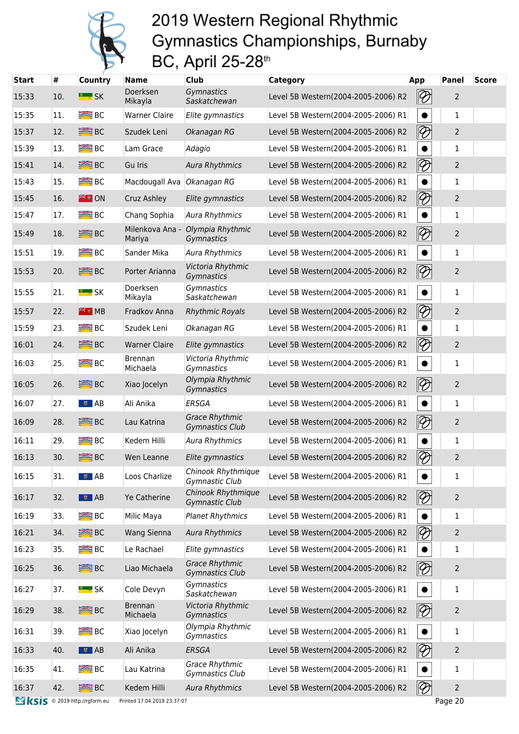

| <b>Start</b>                 | #   | <b>Country</b>      | Name                        | <b>Club</b>                                 | <b>Category</b>                     | <b>App</b>                        | <b>Panel</b>   | <b>Score</b> |
|------------------------------|-----|---------------------|-----------------------------|---------------------------------------------|-------------------------------------|-----------------------------------|----------------|--------------|
| 15:33                        | 10. | <b>E</b> * SK       | Doerksen<br>Mikayla         | Gymnastics<br>Saskatchewan                  | Level 5B Western(2004-2005-2006) R2 | $ \mathcal{D} $                   | $\overline{2}$ |              |
| 15:35                        | 11. | <b>BE</b> BC        | <b>Warner Claire</b>        | Elite gymnastics                            | Level 5B Western(2004-2005-2006) R1 |                                   | $\mathbf{1}$   |              |
| 15:37                        | 12. | <b>BEE</b> BC       | Szudek Leni                 | Okanagan RG                                 | Level 5B Western(2004-2005-2006) R2 | $\lvert\!\lvert\mathcal{D}\rvert$ | $\overline{2}$ |              |
| 15:39                        | 13. | <b>BEE</b> BC       | Lam Grace                   | Adagio                                      | Level 5B Western(2004-2005-2006) R1 |                                   | 1              |              |
| 15:41                        | 14. | <b>SEE BC</b>       | Gu Iris                     | <b>Aura Rhythmics</b>                       | Level 5B Western(2004-2005-2006) R2 | $\lvert\!\lvert\mathcal{D}\rvert$ | $\overline{2}$ |              |
| 15:43                        | 15. | <b>BEE</b> BC       | Macdougall Ava              | Okanagan RG                                 | Level 5B Western(2004-2005-2006) R1 | $\bullet$                         | 1              |              |
| 15:45                        | 16. | <b>FEW ON</b>       | Cruz Ashley                 | Elite gymnastics                            | Level 5B Western(2004-2005-2006) R2 | $\lvert\!\lvert\mathcal{D}\rvert$ | $\overline{2}$ |              |
| 15:47                        | 17. | <b>BEE</b> BC       | Chang Sophia                | <b>Aura Rhythmics</b>                       | Level 5B Western(2004-2005-2006) R1 |                                   | 1              |              |
| 15:49                        | 18. | <b>SEE BC</b>       | Milenkova Ana -<br>Mariya   | Olympia Rhythmic<br>Gymnastics              | Level 5B Western(2004-2005-2006) R2 | $\lvert\!\lvert\mathcal{D}\rvert$ | $\overline{2}$ |              |
| 15:51                        | 19. | $R = BC$            | Sander Mika                 | <b>Aura Rhythmics</b>                       | Level 5B Western(2004-2005-2006) R1 |                                   | $\mathbf{1}$   |              |
| 15:53                        | 20. | <b>SEE</b> BC       | Porter Arianna              | Victoria Rhythmic<br>Gymnastics             | Level 5B Western(2004-2005-2006) R2 | $ \mathcal{D} $                   | 2              |              |
| 15:55                        | 21. | <b>E</b> * SK       | Doerksen<br>Mikayla         | Gymnastics<br>Saskatchewan                  | Level 5B Western(2004-2005-2006) R1 | $\bullet$                         | $\mathbf{1}$   |              |
| 15:57                        | 22. | ₩ H MB              | Fradkov Anna                | <b>Rhythmic Royals</b>                      | Level 5B Western(2004-2005-2006) R2 | $\lvert\!\lvert\mathcal{D}\rvert$ | $\overline{2}$ |              |
| 15:59                        | 23. | <b>BEE</b> BC       | Szudek Leni                 | Okanagan RG                                 | Level 5B Western(2004-2005-2006) R1 | $\bullet$                         | $\mathbf{1}$   |              |
| 16:01                        | 24. | <b>SEE</b> BC       | <b>Warner Claire</b>        | Elite gymnastics                            | Level 5B Western(2004-2005-2006) R2 | $\lvert\!\lvert\mathcal{D}\rvert$ | $\overline{c}$ |              |
| 16:03                        | 25. | $R = BC$            | Brennan<br>Michaela         | Victoria Rhythmic<br>Gymnastics             | Level 5B Western(2004-2005-2006) R1 | $\bullet$                         | 1              |              |
| 16:05                        | 26. | <b>SEE</b> BC       | Xiao Jocelyn                | Olympia Rhythmic<br>Gymnastics              | Level 5B Western(2004-2005-2006) R2 | $ \mathcal{D} $                   | $\overline{2}$ |              |
| 16:07                        | 27. | ■■ AB               | Ali Anika                   | <b>ERSGA</b>                                | Level 5B Western(2004-2005-2006) R1 | $\bullet$                         | $\mathbf{1}$   |              |
| 16:09                        | 28. | <b>SEE BC</b>       | Lau Katrina                 | <b>Grace Rhythmic</b><br>Gymnastics Club    | Level 5B Western(2004-2005-2006) R2 | $\lvert\!\lvert\mathcal{D}\rvert$ | $\overline{2}$ |              |
| 16:11                        | 29. | $R = BC$            | Kedem Hilli                 | <b>Aura Rhythmics</b>                       | Level 5B Western(2004-2005-2006) R1 |                                   | 1              |              |
| 16:13                        | 30. | <b>SEE</b> BC       | Wen Leanne                  | Elite gymnastics                            | Level 5B Western(2004-2005-2006) R2 | $\lvert\!\lvert\mathcal{D}\rvert$ | $\overline{2}$ |              |
| 16:15                        | 31. | $\frac{1}{2}$ AB    | Loos Charlize               | Chinook Rhythmique<br>Gymnastic Club        | Level 5B Western(2004-2005-2006) R1 | $\bullet$                         | 1              |              |
| 16:17                        | 32. | $\bullet$ AB        | Ye Catherine                | Chinook Rhythmique<br><b>Gymnastic Club</b> | Level 5B Western(2004-2005-2006) R2 | $ \mathcal{D} $                   | $\overline{2}$ |              |
| 16:19                        | 33. | $R = BC$            | Milic Maya                  | <b>Planet Rhythmics</b>                     | Level 5B Western(2004-2005-2006) R1 |                                   | 1              |              |
| 16:21                        | 34. | <b>SEE</b> BC       | Wang Sienna                 | <b>Aura Rhythmics</b>                       | Level 5B Western(2004-2005-2006) R2 | $\lvert \mathcal{D} \rvert$       | $\overline{c}$ |              |
| 16:23                        | 35. | $R = BC$            | Le Rachael                  | Elite gymnastics                            | Level 5B Western(2004-2005-2006) R1 |                                   | $\mathbf{1}$   |              |
| 16:25                        | 36. | <b>SEE</b> BC       | Liao Michaela               | <b>Grace Rhythmic</b><br>Gymnastics Club    | Level 5B Western(2004-2005-2006) R2 | $\lvert\!\lvert\mathcal{D}\rvert$ | 2              |              |
| 16:27                        | 37. | <mark>■ ≸</mark> SK | Cole Devyn                  | Gymnastics<br>Saskatchewan                  | Level 5B Western(2004-2005-2006) R1 | $\bullet$                         | 1              |              |
| 16:29                        | 38. | <b>SEE</b> BC       | <b>Brennan</b><br>Michaela  | Victoria Rhythmic<br>Gymnastics             | Level 5B Western(2004-2005-2006) R2 | $ \mathcal{D} $                   | $\overline{c}$ |              |
| 16:31                        | 39. | B <sub>C</sub>      | Xiao Jocelyn                | Olympia Rhythmic<br>Gymnastics              | Level 5B Western(2004-2005-2006) R1 | $\bullet$                         | 1              |              |
| 16:33                        | 40. | $\frac{1}{2}$ AB    | Ali Anika                   | <b>ERSGA</b>                                | Level 5B Western(2004-2005-2006) R2 | $ \mathcal{D} $                   | $\overline{2}$ |              |
| 16:35                        | 41. | $R = BC$            | Lau Katrina                 | <b>Grace Rhythmic</b><br>Gymnastics Club    | Level 5B Western(2004-2005-2006) R1 | $\bullet$                         | 1              |              |
| 16:37                        | 42. | <b>SEE</b> BC       | Kedem Hilli                 | <b>Aura Rhythmics</b>                       | Level 5B Western(2004-2005-2006) R2 | $\mathscr{D}$                     | 2              |              |
| KSIS © 2019 http://rgform.eu |     |                     | Printed 17.04.2019 23:37:07 |                                             |                                     |                                   | Page 20        |              |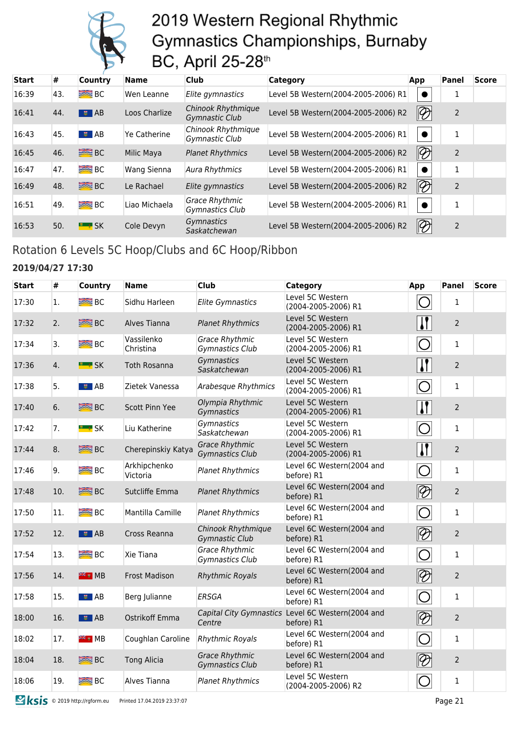

| <b>Start</b> | #   | <b>Country</b>   | Name          | <b>Club</b>                              | Category                            | App                               | Panel          | <b>Score</b> |
|--------------|-----|------------------|---------------|------------------------------------------|-------------------------------------|-----------------------------------|----------------|--------------|
| 16:39        | 43. | $B^2$            | Wen Leanne    | Elite gymnastics                         | Level 5B Western(2004-2005-2006) R1 |                                   |                |              |
| 16:41        | 44. | $\frac{1}{2}$ AB | Loos Charlize | Chinook Rhythmique<br>Gymnastic Club     | Level 5B Western(2004-2005-2006) R2 | $\lvert\!\lvert\mathcal{D}\rvert$ | $\overline{2}$ |              |
| 16:43        | 45. | $\bullet$ AB     | Ye Catherine  | Chinook Rhythmique<br>Gymnastic Club     | Level 5B Western(2004-2005-2006) R1 |                                   | 1              |              |
| 16:45        | 46. | <b>SEE</b> BC    | Milic Maya    | <b>Planet Rhythmics</b>                  | Level 5B Western(2004-2005-2006) R2 | $\lvert\!\lvert\mathcal{D}\rvert$ | $\overline{2}$ |              |
| 16:47        | 47. | B <sub>C</sub>   | Wang Sienna   | <b>Aura Rhythmics</b>                    | Level 5B Western(2004-2005-2006) R1 |                                   |                |              |
| 16:49        | 48. | <b>BE</b> BC     | Le Rachael    | Elite gymnastics                         | Level 5B Western(2004-2005-2006) R2 | $\lvert \mathcal{D} \rvert$       | $\overline{2}$ |              |
| 16:51        | 49. | $B^{\text{max}}$ | Liao Michaela | <b>Grace Rhythmic</b><br>Gymnastics Club | Level 5B Western(2004-2005-2006) R1 |                                   | 1              |              |
| 16:53        | 50. | <b>ELLE</b> SK   | Cole Devyn    | <b>Gymnastics</b><br>Saskatchewan        | Level 5B Western(2004-2005-2006) R2 | $\lvert \mathcal{D} \rvert$       | $\overline{2}$ |              |

### Rotation 6 Levels 5C Hoop/Clubs and 6C Hoop/Ribbon

#### **2019/04/27 17:30**

| <b>Start</b> | #   | Country                 | <b>Name</b>              | Club                                            | <b>Category</b>                                                 | App                         | <b>Panel</b>   | <b>Score</b> |
|--------------|-----|-------------------------|--------------------------|-------------------------------------------------|-----------------------------------------------------------------|-----------------------------|----------------|--------------|
| 17:30        | 1.  | $\equiv$ BC             | Sidhu Harleen            | <b>Elite Gymnastics</b>                         | Level 5C Western<br>(2004-2005-2006) R1                         | ⌒                           | 1              |              |
| 17:32        | 2.  | <b>BEE</b> BC           | Alves Tianna             | <b>Planet Rhythmics</b>                         | Level 5C Western<br>(2004-2005-2006) R1                         | $\mathbf{\mathsf{N}}$       | $\overline{2}$ |              |
| 17:34        | 3.  | $R = BC$                | Vassilenko<br>Christina  | <b>Grace Rhythmic</b><br>Gymnastics Club        | Level 5C Western<br>(2004-2005-2006) R1                         | $\bigcirc$                  | $\mathbf{1}$   |              |
| 17:36        | 4.  | <b>EL # SK</b>          | Toth Rosanna             | Gymnastics<br>Saskatchewan                      | Level 5C Western<br>(2004-2005-2006) R1                         | $\mathbf{\mathsf{N}}$       | $\overline{2}$ |              |
| 17:38        | 5.  | $\bullet$ AB            | Zietek Vanessa           | Arabesque Rhythmics                             | Level 5C Western<br>(2004-2005-2006) R1                         | $\bigcirc$                  | $\mathbf{1}$   |              |
| 17:40        | 6.  | <b>SEE</b> BC           | Scott Pinn Yee           | Olympia Rhythmic<br>Gymnastics                  | Level 5C Western<br>(2004-2005-2006) R1                         | $\mathbf{I}$                | $\overline{2}$ |              |
| 17:42        | 7.  | <b>E</b> SK             | Liu Katherine            | Gymnastics<br>Saskatchewan                      | Level 5C Western<br>(2004-2005-2006) R1                         | $\bigcirc$                  | $\mathbf{1}$   |              |
| 17:44        | 8.  | <b>SEE</b> BC           | Cherepinskiy Katya       | <b>Grace Rhythmic</b><br><b>Gymnastics Club</b> | Level 5C Western<br>(2004-2005-2006) R1                         | $\mathbf{\mathcal{U}}$      | $\overline{2}$ |              |
| 17:46        | 9.  | B <sub>C</sub>          | Arkhipchenko<br>Victoria | <b>Planet Rhythmics</b>                         | Level 6C Western(2004 and<br>before) R1                         | $\bigcirc$                  | $\mathbf{1}$   |              |
| 17:48        | 10. | <b>SEE BC</b>           | Sutcliffe Emma           | <b>Planet Rhythmics</b>                         | Level 6C Western(2004 and<br>before) R1                         | $\lvert \mathcal{D} \rvert$ | $\overline{2}$ |              |
| 17:50        | 11. | <b>SEE</b> BC           | Mantilla Camille         | <b>Planet Rhythmics</b>                         | Level 6C Western(2004 and<br>before) R1                         | $\bigcirc$                  | $\mathbf{1}$   |              |
| 17:52        | 12. | $\overline{\bullet}$ AB | Cross Reanna             | Chinook Rhythmique<br><b>Gymnastic Club</b>     | Level 6C Western(2004 and<br>before) R1                         | $\overline{\mathscr{D}}$    | $\overline{2}$ |              |
| 17:54        | 13. | $R = BC$                | Xie Tiana                | <b>Grace Rhythmic</b><br><b>Gymnastics Club</b> | Level 6C Western(2004 and<br>before) R1                         | O                           | $\mathbf{1}$   |              |
| 17:56        | 14. | <b>EXECUTER</b>         | <b>Frost Madison</b>     | <b>Rhythmic Royals</b>                          | Level 6C Western(2004 and<br>before) R1                         | $\boxed{\mathscr{D}}$       | $\overline{2}$ |              |
| 17:58        | 15. | $\frac{1}{2}$ AB        | Berg Julianne            | <b>ERSGA</b>                                    | Level 6C Western(2004 and<br>before) R1                         | $\bigcirc$                  | $\mathbf{1}$   |              |
| 18:00        | 16. | $\frac{1}{2}$ AB        | Ostrikoff Emma           | Centre                                          | Capital City Gymnastics Level 6C Western(2004 and<br>before) R1 | $ \mathcal{D} $             | $\overline{2}$ |              |
| 18:02        | 17. | <sup>≋≋</sup> ∎ MB      | Coughlan Caroline        | <b>Rhythmic Royals</b>                          | Level 6C Western(2004 and<br>before) R1                         | $\bigcirc$                  | $\mathbf{1}$   |              |
| 18:04        | 18. | <b>SEE BC</b>           | <b>Tong Alicia</b>       | <b>Grace Rhythmic</b><br><b>Gymnastics Club</b> | Level 6C Western(2004 and<br>before) R1                         | $\otimes$                   | $\overline{2}$ |              |
| 18:06        | 19. | <b>BE</b> BC            | Alves Tianna             | <b>Planet Rhythmics</b>                         | Level 5C Western<br>(2004-2005-2006) R2                         | $\bigcirc$                  | $\mathbf{1}$   |              |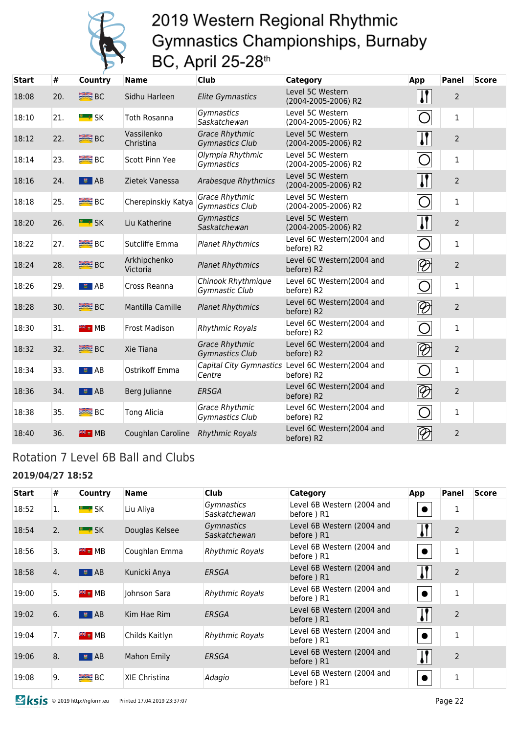

| <b>Start</b> | #   | <b>Country</b>          | <b>Name</b>              | <b>Club</b>                                     | Category                                | App                                                                               | Panel          | <b>Score</b> |
|--------------|-----|-------------------------|--------------------------|-------------------------------------------------|-----------------------------------------|-----------------------------------------------------------------------------------|----------------|--------------|
| 18:08        | 20. | <b>SEE</b> BC           | Sidhu Harleen            | <b>Elite Gymnastics</b>                         | Level 5C Western<br>(2004-2005-2006) R2 | $\mathbf{I}$                                                                      | 2              |              |
| 18:10        | 21. | <b>E</b> SK             | Toth Rosanna             | Gymnastics<br>Saskatchewan                      | Level 5C Western<br>(2004-2005-2006) R2 | $\bigcirc$                                                                        | 1              |              |
| 18:12        | 22. | <b>SEE BC</b>           | Vassilenko<br>Christina  | <b>Grace Rhythmic</b><br><b>Gymnastics Club</b> | Level 5C Western<br>(2004-2005-2006) R2 | $\mathbf{H}$                                                                      | $\overline{2}$ |              |
| 18:14        | 23. | <b>BE</b> BC            | Scott Pinn Yee           | Olympia Rhythmic<br>Gymnastics                  | Level 5C Western<br>(2004-2005-2006) R2 | $\bigcirc$                                                                        | $\mathbf{1}$   |              |
| 18:16        | 24. | $\overline{B}$ $AB$     | Zietek Vanessa           | <b>Arabesque Rhythmics</b>                      | Level 5C Western<br>(2004-2005-2006) R2 | $\left  \cdot \right $                                                            | $\overline{2}$ |              |
| 18:18        | 25. | $R = BC$                | Cherepinskiy Katya       | <b>Grace Rhythmic</b><br>Gymnastics Club        | Level 5C Western<br>(2004-2005-2006) R2 | $\overline{O}$                                                                    | $\mathbf{1}$   |              |
| 18:20        | 26. | <b>E</b> SK             | Liu Katherine            | Gymnastics<br>Saskatchewan                      | Level 5C Western<br>(2004-2005-2006) R2 | $\mathbf{I}$                                                                      | $\overline{2}$ |              |
| 18:22        | 27. | $R = BC$                | Sutcliffe Emma           | <b>Planet Rhythmics</b>                         | Level 6C Western(2004 and<br>before) R2 | $\bigcirc$                                                                        | $\mathbf{1}$   |              |
| 18:24        | 28. | <b>BEE</b> BC           | Arkhipchenko<br>Victoria | <b>Planet Rhythmics</b>                         | Level 6C Western(2004 and<br>before) R2 | $\lvert\!\lvert\mathcal{D}\rvert$                                                 | $\overline{2}$ |              |
| 18:26        | 29. | $\frac{1}{2}$ AB        | Cross Reanna             | Chinook Rhythmique<br>Gymnastic Club            | Level 6C Western(2004 and<br>before) R2 | $Q^{\prime}$                                                                      | $\mathbf{1}$   |              |
| 18:28        | 30. | <b>SEE</b> BC           | Mantilla Camille         | <b>Planet Rhythmics</b>                         | Level 6C Western(2004 and<br>before) R2 | $\lbrack\negthickspace\negthickspace\overline{\mathscr{D}}\hspace{-0.5pt}\rbrack$ | $\overline{2}$ |              |
| 18:30        | 31. | <b>FREE</b> MB          | <b>Frost Madison</b>     | <b>Rhythmic Royals</b>                          | Level 6C Western(2004 and<br>before) R2 | $\bigcirc$                                                                        | $\mathbf{1}$   |              |
| 18:32        | 32. | B <sub>C</sub>          | Xie Tiana                | <b>Grace Rhythmic</b><br><b>Gymnastics Club</b> | Level 6C Western(2004 and<br>before) R2 | $\overline{\mathscr{D}}$                                                          | $\overline{2}$ |              |
| 18:34        | 33. | ■ ■ AB                  | Ostrikoff Emma           | Capital City Gymnastics<br>Centre               | Level 6C Western(2004 and<br>before) R2 | $\overline{\bigcirc}$                                                             | $\mathbf{1}$   |              |
| 18:36        | 34. | $\overline{\bullet}$ AB | Berg Julianne            | <b>ERSGA</b>                                    | Level 6C Western(2004 and<br>before) R2 | $\lvert\!\lvert\mathcal{D}\rvert$                                                 | $\overline{2}$ |              |
| 18:38        | 35. | $B^{\text{max}}$        | <b>Tong Alicia</b>       | <b>Grace Rhythmic</b><br>Gymnastics Club        | Level 6C Western(2004 and<br>before) R2 | O                                                                                 | $\mathbf{1}$   |              |
| 18:40        | 36. | <b>FIE</b> III MB       | Coughlan Caroline        | <b>Rhythmic Royals</b>                          | Level 6C Western(2004 and<br>before) R2 | $\oslash$                                                                         | $\overline{2}$ |              |

### Rotation 7 Level 6B Ball and Clubs

#### **2019/04/27 18:52**

| <b>Start</b> | #  | Country                   | <b>Name</b>          | <b>Club</b>                       | Category                                 | App          | Panel          | <b>Score</b> |
|--------------|----|---------------------------|----------------------|-----------------------------------|------------------------------------------|--------------|----------------|--------------|
| 18:52        | 1. | <u>" ≉</u> SK             | Liu Aliya            | <i>Gymnastics</i><br>Saskatchewan | Level 6B Western (2004 and<br>before) R1 |              | 1              |              |
| 18:54        | 2. | <b>E</b> * SK             | Douglas Kelsee       | <b>Gymnastics</b><br>Saskatchewan | Level 6B Western (2004 and<br>before) R1 |              | $\overline{2}$ |              |
| 18:56        | 3. | <b>FEE</b> MB             | Coughlan Emma        | <b>Rhythmic Royals</b>            | Level 6B Western (2004 and<br>before) R1 |              | $\mathbf{1}$   |              |
| 18:58        | 4. | $\overline{\bullet}$ $AB$ | Kunicki Anya         | ERSGA                             | Level 6B Western (2004 and<br>before) R1 |              | $\overline{2}$ |              |
| 19:00        | 5. | <b>Example 1946</b>       | Johnson Sara         | <b>Rhythmic Royals</b>            | Level 6B Western (2004 and<br>before) R1 |              | $\mathbf{1}$   |              |
| 19:02        | 6. | $\overline{5}$ $AB$       | Kim Hae Rim          | ERSGA                             | Level 6B Western (2004 and<br>before) R1 | $\mathbf{l}$ | $\overline{2}$ |              |
| 19:04        | 7. | <b>FREE</b> MB            | Childs Kaitlyn       | <b>Rhythmic Royals</b>            | Level 6B Western (2004 and<br>before) R1 |              | 1              |              |
| 19:06        | 8. | $\overline{5}$ $AB$       | Mahon Emily          | ERSGA                             | Level 6B Western (2004 and<br>before) R1 |              | $\overline{2}$ |              |
| 19:08        | 9. | <b>BEE</b> BC             | <b>XIE Christina</b> | Adagio                            | Level 6B Western (2004 and<br>before) R1 |              | $\mathbf{1}$   |              |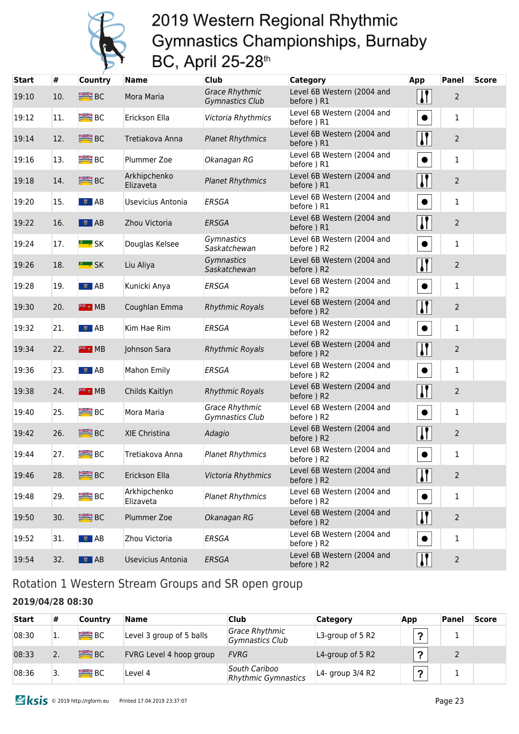

| <b>Start</b> | #   | Country                            | <b>Name</b>               | <b>Club</b>                                     | <b>Category</b>                           | App                    | <b>Panel</b>   | <b>Score</b> |
|--------------|-----|------------------------------------|---------------------------|-------------------------------------------------|-------------------------------------------|------------------------|----------------|--------------|
| 19:10        | 10. | <b>BE</b> BC                       | Mora Maria                | <b>Grace Rhythmic</b><br><b>Gymnastics Club</b> | Level 6B Western (2004 and<br>before) R1  | $\mathbf{\mathsf{N}}$  | $\overline{2}$ |              |
| 19:12        | 11. | <b>BEE</b> BC                      | Erickson Ella             | Victoria Rhythmics                              | Level 6B Western (2004 and<br>before) R1  | $\bullet$              | 1              |              |
| 19:14        | 12. | <b>SEE</b> BC                      | Tretiakova Anna           | <b>Planet Rhythmics</b>                         | Level 6B Western (2004 and<br>before) R1  |                        | $\overline{2}$ |              |
| 19:16        | 13. | $R = BC$                           | Plummer Zoe               | Okanagan RG                                     | Level 6B Western (2004 and<br>before) R1  | $\bullet$              | 1              |              |
| 19:18        | 14. | <b>SEE</b> BC                      | Arkhipchenko<br>Elizaveta | <b>Planet Rhythmics</b>                         | Level 6B Western (2004 and<br>before) R1  | $\mathbf{\mathcal{U}}$ | $\overline{2}$ |              |
| 19:20        | 15. | $\blacksquare$ $\blacksquare$ $AB$ | Usevicius Antonia         | <b>ERSGA</b>                                    | Level 6B Western (2004 and<br>before) R1  | $\bullet$              | 1              |              |
| 19:22        | 16. | $\frac{1}{2}$ AB                   | Zhou Victoria             | <b>ERSGA</b>                                    | Level 6B Western (2004 and<br>before ) R1 | $\mathbf{I}$           | $\overline{2}$ |              |
| 19:24        | 17. | <b>E</b> * SK                      | Douglas Kelsee            | Gymnastics<br>Saskatchewan                      | Level 6B Western (2004 and<br>before) R2  | $\bullet$              | 1              |              |
| 19:26        | 18. | <b>E</b> SK                        | Liu Aliya                 | Gymnastics<br>Saskatchewan                      | Level 6B Western (2004 and<br>before) R2  | $\mathbf{I}$           | $\overline{2}$ |              |
| 19:28        | 19. | $\sqrt{2}$ AB                      | Kunicki Anya              | <b>ERSGA</b>                                    | Level 6B Western (2004 and<br>before) R2  | $\bullet$              | 1              |              |
| 19:30        | 20. | <b>FE &amp; MB</b>                 | Coughlan Emma             | <b>Rhythmic Royals</b>                          | Level 6B Western (2004 and<br>before) R2  | $\mathbf{\mathcal{U}}$ | $\overline{2}$ |              |
| 19:32        | 21. | $\sqrt{5}$ AB                      | Kim Hae Rim               | <b>ERSGA</b>                                    | Level 6B Western (2004 and<br>before) R2  | $\bullet$              | 1              |              |
| 19:34        | 22. | # 4 MB                             | Johnson Sara              | <b>Rhythmic Royals</b>                          | Level 6B Western (2004 and<br>before) R2  | $\mathbf{I}$           | $\overline{2}$ |              |
| 19:36        | 23. | $\frac{1}{2}$ AB                   | <b>Mahon Emily</b>        | <b>ERSGA</b>                                    | Level 6B Western (2004 and<br>before) R2  |                        | 1              |              |
| 19:38        | 24. | # 4 MB                             | Childs Kaitlyn            | <b>Rhythmic Royals</b>                          | Level 6B Western (2004 and<br>before ) R2 | $\mathbf{\mathsf{N}}$  | $\overline{2}$ |              |
| 19:40        | 25. | B <sub>C</sub>                     | Mora Maria                | Grace Rhythmic<br>Gymnastics Club               | Level 6B Western (2004 and<br>before) R2  |                        | $\mathbf{1}$   |              |
| 19:42        | 26. | <b>SEE</b> BC                      | XIE Christina             | Adagio                                          | Level 6B Western (2004 and<br>before ) R2 | $\mathbf{I}$           | $\overline{2}$ |              |
| 19:44        | 27. | <b>BE</b> BC                       | Tretiakova Anna           | <b>Planet Rhythmics</b>                         | Level 6B Western (2004 and<br>before) R2  | $\bullet$              | $\mathbf{1}$   |              |
| 19:46        | 28. | <b>SEE</b> BC                      | Erickson Ella             | Victoria Rhythmics                              | Level 6B Western (2004 and<br>before) R2  |                        | $\overline{2}$ |              |
| 19:48        | 29. | $R = BC$                           | Arkhipchenko<br>Elizaveta | <b>Planet Rhythmics</b>                         | Level 6B Western (2004 and<br>before) R2  |                        | $\,1$          |              |
| 19:50        | 30. | <b>SEE</b> BC                      | Plummer Zoe               | Okanagan RG                                     | Level 6B Western (2004 and<br>before ) R2 |                        | $\overline{2}$ |              |
| 19:52        | 31. | <b>इ</b> AB                        | Zhou Victoria             | ERSGA                                           | Level 6B Western (2004 and<br>before) R2  | $\bullet$              | $\mathbf{1}$   |              |
| 19:54        | 32. | $\bullet$ AB                       | Usevicius Antonia         | ERSGA                                           | Level 6B Western (2004 and<br>before) R2  |                        | $\overline{2}$ |              |

### Rotation 1 Western Stream Groups and SR open group

#### **2019/04/28 08:30**

| <b>Start</b> | #        | Country        | Name                     | <b>Club</b>                                 | Category           | App           | Panel | <b>Score</b> |
|--------------|----------|----------------|--------------------------|---------------------------------------------|--------------------|---------------|-------|--------------|
| 08:30        | <b>.</b> | B <sub>C</sub> | Level 3 group of 5 balls | Grace Rhythmic<br><b>Gymnastics Club</b>    | L3-group of 5 R2   | $\rightarrow$ |       |              |
| 08:33        | 2.       | <b>ERE</b> BC  | FVRG Level 4 hoop group  | <b>FVRG</b>                                 | L4-group of 5 R2   | $\bullet$     |       |              |
| 08:36        | 3.       | <b>ERE</b> BC  | Level 4                  | South Cariboo<br><b>Rhythmic Gymnastics</b> | L4- group $3/4$ R2 | $\sim$        |       |              |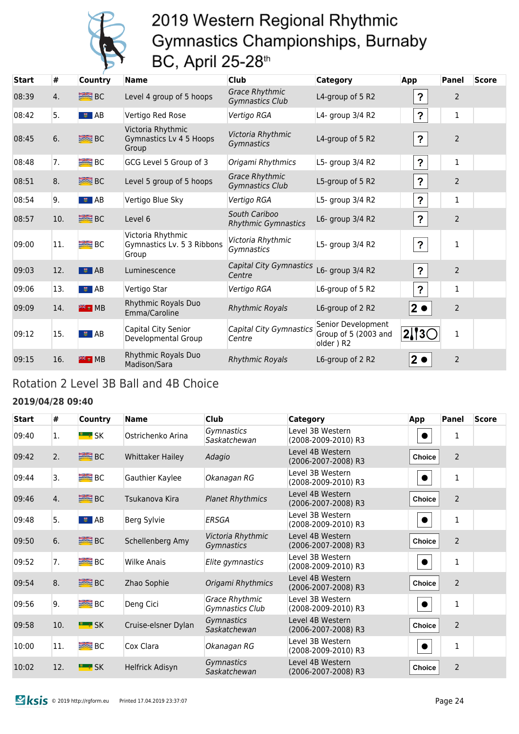

| <b>Start</b> | #   | <b>Country</b>          | <b>Name</b>                                              | <b>Club</b>                                     | <b>Category</b>                                         | App                       | Panel          | <b>Score</b> |
|--------------|-----|-------------------------|----------------------------------------------------------|-------------------------------------------------|---------------------------------------------------------|---------------------------|----------------|--------------|
| 08:39        | 4.  | <b>SEE</b> BC           | Level 4 group of 5 hoops                                 | <b>Grace Rhythmic</b><br><b>Gymnastics Club</b> | L4-group of 5 R2                                        | ?                         | $\overline{2}$ |              |
| 08:42        | 5.  | $\bullet$ AB            | Vertigo Red Rose                                         | Vertigo RGA                                     | L4- group 3/4 R2                                        | $\mathbf{P}$              | $\mathbf{1}$   |              |
| 08:45        | 6.  | <b>SEE BC</b>           | Victoria Rhythmic<br>Gymnastics Lv 4 5 Hoops<br>Group    | Victoria Rhythmic<br>Gymnastics                 | L4-group of 5 R2                                        | $\mathbf{P}$              | $\overline{2}$ |              |
| 08:48        | 7.  | <b>BEE</b> BC           | GCG Level 5 Group of 3                                   | Origami Rhythmics                               | L5- group 3/4 R2                                        | $\boldsymbol{\mathsf{?}}$ | $\mathbf{1}$   |              |
| 08:51        | 8.  | <b>SEE BC</b>           | Level 5 group of 5 hoops                                 | <b>Grace Rhythmic</b><br><b>Gymnastics Club</b> | L5-group of 5 R2                                        | $\mathbf{P}$              | $\overline{2}$ |              |
| 08:54        | 9.  | $\bullet$ AB            | Vertigo Blue Sky                                         | Vertigo RGA                                     | L5- group 3/4 R2                                        | $\boldsymbol{\mathsf{?}}$ | $\mathbf{1}$   |              |
| 08:57        | 10. | <b>SEE</b> BC           | Level 6                                                  | South Cariboo<br><b>Rhythmic Gymnastics</b>     | L6- group 3/4 R2                                        | $\mathbf{P}$              | $\overline{2}$ |              |
| 09:00        | 11. | B <sub>C</sub>          | Victoria Rhythmic<br>Gymnastics Lv. 5 3 Ribbons<br>Group | Victoria Rhythmic<br>Gymnastics                 | L5- group 3/4 R2                                        | $\mathbf{P}$              | 1              |              |
| 09:03        | 12. | $\overline{\bullet}$ AB | Luminescence                                             | <b>Capital City Gymnastics</b><br>Centre        | L6- group 3/4 R2                                        | $\boldsymbol{\mathsf{?}}$ | $\overline{2}$ |              |
| 09:06        | 13. | $\bullet$ AB            | Vertigo Star                                             | Vertigo RGA                                     | L6-group of 5 R2                                        | $\overline{?}$            | $\mathbf{1}$   |              |
| 09:09        | 14. | <b>業計 MB</b>            | Rhythmic Royals Duo<br>Emma/Caroline                     | <b>Rhythmic Royals</b>                          | L6-group of 2 R2                                        | $2 \bullet$               | $\overline{2}$ |              |
| 09:12        | 15. | $\bullet$ AB            | Capital City Senior<br>Developmental Group               | Capital City Gymnastics<br>Centre               | Senior Development<br>Group of 5 (2003 and<br>older) R2 | $2$   3 $\subset$         | 1              |              |
| 09:15        | 16. | 米· MB                   | Rhythmic Royals Duo<br>Madison/Sara                      | <b>Rhythmic Royals</b>                          | L6-group of 2 R2                                        | 2 ●                       | $\overline{2}$ |              |

### Rotation 2 Level 3B Ball and 4B Choice

#### **2019/04/28 09:40**

| <b>Start</b> | #   | Country             | <b>Name</b>             | <b>Club</b>                       | Category                                | App           | <b>Panel</b>   | <b>Score</b> |
|--------------|-----|---------------------|-------------------------|-----------------------------------|-----------------------------------------|---------------|----------------|--------------|
| 09:40        | 1.  | <b>E</b> * SK       | Ostrichenko Arina       | <i>Gymnastics</i><br>Saskatchewan | Level 3B Western<br>(2008-2009-2010) R3 |               | 1              |              |
| 09:42        | 2.  | <b>SEE</b> BC       | <b>Whittaker Hailey</b> | Adagio                            | Level 4B Western<br>(2006-2007-2008) R3 | <b>Choice</b> | $\overline{2}$ |              |
| 09:44        | 3.  | $B^{\text{max}}$ BC | Gauthier Kaylee         | Okanagan RG                       | Level 3B Western<br>(2008-2009-2010) R3 |               | $\mathbf 1$    |              |
| 09:46        | 4.  | <b>SEE</b> BC       | Tsukanova Kira          | <b>Planet Rhythmics</b>           | Level 4B Western<br>(2006-2007-2008) R3 | Choice        | $\overline{2}$ |              |
| 09:48        | 5.  | $\bullet$ AB        | Berg Sylvie             | <b>ERSGA</b>                      | Level 3B Western<br>(2008-2009-2010) R3 |               | $\mathbf{1}$   |              |
| 09:50        | 6.  | <b>SEE BC</b>       | Schellenberg Amy        | Victoria Rhythmic<br>Gymnastics   | Level 4B Western<br>(2006-2007-2008) R3 | <b>Choice</b> | $\overline{2}$ |              |
| 09:52        | 7.  | B <sub>C</sub>      | Wilke Anais             | Elite gymnastics                  | Level 3B Western<br>(2008-2009-2010) R3 |               | 1              |              |
| 09:54        | 8.  | <b>SEE</b> BC       | Zhao Sophie             | Origami Rhythmics                 | Level 4B Western<br>(2006-2007-2008) R3 | <b>Choice</b> | $\overline{2}$ |              |
| 09:56        | 9.  | <b>BC</b> BC        | Deng Cici               | Grace Rhythmic<br>Gymnastics Club | Level 3B Western<br>(2008-2009-2010) R3 |               | 1              |              |
| 09:58        | 10. | <b>E</b> SK         | Cruise-elsner Dylan     | Gymnastics<br>Saskatchewan        | Level 4B Western<br>(2006-2007-2008) R3 | <b>Choice</b> | $\overline{2}$ |              |
| 10:00        | 11. | $B^{\text{max}}$ BC | Cox Clara               | Okanagan RG                       | Level 3B Western<br>(2008-2009-2010) R3 |               | 1              |              |
| 10:02        | 12. | <b>E</b> SK         | Helfrick Adisyn         | Gymnastics<br>Saskatchewan        | Level 4B Western<br>(2006-2007-2008) R3 | <b>Choice</b> | $\overline{2}$ |              |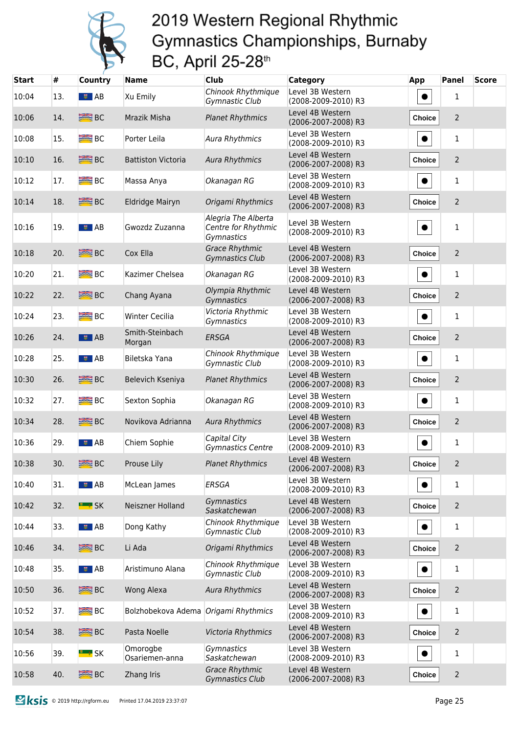

| <b>Start</b> | #   | <b>Country</b>            | <b>Name</b>                          | <b>Club</b>                                              | Category                                | <b>App</b>    | <b>Panel</b>   | <b>Score</b> |
|--------------|-----|---------------------------|--------------------------------------|----------------------------------------------------------|-----------------------------------------|---------------|----------------|--------------|
| 10:04        | 13. | $\sqrt{2}$ AB             | Xu Emily                             | Chinook Rhythmique<br>Gymnastic Club                     | Level 3B Western<br>(2008-2009-2010) R3 | $\bullet$     | $\mathbf{1}$   |              |
| 10:06        | 14. | <b>SEE BC</b>             | Mrazik Misha                         | <b>Planet Rhythmics</b>                                  | Level 4B Western<br>(2006-2007-2008) R3 | Choice        | $\overline{2}$ |              |
| 10:08        | 15. | <b>BEE</b> BC             | Porter Leila                         | <b>Aura Rhythmics</b>                                    | Level 3B Western<br>(2008-2009-2010) R3 | $\bullet$     | $\mathbf{1}$   |              |
| 10:10        | 16. | <b>SEE</b> BC             | <b>Battiston Victoria</b>            | <b>Aura Rhythmics</b>                                    | Level 4B Western<br>(2006-2007-2008) R3 | Choice        | $\overline{2}$ |              |
| 10:12        | 17. | <b>BEE</b> BC             | Massa Anya                           | Okanagan RG                                              | Level 3B Western<br>(2008-2009-2010) R3 | $\bullet$     | 1              |              |
| 10:14        | 18. | <b>SEE</b> BC             | Eldridge Mairyn                      | Origami Rhythmics                                        | Level 4B Western<br>(2006-2007-2008) R3 | <b>Choice</b> | $\overline{2}$ |              |
| 10:16        | 19. | $\overline{\bullet}$ $AB$ | Gwozdz Zuzanna                       | Alegria The Alberta<br>Centre for Rhythmic<br>Gymnastics | Level 3B Western<br>(2008-2009-2010) R3 | $\bullet$     | $\mathbf{1}$   |              |
| 10:18        | 20. | <b>SEE</b> BC             | Cox Ella                             | <b>Grace Rhythmic</b><br><b>Gymnastics Club</b>          | Level 4B Western<br>(2006-2007-2008) R3 | <b>Choice</b> | $\overline{2}$ |              |
| 10:20        | 21. | <b>BEE</b> BC             | Kazimer Chelsea                      | Okanagan RG                                              | Level 3B Western<br>(2008-2009-2010) R3 | $\bullet$     | 1              |              |
| 10:22        | 22. | <b>SEE</b> BC             | Chang Ayana                          | Olympia Rhythmic<br>Gymnastics                           | Level 4B Western<br>(2006-2007-2008) R3 | <b>Choice</b> | $\overline{2}$ |              |
| 10:24        | 23. | <b>BEE</b> BC             | <b>Winter Cecilia</b>                | Victoria Rhythmic<br>Gymnastics                          | Level 3B Western<br>(2008-2009-2010) R3 | $\bullet$     | 1              |              |
| 10:26        | 24. | $\frac{1}{2}$ AB          | Smith-Steinbach<br>Morgan            | <b>ERSGA</b>                                             | Level 4B Western<br>(2006-2007-2008) R3 | Choice        | $\overline{2}$ |              |
| 10:28        | 25. | । <b>इ</b> AB             | Biletska Yana                        | Chinook Rhythmique<br>Gymnastic Club                     | Level 3B Western<br>(2008-2009-2010) R3 | $\bullet$     | 1              |              |
| 10:30        | 26. | <b>SEE</b> BC             | Belevich Kseniya                     | <b>Planet Rhythmics</b>                                  | Level 4B Western<br>(2006-2007-2008) R3 | Choice        | $\overline{2}$ |              |
| 10:32        | 27. | <b>BEE</b> BC             | Sexton Sophia                        | Okanagan RG                                              | Level 3B Western<br>(2008-2009-2010) R3 | $\bullet$     | $\mathbf{1}$   |              |
| 10:34        | 28. | <b>SEE</b> BC             | Novikova Adrianna                    | <b>Aura Rhythmics</b>                                    | Level 4B Western<br>(2006-2007-2008) R3 | Choice        | $\overline{2}$ |              |
| 10:36        | 29. | ■■ AB                     | Chiem Sophie                         | Capital City<br><b>Gymnastics Centre</b>                 | Level 3B Western<br>(2008-2009-2010) R3 | $\bullet$     | $\mathbf{1}$   |              |
| 10:38        | 30. | <b>SEE</b> BC             | Prouse Lily                          | <b>Planet Rhythmics</b>                                  | Level 4B Western<br>(2006-2007-2008) R3 | Choice        | 2              |              |
| 10:40        | 31. | $\overline{\bullet}$ $AB$ | McLean James                         | ERSGA                                                    | Level 3B Western<br>(2008-2009-2010) R3 | $\bullet$     | $\mathbf{1}$   |              |
| 10:42        | 32. | <b>E</b> * SK             | Neiszner Holland                     | Gymnastics<br>Saskatchewan                               | Level 4B Western<br>(2006-2007-2008) R3 | <b>Choice</b> | $\overline{2}$ |              |
| 10:44        | 33. | ■ ■ AB                    | Dong Kathy                           | Chinook Rhythmique<br>Gymnastic Club                     | Level 3B Western<br>(2008-2009-2010) R3 | $\bullet$     | $\mathbf{1}$   |              |
| 10:46        | 34. | <b>SEE</b> BC             | Li Ada                               | Origami Rhythmics                                        | Level 4B Western<br>(2006-2007-2008) R3 | Choice        | $\overline{2}$ |              |
| 10:48        | 35. | $\frac{1}{2}$ AB          | Aristimuno Alana                     | Chinook Rhythmique<br>Gymnastic Club                     | Level 3B Western<br>(2008-2009-2010) R3 | $\bullet$     | $\mathbf{1}$   |              |
| 10:50        | 36. | <b>SEE</b> BC             | Wong Alexa                           | <b>Aura Rhythmics</b>                                    | Level 4B Western<br>(2006-2007-2008) R3 | Choice        | $\overline{2}$ |              |
| 10:52        | 37. | <b>BEE</b> BC             | Bolzhobekova Adema Origami Rhythmics |                                                          | Level 3B Western<br>(2008-2009-2010) R3 |               | 1              |              |
| 10:54        | 38. | <b>SEE</b> BC             | Pasta Noelle                         | Victoria Rhythmics                                       | Level 4B Western<br>(2006-2007-2008) R3 | <b>Choice</b> | $\overline{2}$ |              |
| 10:56        | 39. | <u>" ≉</u> SK             | Omorogbe<br>Osariemen-anna           | Gymnastics<br>Saskatchewan                               | Level 3B Western<br>(2008-2009-2010) R3 | $\bullet$     | $\mathbf{1}$   |              |
| 10:58        | 40. | <b>SEE</b> BC             | Zhang Iris                           | <b>Grace Rhythmic</b><br>Gymnastics Club                 | Level 4B Western<br>(2006-2007-2008) R3 | Choice        | $\overline{2}$ |              |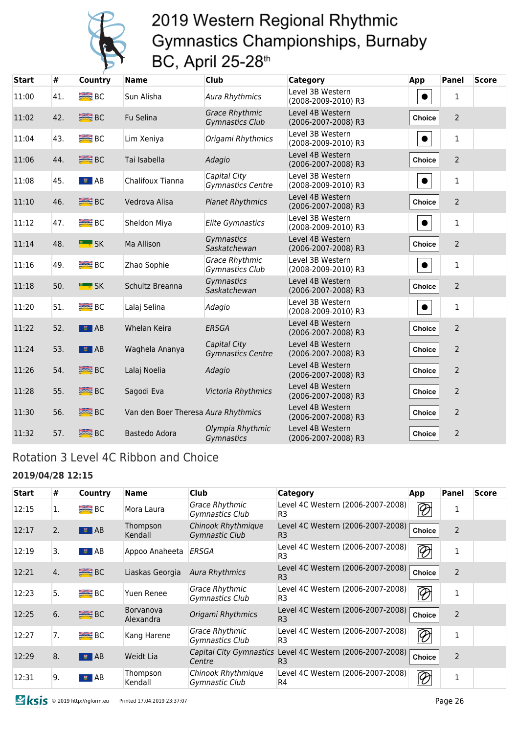

| <b>Start</b> | #   | <b>Country</b>      | <b>Name</b>                         | <b>Club</b>                                     | <b>Category</b>                         | App           | <b>Panel</b>   | <b>Score</b> |
|--------------|-----|---------------------|-------------------------------------|-------------------------------------------------|-----------------------------------------|---------------|----------------|--------------|
| 11:00        | 41. | B <sub>C</sub>      | Sun Alisha                          | <b>Aura Rhythmics</b>                           | Level 3B Western<br>(2008-2009-2010) R3 |               | $\mathbf{1}$   |              |
| 11:02        | 42. | <b>SEE BC</b>       | Fu Selina                           | <b>Grace Rhythmic</b><br><b>Gymnastics Club</b> | Level 4B Western<br>(2006-2007-2008) R3 | Choice        | $\overline{2}$ |              |
| 11:04        | 43. | B <sub>C</sub>      | Lim Xeniya                          | Origami Rhythmics                               | Level 3B Western<br>(2008-2009-2010) R3 | $\bullet$     | $\mathbf{1}$   |              |
| 11:06        | 44. | <b>SEE</b> BC       | Tai Isabella                        | Adagio                                          | Level 4B Western<br>(2006-2007-2008) R3 | Choice        | $\overline{2}$ |              |
| 11:08        | 45. | ■ AB                | Chalifoux Tianna                    | Capital City<br><b>Gymnastics Centre</b>        | Level 3B Western<br>(2008-2009-2010) R3 |               | 1              |              |
| 11:10        | 46. | <b>SEE BC</b>       | Vedrova Alisa                       | <b>Planet Rhythmics</b>                         | Level 4B Western<br>(2006-2007-2008) R3 | Choice        | $\overline{2}$ |              |
| 11:12        | 47. | B <sub>C</sub>      | Sheldon Miya                        | <b>Elite Gymnastics</b>                         | Level 3B Western<br>(2008-2009-2010) R3 | $\bullet$     | $\mathbf{1}$   |              |
| 11:14        | 48. | <b>E</b> SK         | Ma Allison                          | Gymnastics<br>Saskatchewan                      | Level 4B Western<br>(2006-2007-2008) R3 | Choice        | $\overline{2}$ |              |
| 11:16        | 49. | B <sub>C</sub>      | Zhao Sophie                         | <b>Grace Rhythmic</b><br><b>Gymnastics Club</b> | Level 3B Western<br>(2008-2009-2010) R3 | $\bullet$     | 1              |              |
| 11:18        | 50. | <b>E</b> SK         | Schultz Breanna                     | Gymnastics<br>Saskatchewan                      | Level 4B Western<br>(2006-2007-2008) R3 | Choice        | $\overline{2}$ |              |
| 11:20        | 51. | $B^{\text{max}}$ BC | Lalaj Selina                        | Adagio                                          | Level 3B Western<br>(2008-2009-2010) R3 | $\bullet$     | 1              |              |
| 11:22        | 52. | $\frac{1}{2}$ AB    | Whelan Keira                        | ERSGA                                           | Level 4B Western<br>(2006-2007-2008) R3 | Choice        | $\overline{2}$ |              |
| 11:24        | 53. | $\frac{1}{2}$ AB    | Waghela Ananya                      | Capital City<br><b>Gymnastics Centre</b>        | Level 4B Western<br>(2006-2007-2008) R3 | Choice        | $\overline{2}$ |              |
| 11:26        | 54. | <b>BRE</b> BC       | Lalaj Noelia                        | Adagio                                          | Level 4B Western<br>(2006-2007-2008) R3 | <b>Choice</b> | 2              |              |
| 11:28        | 55. | <b>ERE</b> BC       | Sagodi Eva                          | Victoria Rhythmics                              | Level 4B Western<br>(2006-2007-2008) R3 | Choice        | $\overline{2}$ |              |
| 11:30        | 56. | <b>BE</b> BC        | Van den Boer Theresa Aura Rhythmics |                                                 | Level 4B Western<br>(2006-2007-2008) R3 | <b>Choice</b> | $\overline{2}$ |              |
| 11:32        | 57. | <b>SEE</b> BC       | Bastedo Adora                       | Olympia Rhythmic<br>Gymnastics                  | Level 4B Western<br>(2006-2007-2008) R3 | Choice        | $\overline{2}$ |              |

### Rotation 3 Level 4C Ribbon and Choice

#### **2019/04/28 12:15**

| <b>Start</b> | #  | Country             | <b>Name</b>                   | <b>Club</b>                              | Category                                                                    | App                      | Panel          | <b>Score</b> |
|--------------|----|---------------------|-------------------------------|------------------------------------------|-----------------------------------------------------------------------------|--------------------------|----------------|--------------|
| 12:15        | 1. | $B^{\text{max}}$ BC | Mora Laura                    | <b>Grace Rhythmic</b><br>Gymnastics Club | Level 4C Western (2006-2007-2008)<br>R <sub>3</sub>                         | $\overline{\mathscr{D}}$ | 1              |              |
| 12:17        | 2. | $\bullet$ AB        | Thompson<br>Kendall           | Chinook Rhythmique<br>Gymnastic Club     | Level 4C Western (2006-2007-2008)<br>R <sub>3</sub>                         | Choice                   | 2              |              |
| 12:19        | 3. | $\sqrt{5}$ AB       | Appoo Anaheeta                | ERSGA                                    | Level 4C Western (2006-2007-2008)<br>R3                                     | $\overline{\mathscr{D}}$ | $\mathbf 1$    |              |
| 12:21        | 4. | <b>BE</b> BC        | Liaskas Georgia               | <b>Aura Rhythmics</b>                    | Level 4C Western (2006-2007-2008)<br>R <sub>3</sub>                         | Choice                   | $\overline{2}$ |              |
| 12:23        | 5. | B <sub>C</sub>      | Yuen Renee                    | Grace Rhythmic<br>Gymnastics Club        | Level 4C Western (2006-2007-2008)<br>R3                                     | $\overline{\mathscr{D}}$ | 1              |              |
| 12:25        | 6. | B <sub>C</sub>      | <b>Borvanova</b><br>Alexandra | Origami Rhythmics                        | Level 4C Western (2006-2007-2008)<br>R <sub>3</sub>                         | Choice                   | $\overline{2}$ |              |
| 12:27        | 7. | $B^{\text{max}}$ BC | Kang Harene                   | Grace Rhythmic<br>Gymnastics Club        | Level 4C Western (2006-2007-2008)<br>R3                                     | $\overline{\mathscr{D}}$ | 1              |              |
| 12:29        | 8. | $\bullet$ AB        | Weidt Lia                     | Centre                                   | Capital City Gymnastics Level 4C Western (2006-2007-2008)<br>R <sub>3</sub> | Choice                   | 2              |              |
| 12:31        | 9. | $\sqrt{5}$ AB       | Thompson<br>Kendall           | Chinook Rhythmique<br>Gymnastic Club     | Level 4C Western (2006-2007-2008)<br>R4                                     | $\overline{\mathscr{D}}$ | $\mathbf{1}$   |              |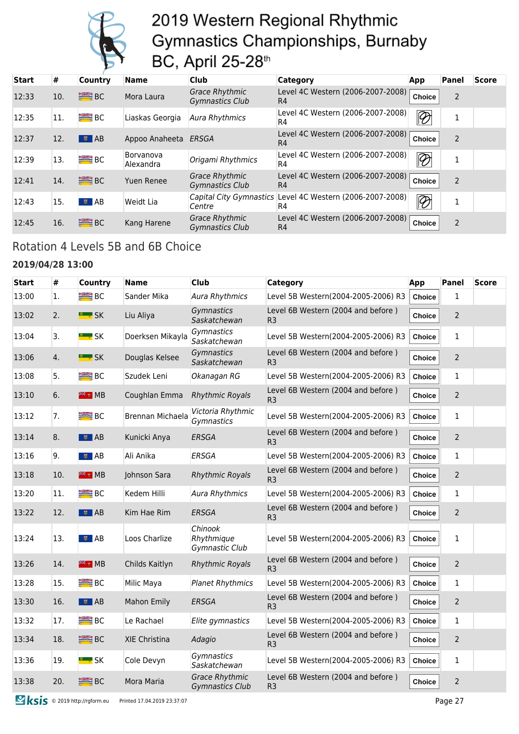

| <b>Start</b> | #   | <b>Country</b>          | <b>Name</b>            | <b>Club</b>                                     | <b>Category</b>                                                 | App                      | Panel          | <b>Score</b> |
|--------------|-----|-------------------------|------------------------|-------------------------------------------------|-----------------------------------------------------------------|--------------------------|----------------|--------------|
| 12:33        | 10. | B <sub>C</sub>          | Mora Laura             | <b>Grace Rhythmic</b><br><b>Gymnastics Club</b> | Level 4C Western (2006-2007-2008)<br>R4                         | Choice                   | 2              |              |
| 12:35        | 11. | $B2$ BC                 | Liaskas Georgia        | Aura Rhythmics                                  | Level 4C Western (2006-2007-2008)<br>R4                         | $\overline{\mathscr{D}}$ | 1              |              |
| 12:37        | 12. | $\overline{\bullet}$ AB | Appoo Anaheeta         | ERSGA                                           | Level 4C Western (2006-2007-2008)<br>R4                         | <b>Choice</b>            | $\overline{2}$ |              |
| 12:39        | 13. | B <sub>C</sub>          | Borvanova<br>Alexandra | Origami Rhythmics                               | Level 4C Western (2006-2007-2008)<br>R4                         | $\overline{\mathscr{D}}$ | 1              |              |
| 12:41        | 14. | BC                      | <b>Yuen Renee</b>      | <b>Grace Rhythmic</b><br><b>Gymnastics Club</b> | Level 4C Western (2006-2007-2008)<br>R4                         | Choice                   | $\overline{2}$ |              |
| 12:43        | 15. | $\bullet$ AB            | Weidt Lia              | Centre                                          | Capital City Gymnastics Level 4C Western (2006-2007-2008)<br>R4 | $\overline{\mathscr{D}}$ | 1              |              |
| 12:45        | 16. | $\equiv$ BC             | Kang Harene            | <b>Grace Rhythmic</b><br><b>Gymnastics Club</b> | Level 4C Western (2006-2007-2008)<br>R4                         | <b>Choice</b>            | $\overline{2}$ |              |

### Rotation 4 Levels 5B and 6B Choice

#### **2019/04/28 13:00**

| <b>Start</b> | #   | <b>Country</b>      | <b>Name</b>        | <b>Club</b>                                     | <b>Category</b>                                      | App           | <b>Panel</b>   | <b>Score</b> |
|--------------|-----|---------------------|--------------------|-------------------------------------------------|------------------------------------------------------|---------------|----------------|--------------|
| 13:00        | 1.  | $\equiv$ BC         | Sander Mika        | Aura Rhythmics                                  | Level 5B Western(2004-2005-2006) R3                  | <b>Choice</b> | $\mathbf{1}$   |              |
| 13:02        | 2.  | <b>EL # SK</b>      | Liu Aliya          | Gymnastics<br>Saskatchewan                      | Level 6B Western (2004 and before)<br>R <sub>3</sub> | Choice        | $\overline{2}$ |              |
| 13:04        | 3.  | <b>E</b> * SK       | Doerksen Mikayla   | Gymnastics<br>Saskatchewan                      | Level 5B Western(2004-2005-2006) R3                  | <b>Choice</b> | $\mathbf{1}$   |              |
| 13:06        | 4.  | <b>E</b> * SK       | Douglas Kelsee     | Gymnastics<br>Saskatchewan                      | Level 6B Western (2004 and before)<br>R <sub>3</sub> | Choice        | 2              |              |
| 13:08        | 5.  | B <sub>C</sub>      | Szudek Leni        | Okanagan RG                                     | Level 5B Western(2004-2005-2006) R3                  | <b>Choice</b> | 1              |              |
| 13:10        | 6.  | <b>EE E</b> MB      | Coughlan Emma      | <b>Rhythmic Royals</b>                          | Level 6B Western (2004 and before)<br>R <sub>3</sub> | Choice        | $\overline{2}$ |              |
| 13:12        | 7.  | B <sub>C</sub>      | Brennan Michaela   | Victoria Rhythmic<br>Gymnastics                 | Level 5B Western(2004-2005-2006) R3                  | Choice        | 1              |              |
| 13:14        | 8.  | $\bullet$ AB        | Kunicki Anya       | <b>ERSGA</b>                                    | Level 6B Western (2004 and before)<br>R <sub>3</sub> | <b>Choice</b> | $\overline{2}$ |              |
| 13:16        | 9.  | $\bullet$ AB        | Ali Anika          | ERSGA                                           | Level 5B Western(2004-2005-2006) R3                  | Choice        | 1              |              |
| 13:18        | 10. | <sup>業業</sup> ■ MB  | Johnson Sara       | <b>Rhythmic Royals</b>                          | Level 6B Western (2004 and before)<br>R <sub>3</sub> | Choice        | $\overline{2}$ |              |
| 13:20        | 11. | $\equiv$ BC         | Kedem Hilli        | Aura Rhythmics                                  | Level 5B Western(2004-2005-2006) R3                  | <b>Choice</b> | 1              |              |
| 13:22        | 12. | $\frac{1}{2}$ AB    | Kim Hae Rim        | <b>ERSGA</b>                                    | Level 6B Western (2004 and before)<br>R <sub>3</sub> | Choice        | $\overline{2}$ |              |
| 13:24        | 13. | $\bullet$ AB        | Loos Charlize      | Chinook<br>Rhythmique<br>Gymnastic Club         | Level 5B Western(2004-2005-2006) R3                  | <b>Choice</b> | 1              |              |
| 13:26        | 14. | <sup>業業</sup> ■ MB  | Childs Kaitlyn     | <b>Rhythmic Royals</b>                          | Level 6B Western (2004 and before)<br>R <sub>3</sub> | Choice        | $\overline{2}$ |              |
| 13:28        | 15. | B <sub>C</sub>      | Milic Maya         | <b>Planet Rhythmics</b>                         | Level 5B Western(2004-2005-2006) R3                  | Choice        | 1              |              |
| 13:30        | 16. | $\frac{1}{2}$ AB    | <b>Mahon Emily</b> | ERSGA                                           | Level 6B Western (2004 and before)<br>R <sub>3</sub> | Choice        | $\overline{2}$ |              |
| 13:32        | 17. | <b>BIER</b> BC      | Le Rachael         | Elite gymnastics                                | Level 5B Western(2004-2005-2006) R3                  | <b>Choice</b> | $\mathbf{1}$   |              |
| 13:34        | 18. | <b>SEE</b> BC       | XIE Christina      | Adagio                                          | Level 6B Western (2004 and before)<br>R <sub>3</sub> | <b>Choice</b> | $\overline{2}$ |              |
| 13:36        | 19. | <mark>■ ‡</mark> SK | Cole Devyn         | Gymnastics<br>Saskatchewan                      | Level 5B Western(2004-2005-2006) R3                  | <b>Choice</b> | 1              |              |
| 13:38        | 20. | <b>BEE</b> BC       | Mora Maria         | <b>Grace Rhythmic</b><br><b>Gymnastics Club</b> | Level 6B Western (2004 and before)<br>R <sub>3</sub> | Choice        | $\overline{2}$ |              |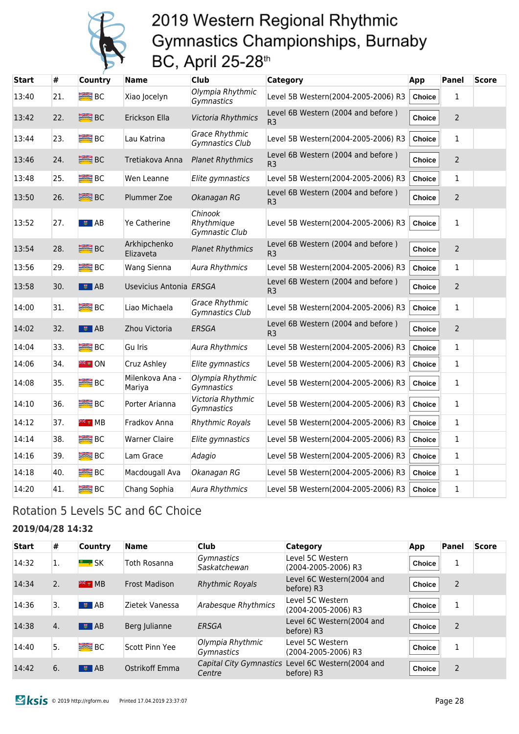

| Start | #   | <b>Country</b>      | <b>Name</b>               | <b>Club</b>                              | Category                                             | App           | Panel          | <b>Score</b> |
|-------|-----|---------------------|---------------------------|------------------------------------------|------------------------------------------------------|---------------|----------------|--------------|
| 13:40 | 21. | B <sub>C</sub>      | Xiao Jocelyn              | Olympia Rhythmic<br>Gymnastics           | Level 5B Western(2004-2005-2006) R3                  | <b>Choice</b> | $\mathbf{1}$   |              |
| 13:42 | 22. | <b>SEE BC</b>       | Erickson Ella             | Victoria Rhythmics                       | Level 6B Western (2004 and before)<br>R <sub>3</sub> | Choice        | $\overline{2}$ |              |
| 13:44 | 23. | B <sub>C</sub>      | Lau Katrina               | <b>Grace Rhythmic</b><br>Gymnastics Club | Level 5B Western(2004-2005-2006) R3                  | Choice        | 1              |              |
| 13:46 | 24. | <b>SEE</b> BC       | Tretiakova Anna           | <b>Planet Rhythmics</b>                  | Level 6B Western (2004 and before)<br>R <sub>3</sub> | Choice        | $\overline{2}$ |              |
| 13:48 | 25. | B <sub>C</sub>      | Wen Leanne                | Elite gymnastics                         | Level 5B Western(2004-2005-2006) R3                  | Choice        | $\mathbf{1}$   |              |
| 13:50 | 26. | <b>SEE BC</b>       | Plummer Zoe               | Okanagan RG                              | Level 6B Western (2004 and before)<br>R <sub>3</sub> | Choice        | $\overline{2}$ |              |
| 13:52 | 27. | $\overline{ }$ AB   | <b>Ye Catherine</b>       | Chinook<br>Rhythmique<br>Gymnastic Club  | Level 5B Western(2004-2005-2006) R3                  | <b>Choice</b> | 1              |              |
| 13:54 | 28. | <b>SEE BC</b>       | Arkhipchenko<br>Elizaveta | <b>Planet Rhythmics</b>                  | Level 6B Western (2004 and before)<br>R <sub>3</sub> | <b>Choice</b> | $\overline{2}$ |              |
| 13:56 | 29. | <b>BEE</b> BC       | Wang Sienna               | <b>Aura Rhythmics</b>                    | Level 5B Western(2004-2005-2006) R3                  | Choice        | 1              |              |
| 13:58 | 30. | । ≢ AB              | Usevicius Antonia ERSGA   |                                          | Level 6B Western (2004 and before)<br>R <sub>3</sub> | <b>Choice</b> | $\overline{2}$ |              |
| 14:00 | 31. | B <sub>C</sub>      | Liao Michaela             | <b>Grace Rhythmic</b><br>Gymnastics Club | Level 5B Western(2004-2005-2006) R3                  | Choice        | 1              |              |
| 14:02 | 32. | $\frac{1}{2}$ AB    | Zhou Victoria             | ERSGA                                    | Level 6B Western (2004 and before)<br>R <sub>3</sub> | Choice        | $\overline{2}$ |              |
| 14:04 | 33. | <b>BIER</b> BC      | Gu Iris                   | <b>Aura Rhythmics</b>                    | Level 5B Western(2004-2005-2006) R3                  | <b>Choice</b> | $\mathbf{1}$   |              |
| 14:06 | 34. | <b>FIE</b> UN       | Cruz Ashley               | Elite gymnastics                         | Level 5B Western(2004-2005-2006) R3                  | <b>Choice</b> | $\mathbf{1}$   |              |
| 14:08 | 35. | <b>SEE</b> BC       | Milenkova Ana -<br>Mariya | Olympia Rhythmic<br>Gymnastics           | Level 5B Western(2004-2005-2006) R3                  | <b>Choice</b> | $\mathbf{1}$   |              |
| 14:10 | 36. | B <sub>C</sub>      | Porter Arianna            | Victoria Rhythmic<br>Gymnastics          | Level 5B Western(2004-2005-2006) R3                  | <b>Choice</b> | $\mathbf{1}$   |              |
| 14:12 | 37. | <sup>≋≋</sup> ∎ MB  | Fradkov Anna              | <b>Rhythmic Royals</b>                   | Level 5B Western(2004-2005-2006) R3                  | <b>Choice</b> | $\mathbf{1}$   |              |
| 14:14 | 38. | <b>BEE</b> BC       | <b>Warner Claire</b>      | Elite gymnastics                         | Level 5B Western(2004-2005-2006) R3                  | <b>Choice</b> | $\mathbf{1}$   |              |
| 14:16 | 39. | <b>BEE</b> BC       | Lam Grace                 | Adagio                                   | Level 5B Western(2004-2005-2006) R3                  | <b>Choice</b> | 1              |              |
| 14:18 | 40. | $B^{\text{max}}$ BC | Macdougall Ava            | Okanagan RG                              | Level 5B Western(2004-2005-2006) R3                  | <b>Choice</b> | $\mathbf{1}$   |              |
| 14:20 | 41. | <b>BIG</b> BC       | Chang Sophia              | <b>Aura Rhythmics</b>                    | Level 5B Western(2004-2005-2006) R3                  | <b>Choice</b> | 1              |              |

### Rotation 5 Levels 5C and 6C Choice

#### **2019/04/28 14:32**

| <b>Start</b> | #  | <b>Country</b>            | <b>Name</b>          | <b>Club</b>                           | <b>Category</b>                                                 | App           | Panel          | <b>Score</b> |
|--------------|----|---------------------------|----------------------|---------------------------------------|-----------------------------------------------------------------|---------------|----------------|--------------|
| 14:32        | 1. | <b>E</b> SK               | <b>Toth Rosanna</b>  | <i>Gymnastics</i><br>Saskatchewan     | Level 5C Western<br>(2004-2005-2006) R3                         | <b>Choice</b> | 1              |              |
| 14:34        | 2. | $\frac{96}{26}$ MB        | <b>Frost Madison</b> | <b>Rhythmic Royals</b>                | Level 6C Western(2004 and<br>before) R3                         | <b>Choice</b> | $\overline{2}$ |              |
| 14:36        | 3. | <b>专 AB</b>               | Zietek Vanessa       | Arabesque Rhythmics                   | Level 5C Western<br>(2004-2005-2006) R3                         | <b>Choice</b> | 1              |              |
| 14:38        | 4. | $\overline{\bullet}$ $AB$ | Berg Julianne        | ERSGA                                 | Level 6C Western(2004 and<br>before) R3                         | <b>Choice</b> | $\overline{2}$ |              |
| 14:40        | 5. | <b>BRE</b> BC             | Scott Pinn Yee       | Olympia Rhythmic<br><b>Gymnastics</b> | Level 5C Western<br>(2004-2005-2006) R3                         | <b>Choice</b> | 1              |              |
| 14:42        | 6. | $\frac{1}{2}$ AB          | Ostrikoff Emma       | Centre                                | Capital City Gymnastics Level 6C Western(2004 and<br>before) R3 | <b>Choice</b> | $\overline{2}$ |              |